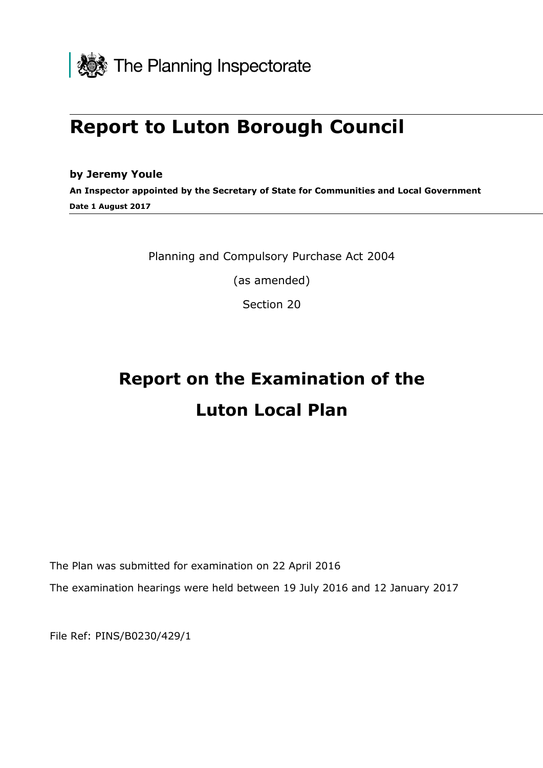

## **Report to Luton Borough Council**

## **by Jeremy Youle**

**An Inspector appointed by the Secretary of State for Communities and Local Government Date 1 August 2017**

Planning and Compulsory Purchase Act 2004

(as amended)

Section 20

# **Report on the Examination of the Luton Local Plan**

The Plan was submitted for examination on 22 April 2016

The examination hearings were held between 19 July 2016 and 12 January 2017

File Ref: PINS/B0230/429/1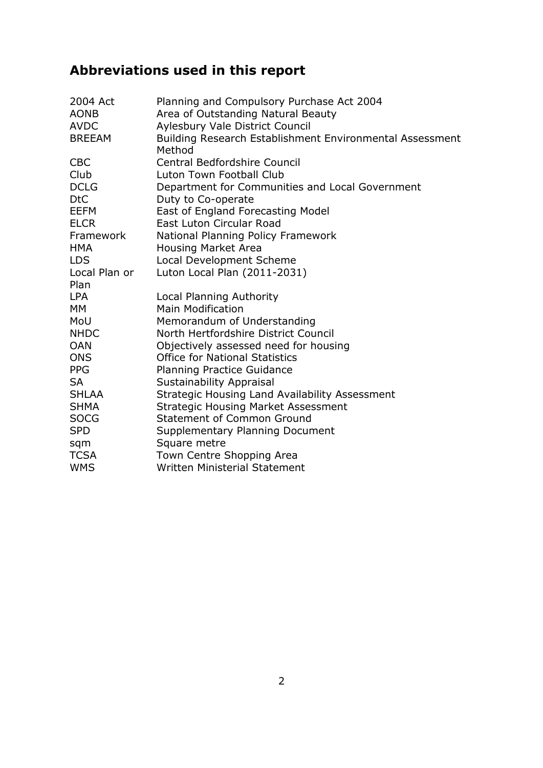## **Abbreviations used in this report**

| 2004 Act                  | Planning and Compulsory Purchase Act 2004                             |
|---------------------------|-----------------------------------------------------------------------|
| <b>AONB</b>               | Area of Outstanding Natural Beauty                                    |
| <b>AVDC</b>               | <b>Aylesbury Vale District Council</b>                                |
| <b>BREEAM</b>             | Building Research Establishment Environmental Assessment<br>Method    |
| <b>CBC</b>                | Central Bedfordshire Council                                          |
| Club                      | Luton Town Football Club                                              |
| <b>DCLG</b><br><b>DtC</b> | Department for Communities and Local Government<br>Duty to Co-operate |
| <b>EEFM</b>               | East of England Forecasting Model                                     |
| <b>ELCR</b>               | East Luton Circular Road                                              |
| Framework                 | National Planning Policy Framework                                    |
| <b>HMA</b>                | <b>Housing Market Area</b>                                            |
| <b>LDS</b>                | Local Development Scheme                                              |
| Local Plan or             | Luton Local Plan (2011-2031)                                          |
| Plan                      |                                                                       |
| <b>LPA</b>                | Local Planning Authority                                              |
| <b>MM</b>                 | <b>Main Modification</b>                                              |
| MoU                       | Memorandum of Understanding                                           |
| <b>NHDC</b>               | North Hertfordshire District Council                                  |
| <b>OAN</b>                | Objectively assessed need for housing                                 |
| <b>ONS</b>                | <b>Office for National Statistics</b>                                 |
| <b>PPG</b>                | <b>Planning Practice Guidance</b>                                     |
| <b>SA</b>                 | Sustainability Appraisal                                              |
| <b>SHLAA</b>              | Strategic Housing Land Availability Assessment                        |
| <b>SHMA</b>               | <b>Strategic Housing Market Assessment</b>                            |
| <b>SOCG</b>               | <b>Statement of Common Ground</b>                                     |
| <b>SPD</b>                | Supplementary Planning Document                                       |
| sqm                       | Square metre                                                          |
| <b>TCSA</b>               | Town Centre Shopping Area                                             |
| <b>WMS</b>                | <b>Written Ministerial Statement</b>                                  |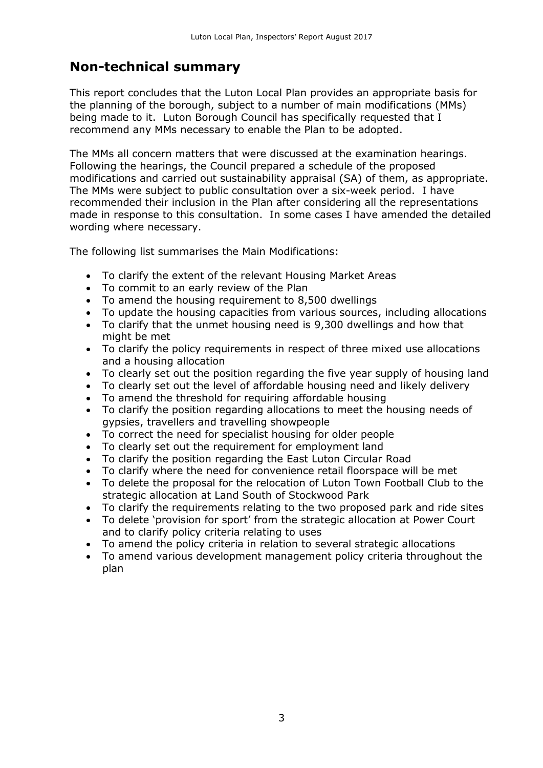## **Non-technical summary**

This report concludes that the Luton Local Plan provides an appropriate basis for the planning of the borough, subject to a number of main modifications (MMs) being made to it. Luton Borough Council has specifically requested that I recommend any MMs necessary to enable the Plan to be adopted.

The MMs all concern matters that were discussed at the examination hearings. Following the hearings, the Council prepared a schedule of the proposed modifications and carried out sustainability appraisal (SA) of them, as appropriate. The MMs were subject to public consultation over a six-week period. I have recommended their inclusion in the Plan after considering all the representations made in response to this consultation. In some cases I have amended the detailed wording where necessary.

The following list summarises the Main Modifications:

- To clarify the extent of the relevant Housing Market Areas
- To commit to an early review of the Plan
- To amend the housing requirement to 8,500 dwellings
- To update the housing capacities from various sources, including allocations
- To clarify that the unmet housing need is 9,300 dwellings and how that might be met
- To clarify the policy requirements in respect of three mixed use allocations and a housing allocation
- To clearly set out the position regarding the five year supply of housing land
- To clearly set out the level of affordable housing need and likely delivery
- To amend the threshold for requiring affordable housing
- To clarify the position regarding allocations to meet the housing needs of gypsies, travellers and travelling showpeople
- To correct the need for specialist housing for older people
- To clearly set out the requirement for employment land
- To clarify the position regarding the East Luton Circular Road
- To clarify where the need for convenience retail floorspace will be met
- To delete the proposal for the relocation of Luton Town Football Club to the strategic allocation at Land South of Stockwood Park
- To clarify the requirements relating to the two proposed park and ride sites
- To delete 'provision for sport' from the strategic allocation at Power Court and to clarify policy criteria relating to uses
- To amend the policy criteria in relation to several strategic allocations
- To amend various development management policy criteria throughout the plan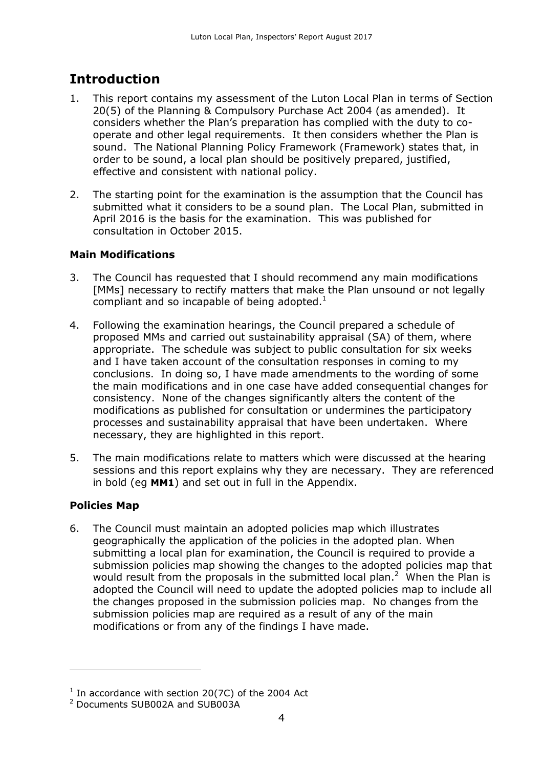## **Introduction**

- 1. This report contains my assessment of the Luton Local Plan in terms of Section 20(5) of the Planning & Compulsory Purchase Act 2004 (as amended). It considers whether the Plan's preparation has complied with the duty to cooperate and other legal requirements. It then considers whether the Plan is sound. The National Planning Policy Framework (Framework) states that, in order to be sound, a local plan should be positively prepared, justified, effective and consistent with national policy.
- 2. The starting point for the examination is the assumption that the Council has submitted what it considers to be a sound plan. The Local Plan, submitted in April 2016 is the basis for the examination. This was published for consultation in October 2015.

## **Main Modifications**

- 3. The Council has requested that I should recommend any main modifications [MMs] necessary to rectify matters that make the Plan unsound or not legally compliant and so incapable of being adopted. $1$
- 4. Following the examination hearings, the Council prepared a schedule of proposed MMs and carried out sustainability appraisal (SA) of them, where appropriate. The schedule was subject to public consultation for six weeks and I have taken account of the consultation responses in coming to my conclusions. In doing so, I have made amendments to the wording of some the main modifications and in one case have added consequential changes for consistency. None of the changes significantly alters the content of the modifications as published for consultation or undermines the participatory processes and sustainability appraisal that have been undertaken. Where necessary, they are highlighted in this report.
- 5. The main modifications relate to matters which were discussed at the hearing sessions and this report explains why they are necessary. They are referenced in bold (eg **MM1**) and set out in full in the Appendix.

## **Policies Map**

 $\overline{a}$ 

6. The Council must maintain an adopted policies map which illustrates geographically the application of the policies in the adopted plan. When submitting a local plan for examination, the Council is required to provide a submission policies map showing the changes to the adopted policies map that would result from the proposals in the submitted local plan.<sup>2</sup> When the Plan is adopted the Council will need to update the adopted policies map to include all the changes proposed in the submission policies map. No changes from the submission policies map are required as a result of any of the main modifications or from any of the findings I have made.

 $1$  In accordance with section 20(7C) of the 2004 Act

<sup>2</sup> Documents SUB002A and SUB003A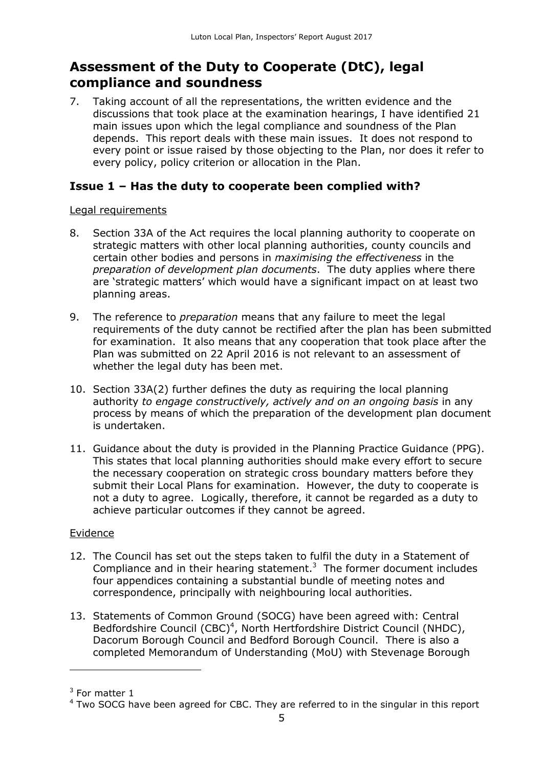## **Assessment of the Duty to Cooperate (DtC), legal compliance and soundness**

7. Taking account of all the representations, the written evidence and the discussions that took place at the examination hearings, I have identified 21 main issues upon which the legal compliance and soundness of the Plan depends. This report deals with these main issues. It does not respond to every point or issue raised by those objecting to the Plan, nor does it refer to every policy, policy criterion or allocation in the Plan.

## **Issue 1 – Has the duty to cooperate been complied with?**

#### Legal requirements

- 8. Section 33A of the Act requires the local planning authority to cooperate on strategic matters with other local planning authorities, county councils and certain other bodies and persons in *maximising the effectiveness* in the *preparation of development plan documents*. The duty applies where there are 'strategic matters' which would have a significant impact on at least two planning areas.
- 9. The reference to *preparation* means that any failure to meet the legal requirements of the duty cannot be rectified after the plan has been submitted for examination. It also means that any cooperation that took place after the Plan was submitted on 22 April 2016 is not relevant to an assessment of whether the legal duty has been met.
- 10. Section 33A(2) further defines the duty as requiring the local planning authority *to engage constructively, actively and on an ongoing basis* in any process by means of which the preparation of the development plan document is undertaken.
- 11. Guidance about the duty is provided in the Planning Practice Guidance (PPG). This states that local planning authorities should make every effort to secure the necessary cooperation on strategic cross boundary matters before they submit their Local Plans for examination. However, the duty to cooperate is not a duty to agree. Logically, therefore, it cannot be regarded as a duty to achieve particular outcomes if they cannot be agreed.

## **Evidence**

- 12. The Council has set out the steps taken to fulfil the duty in a Statement of Compliance and in their hearing statement. $3$  The former document includes four appendices containing a substantial bundle of meeting notes and correspondence, principally with neighbouring local authorities.
- 13. Statements of Common Ground (SOCG) have been agreed with: Central Bedfordshire Council (CBC)<sup>4</sup>, North Hertfordshire District Council (NHDC), Dacorum Borough Council and Bedford Borough Council. There is also a completed Memorandum of Understanding (MoU) with Stevenage Borough

 $\overline{a}$ 

 $3$  For matter 1

 $4$  Two SOCG have been agreed for CBC. They are referred to in the singular in this report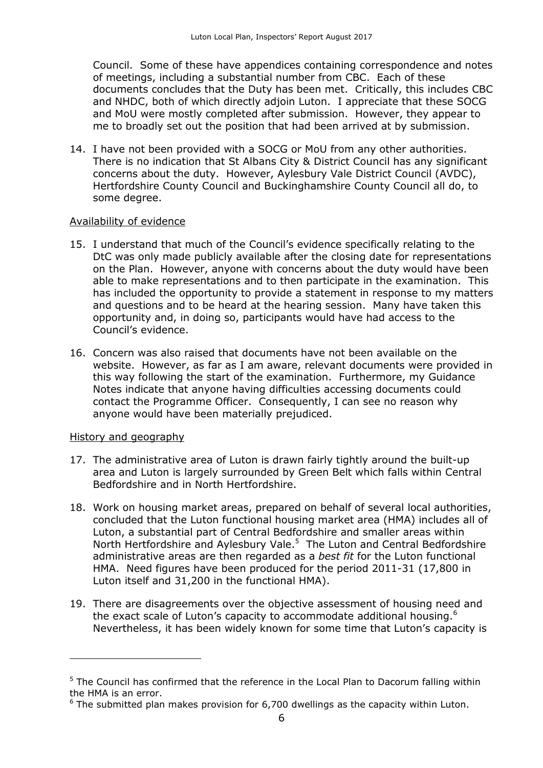Council. Some of these have appendices containing correspondence and notes of meetings, including a substantial number from CBC. Each of these documents concludes that the Duty has been met. Critically, this includes CBC and NHDC, both of which directly adjoin Luton. I appreciate that these SOCG and MoU were mostly completed after submission. However, they appear to me to broadly set out the position that had been arrived at by submission.

14. I have not been provided with a SOCG or MoU from any other authorities. There is no indication that St Albans City & District Council has any significant concerns about the duty. However, Aylesbury Vale District Council (AVDC), Hertfordshire County Council and Buckinghamshire County Council all do, to some degree.

## Availability of evidence

- 15. I understand that much of the Council's evidence specifically relating to the DtC was only made publicly available after the closing date for representations on the Plan. However, anyone with concerns about the duty would have been able to make representations and to then participate in the examination. This has included the opportunity to provide a statement in response to my matters and questions and to be heard at the hearing session. Many have taken this opportunity and, in doing so, participants would have had access to the Council's evidence.
- 16. Concern was also raised that documents have not been available on the website. However, as far as I am aware, relevant documents were provided in this way following the start of the examination. Furthermore, my Guidance Notes indicate that anyone having difficulties accessing documents could contact the Programme Officer. Consequently, I can see no reason why anyone would have been materially prejudiced.

#### History and geography

- 17. The administrative area of Luton is drawn fairly tightly around the built-up area and Luton is largely surrounded by Green Belt which falls within Central Bedfordshire and in North Hertfordshire.
- 18. Work on housing market areas, prepared on behalf of several local authorities, concluded that the Luton functional housing market area (HMA) includes all of Luton, a substantial part of Central Bedfordshire and smaller areas within North Hertfordshire and Aylesbury Vale.<sup>5</sup> The Luton and Central Bedfordshire administrative areas are then regarded as a *best fit* for the Luton functional HMA. Need figures have been produced for the period 2011-31 (17,800 in Luton itself and 31,200 in the functional HMA).
- 19. There are disagreements over the objective assessment of housing need and the exact scale of Luton's capacity to accommodate additional housing.<sup>6</sup> Nevertheless, it has been widely known for some time that Luton's capacity is

 $5$  The Council has confirmed that the reference in the Local Plan to Dacorum falling within the HMA is an error.

 $6$  The submitted plan makes provision for 6,700 dwellings as the capacity within Luton.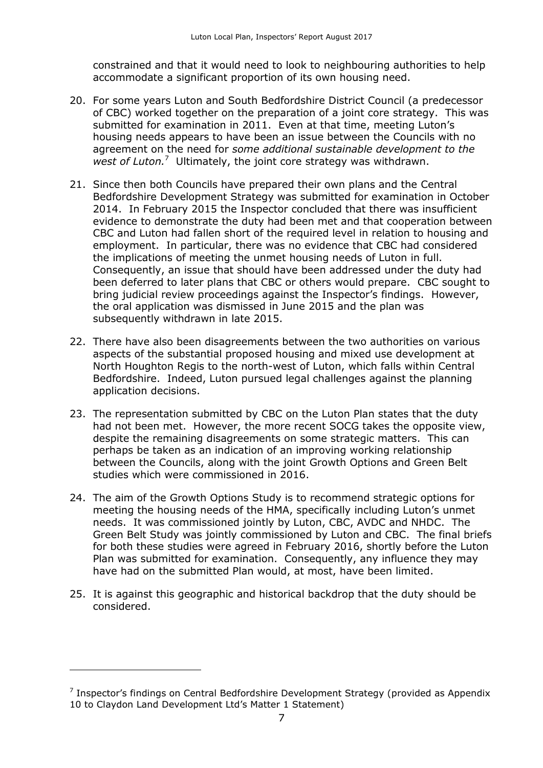constrained and that it would need to look to neighbouring authorities to help accommodate a significant proportion of its own housing need.

- 20. For some years Luton and South Bedfordshire District Council (a predecessor of CBC) worked together on the preparation of a joint core strategy. This was submitted for examination in 2011. Even at that time, meeting Luton's housing needs appears to have been an issue between the Councils with no agreement on the need for *some additional sustainable development to the*  west of Luton.<sup>7</sup> Ultimately, the joint core strategy was withdrawn.
- 21. Since then both Councils have prepared their own plans and the Central Bedfordshire Development Strategy was submitted for examination in October 2014. In February 2015 the Inspector concluded that there was insufficient evidence to demonstrate the duty had been met and that cooperation between CBC and Luton had fallen short of the required level in relation to housing and employment. In particular, there was no evidence that CBC had considered the implications of meeting the unmet housing needs of Luton in full. Consequently, an issue that should have been addressed under the duty had been deferred to later plans that CBC or others would prepare. CBC sought to bring judicial review proceedings against the Inspector's findings. However, the oral application was dismissed in June 2015 and the plan was subsequently withdrawn in late 2015.
- 22. There have also been disagreements between the two authorities on various aspects of the substantial proposed housing and mixed use development at North Houghton Regis to the north-west of Luton, which falls within Central Bedfordshire. Indeed, Luton pursued legal challenges against the planning application decisions.
- 23. The representation submitted by CBC on the Luton Plan states that the duty had not been met. However, the more recent SOCG takes the opposite view, despite the remaining disagreements on some strategic matters. This can perhaps be taken as an indication of an improving working relationship between the Councils, along with the joint Growth Options and Green Belt studies which were commissioned in 2016.
- 24. The aim of the Growth Options Study is to recommend strategic options for meeting the housing needs of the HMA, specifically including Luton's unmet needs. It was commissioned jointly by Luton, CBC, AVDC and NHDC. The Green Belt Study was jointly commissioned by Luton and CBC. The final briefs for both these studies were agreed in February 2016, shortly before the Luton Plan was submitted for examination. Consequently, any influence they may have had on the submitted Plan would, at most, have been limited.
- 25. It is against this geographic and historical backdrop that the duty should be considered.

 $\overline{a}$ 

 $7$  Inspector's findings on Central Bedfordshire Development Strategy (provided as Appendix 10 to Claydon Land Development Ltd's Matter 1 Statement)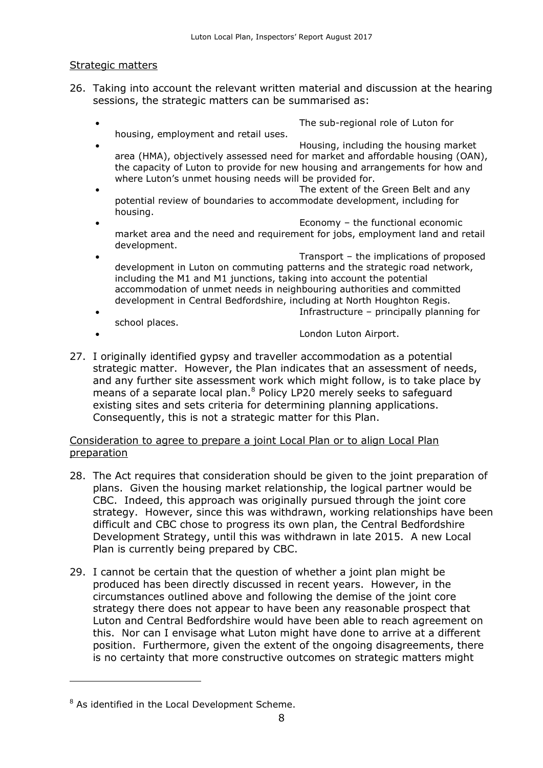#### Strategic matters

- 26. Taking into account the relevant written material and discussion at the hearing sessions, the strategic matters can be summarised as:
	- The sub-regional role of Luton for housing, employment and retail uses.
	- Housing, including the housing market area (HMA), objectively assessed need for market and affordable housing (OAN), the capacity of Luton to provide for new housing and arrangements for how and where Luton's unmet housing needs will be provided for.
	- The extent of the Green Belt and any potential review of boundaries to accommodate development, including for housing.
	- Economy the functional economic market area and the need and requirement for jobs, employment land and retail development.
	- Transport the implications of proposed development in Luton on commuting patterns and the strategic road network, including the M1 and M1 junctions, taking into account the potential accommodation of unmet needs in neighbouring authorities and committed development in Central Bedfordshire, including at North Houghton Regis. Infrastructure – principally planning for

school places.

London Luton Airport.

27. I originally identified gypsy and traveller accommodation as a potential strategic matter. However, the Plan indicates that an assessment of needs, and any further site assessment work which might follow, is to take place by means of a separate local plan.<sup>8</sup> Policy LP20 merely seeks to safeguard existing sites and sets criteria for determining planning applications. Consequently, this is not a strategic matter for this Plan.

#### Consideration to agree to prepare a joint Local Plan or to align Local Plan preparation

- 28. The Act requires that consideration should be given to the joint preparation of plans. Given the housing market relationship, the logical partner would be CBC. Indeed, this approach was originally pursued through the joint core strategy. However, since this was withdrawn, working relationships have been difficult and CBC chose to progress its own plan, the Central Bedfordshire Development Strategy, until this was withdrawn in late 2015. A new Local Plan is currently being prepared by CBC.
- 29. I cannot be certain that the question of whether a joint plan might be produced has been directly discussed in recent years. However, in the circumstances outlined above and following the demise of the joint core strategy there does not appear to have been any reasonable prospect that Luton and Central Bedfordshire would have been able to reach agreement on this. Nor can I envisage what Luton might have done to arrive at a different position. Furthermore, given the extent of the ongoing disagreements, there is no certainty that more constructive outcomes on strategic matters might

 $8$  As identified in the Local Development Scheme.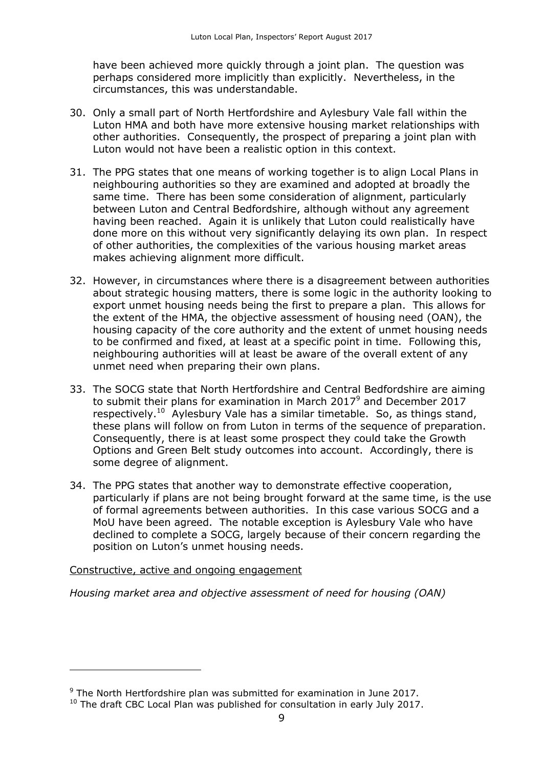have been achieved more quickly through a joint plan. The question was perhaps considered more implicitly than explicitly. Nevertheless, in the circumstances, this was understandable.

- 30. Only a small part of North Hertfordshire and Aylesbury Vale fall within the Luton HMA and both have more extensive housing market relationships with other authorities. Consequently, the prospect of preparing a joint plan with Luton would not have been a realistic option in this context.
- 31. The PPG states that one means of working together is to align Local Plans in neighbouring authorities so they are examined and adopted at broadly the same time. There has been some consideration of alignment, particularly between Luton and Central Bedfordshire, although without any agreement having been reached. Again it is unlikely that Luton could realistically have done more on this without very significantly delaying its own plan. In respect of other authorities, the complexities of the various housing market areas makes achieving alignment more difficult.
- 32. However, in circumstances where there is a disagreement between authorities about strategic housing matters, there is some logic in the authority looking to export unmet housing needs being the first to prepare a plan. This allows for the extent of the HMA, the objective assessment of housing need (OAN), the housing capacity of the core authority and the extent of unmet housing needs to be confirmed and fixed, at least at a specific point in time. Following this, neighbouring authorities will at least be aware of the overall extent of any unmet need when preparing their own plans.
- 33. The SOCG state that North Hertfordshire and Central Bedfordshire are aiming to submit their plans for examination in March 2017<sup>9</sup> and December 2017 respectively.<sup>10</sup> Aylesbury Vale has a similar timetable. So, as things stand, these plans will follow on from Luton in terms of the sequence of preparation. Consequently, there is at least some prospect they could take the Growth Options and Green Belt study outcomes into account. Accordingly, there is some degree of alignment.
- 34. The PPG states that another way to demonstrate effective cooperation, particularly if plans are not being brought forward at the same time, is the use of formal agreements between authorities. In this case various SOCG and a MoU have been agreed. The notable exception is Aylesbury Vale who have declined to complete a SOCG, largely because of their concern regarding the position on Luton's unmet housing needs.

#### Constructive, active and ongoing engagement

 $\overline{a}$ 

*Housing market area and objective assessment of need for housing (OAN)*

 $9$  The North Hertfordshire plan was submitted for examination in June 2017.

<sup>&</sup>lt;sup>10</sup> The draft CBC Local Plan was published for consultation in early July 2017.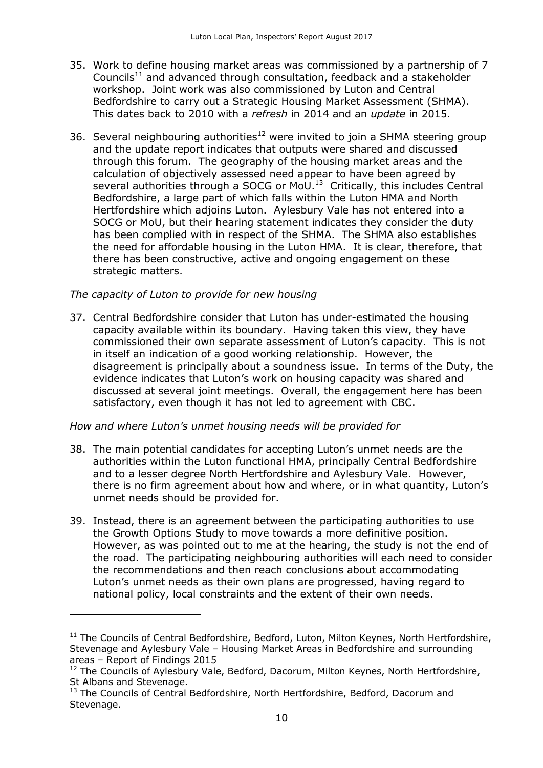- 35. Work to define housing market areas was commissioned by a partnership of 7 Councils<sup>11</sup> and advanced through consultation, feedback and a stakeholder workshop. Joint work was also commissioned by Luton and Central Bedfordshire to carry out a Strategic Housing Market Assessment (SHMA). This dates back to 2010 with a *refresh* in 2014 and an *update* in 2015.
- 36. Several neighbouring authorities<sup>12</sup> were invited to join a SHMA steering group and the update report indicates that outputs were shared and discussed through this forum. The geography of the housing market areas and the calculation of objectively assessed need appear to have been agreed by several authorities through a SOCG or MoU. $^{13}$  Critically, this includes Central Bedfordshire, a large part of which falls within the Luton HMA and North Hertfordshire which adjoins Luton. Aylesbury Vale has not entered into a SOCG or MoU, but their hearing statement indicates they consider the duty has been complied with in respect of the SHMA. The SHMA also establishes the need for affordable housing in the Luton HMA. It is clear, therefore, that there has been constructive, active and ongoing engagement on these strategic matters.

#### *The capacity of Luton to provide for new housing*

 $\overline{a}$ 

37. Central Bedfordshire consider that Luton has under-estimated the housing capacity available within its boundary. Having taken this view, they have commissioned their own separate assessment of Luton's capacity. This is not in itself an indication of a good working relationship. However, the disagreement is principally about a soundness issue. In terms of the Duty, the evidence indicates that Luton's work on housing capacity was shared and discussed at several joint meetings. Overall, the engagement here has been satisfactory, even though it has not led to agreement with CBC.

#### *How and where Luton's unmet housing needs will be provided for*

- 38. The main potential candidates for accepting Luton's unmet needs are the authorities within the Luton functional HMA, principally Central Bedfordshire and to a lesser degree North Hertfordshire and Aylesbury Vale. However, there is no firm agreement about how and where, or in what quantity, Luton's unmet needs should be provided for.
- 39. Instead, there is an agreement between the participating authorities to use the Growth Options Study to move towards a more definitive position. However, as was pointed out to me at the hearing, the study is not the end of the road. The participating neighbouring authorities will each need to consider the recommendations and then reach conclusions about accommodating Luton's unmet needs as their own plans are progressed, having regard to national policy, local constraints and the extent of their own needs.

<sup>&</sup>lt;sup>11</sup> The Councils of Central Bedfordshire, Bedford, Luton, Milton Keynes, North Hertfordshire, Stevenage and Aylesbury Vale – Housing Market Areas in Bedfordshire and surrounding areas – Report of Findings 2015

<sup>&</sup>lt;sup>12</sup> The Councils of Aylesbury Vale, Bedford, Dacorum, Milton Keynes, North Hertfordshire, St Albans and Stevenage.

<sup>&</sup>lt;sup>13</sup> The Councils of Central Bedfordshire, North Hertfordshire, Bedford, Dacorum and Stevenage.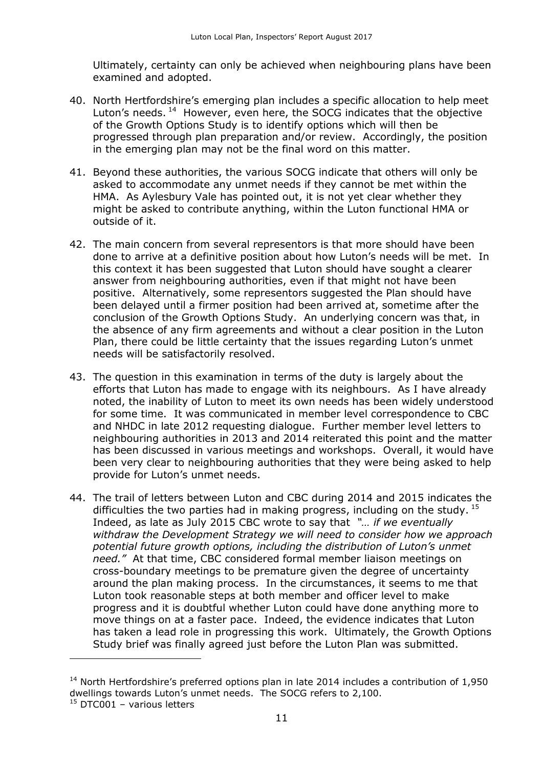Ultimately, certainty can only be achieved when neighbouring plans have been examined and adopted.

- 40. North Hertfordshire's emerging plan includes a specific allocation to help meet Luton's needs.<sup>14</sup> However, even here, the SOCG indicates that the objective of the Growth Options Study is to identify options which will then be progressed through plan preparation and/or review. Accordingly, the position in the emerging plan may not be the final word on this matter.
- 41. Beyond these authorities, the various SOCG indicate that others will only be asked to accommodate any unmet needs if they cannot be met within the HMA. As Aylesbury Vale has pointed out, it is not yet clear whether they might be asked to contribute anything, within the Luton functional HMA or outside of it.
- 42. The main concern from several representors is that more should have been done to arrive at a definitive position about how Luton's needs will be met. In this context it has been suggested that Luton should have sought a clearer answer from neighbouring authorities, even if that might not have been positive. Alternatively, some representors suggested the Plan should have been delayed until a firmer position had been arrived at, sometime after the conclusion of the Growth Options Study. An underlying concern was that, in the absence of any firm agreements and without a clear position in the Luton Plan, there could be little certainty that the issues regarding Luton's unmet needs will be satisfactorily resolved.
- 43. The question in this examination in terms of the duty is largely about the efforts that Luton has made to engage with its neighbours. As I have already noted, the inability of Luton to meet its own needs has been widely understood for some time. It was communicated in member level correspondence to CBC and NHDC in late 2012 requesting dialogue. Further member level letters to neighbouring authorities in 2013 and 2014 reiterated this point and the matter has been discussed in various meetings and workshops. Overall, it would have been very clear to neighbouring authorities that they were being asked to help provide for Luton's unmet needs.
- 44. The trail of letters between Luton and CBC during 2014 and 2015 indicates the difficulties the two parties had in making progress, including on the study.  $^{15}$ Indeed, as late as July 2015 CBC wrote to say that *"… if we eventually withdraw the Development Strategy we will need to consider how we approach potential future growth options, including the distribution of Luton's unmet need."* At that time, CBC considered formal member liaison meetings on cross-boundary meetings to be premature given the degree of uncertainty around the plan making process. In the circumstances, it seems to me that Luton took reasonable steps at both member and officer level to make progress and it is doubtful whether Luton could have done anything more to move things on at a faster pace. Indeed, the evidence indicates that Luton has taken a lead role in progressing this work. Ultimately, the Growth Options Study brief was finally agreed just before the Luton Plan was submitted.

 $14$  North Hertfordshire's preferred options plan in late 2014 includes a contribution of 1,950 dwellings towards Luton's unmet needs. The SOCG refers to 2,100.

<sup>&</sup>lt;sup>15</sup> DTC001 - various letters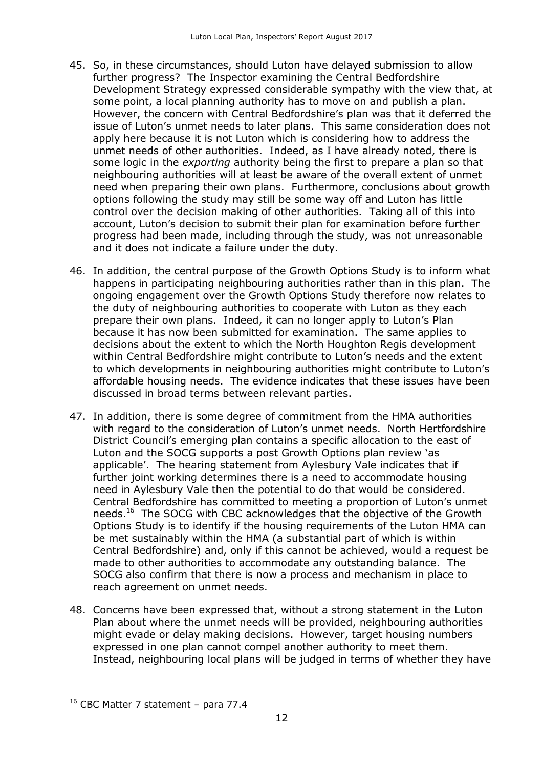- 45. So, in these circumstances, should Luton have delayed submission to allow further progress? The Inspector examining the Central Bedfordshire Development Strategy expressed considerable sympathy with the view that, at some point, a local planning authority has to move on and publish a plan. However, the concern with Central Bedfordshire's plan was that it deferred the issue of Luton's unmet needs to later plans. This same consideration does not apply here because it is not Luton which is considering how to address the unmet needs of other authorities. Indeed, as I have already noted, there is some logic in the *exporting* authority being the first to prepare a plan so that neighbouring authorities will at least be aware of the overall extent of unmet need when preparing their own plans. Furthermore, conclusions about growth options following the study may still be some way off and Luton has little control over the decision making of other authorities. Taking all of this into account, Luton's decision to submit their plan for examination before further progress had been made, including through the study, was not unreasonable and it does not indicate a failure under the duty.
- 46. In addition, the central purpose of the Growth Options Study is to inform what happens in participating neighbouring authorities rather than in this plan. The ongoing engagement over the Growth Options Study therefore now relates to the duty of neighbouring authorities to cooperate with Luton as they each prepare their own plans. Indeed, it can no longer apply to Luton's Plan because it has now been submitted for examination. The same applies to decisions about the extent to which the North Houghton Regis development within Central Bedfordshire might contribute to Luton's needs and the extent to which developments in neighbouring authorities might contribute to Luton's affordable housing needs. The evidence indicates that these issues have been discussed in broad terms between relevant parties.
- 47. In addition, there is some degree of commitment from the HMA authorities with regard to the consideration of Luton's unmet needs. North Hertfordshire District Council's emerging plan contains a specific allocation to the east of Luton and the SOCG supports a post Growth Options plan review 'as applicable'. The hearing statement from Aylesbury Vale indicates that if further joint working determines there is a need to accommodate housing need in Aylesbury Vale then the potential to do that would be considered. Central Bedfordshire has committed to meeting a proportion of Luton's unmet needs.<sup>16</sup> The SOCG with CBC acknowledges that the objective of the Growth Options Study is to identify if the housing requirements of the Luton HMA can be met sustainably within the HMA (a substantial part of which is within Central Bedfordshire) and, only if this cannot be achieved, would a request be made to other authorities to accommodate any outstanding balance. The SOCG also confirm that there is now a process and mechanism in place to reach agreement on unmet needs.
- 48. Concerns have been expressed that, without a strong statement in the Luton Plan about where the unmet needs will be provided, neighbouring authorities might evade or delay making decisions. However, target housing numbers expressed in one plan cannot compel another authority to meet them. Instead, neighbouring local plans will be judged in terms of whether they have

 $16$  CBC Matter 7 statement – para 77.4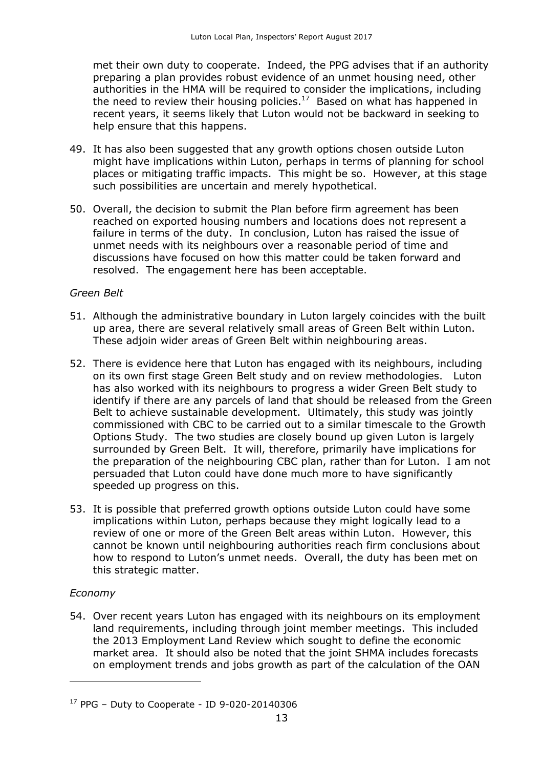met their own duty to cooperate. Indeed, the PPG advises that if an authority preparing a plan provides robust evidence of an unmet housing need, other authorities in the HMA will be required to consider the implications, including the need to review their housing policies.<sup>17</sup> Based on what has happened in recent years, it seems likely that Luton would not be backward in seeking to help ensure that this happens.

- 49. It has also been suggested that any growth options chosen outside Luton might have implications within Luton, perhaps in terms of planning for school places or mitigating traffic impacts. This might be so. However, at this stage such possibilities are uncertain and merely hypothetical.
- 50. Overall, the decision to submit the Plan before firm agreement has been reached on exported housing numbers and locations does not represent a failure in terms of the duty. In conclusion, Luton has raised the issue of unmet needs with its neighbours over a reasonable period of time and discussions have focused on how this matter could be taken forward and resolved. The engagement here has been acceptable.

#### *Green Belt*

- 51. Although the administrative boundary in Luton largely coincides with the built up area, there are several relatively small areas of Green Belt within Luton. These adjoin wider areas of Green Belt within neighbouring areas.
- 52. There is evidence here that Luton has engaged with its neighbours, including on its own first stage Green Belt study and on review methodologies. Luton has also worked with its neighbours to progress a wider Green Belt study to identify if there are any parcels of land that should be released from the Green Belt to achieve sustainable development. Ultimately, this study was jointly commissioned with CBC to be carried out to a similar timescale to the Growth Options Study. The two studies are closely bound up given Luton is largely surrounded by Green Belt. It will, therefore, primarily have implications for the preparation of the neighbouring CBC plan, rather than for Luton. I am not persuaded that Luton could have done much more to have significantly speeded up progress on this.
- 53. It is possible that preferred growth options outside Luton could have some implications within Luton, perhaps because they might logically lead to a review of one or more of the Green Belt areas within Luton. However, this cannot be known until neighbouring authorities reach firm conclusions about how to respond to Luton's unmet needs. Overall, the duty has been met on this strategic matter.

#### *Economy*

j

54. Over recent years Luton has engaged with its neighbours on its employment land requirements, including through joint member meetings. This included the 2013 Employment Land Review which sought to define the economic market area. It should also be noted that the joint SHMA includes forecasts on employment trends and jobs growth as part of the calculation of the OAN

 $17$  PPG – Duty to Cooperate - ID 9-020-20140306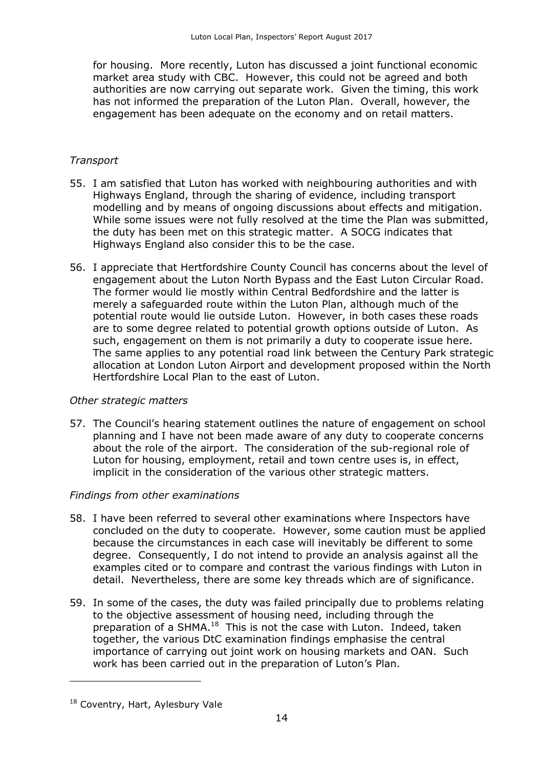for housing. More recently, Luton has discussed a joint functional economic market area study with CBC. However, this could not be agreed and both authorities are now carrying out separate work. Given the timing, this work has not informed the preparation of the Luton Plan. Overall, however, the engagement has been adequate on the economy and on retail matters.

### *Transport*

- 55. I am satisfied that Luton has worked with neighbouring authorities and with Highways England, through the sharing of evidence, including transport modelling and by means of ongoing discussions about effects and mitigation. While some issues were not fully resolved at the time the Plan was submitted, the duty has been met on this strategic matter. A SOCG indicates that Highways England also consider this to be the case.
- 56. I appreciate that Hertfordshire County Council has concerns about the level of engagement about the Luton North Bypass and the East Luton Circular Road. The former would lie mostly within Central Bedfordshire and the latter is merely a safeguarded route within the Luton Plan, although much of the potential route would lie outside Luton. However, in both cases these roads are to some degree related to potential growth options outside of Luton. As such, engagement on them is not primarily a duty to cooperate issue here. The same applies to any potential road link between the Century Park strategic allocation at London Luton Airport and development proposed within the North Hertfordshire Local Plan to the east of Luton.

#### *Other strategic matters*

57. The Council's hearing statement outlines the nature of engagement on school planning and I have not been made aware of any duty to cooperate concerns about the role of the airport. The consideration of the sub-regional role of Luton for housing, employment, retail and town centre uses is, in effect, implicit in the consideration of the various other strategic matters.

#### *Findings from other examinations*

- 58. I have been referred to several other examinations where Inspectors have concluded on the duty to cooperate. However, some caution must be applied because the circumstances in each case will inevitably be different to some degree. Consequently, I do not intend to provide an analysis against all the examples cited or to compare and contrast the various findings with Luton in detail. Nevertheless, there are some key threads which are of significance.
- 59. In some of the cases, the duty was failed principally due to problems relating to the objective assessment of housing need, including through the preparation of a SHMA.<sup>18</sup> This is not the case with Luton. Indeed, taken together, the various DtC examination findings emphasise the central importance of carrying out joint work on housing markets and OAN. Such work has been carried out in the preparation of Luton's Plan.

<sup>&</sup>lt;sup>18</sup> Coventry, Hart, Aylesbury Vale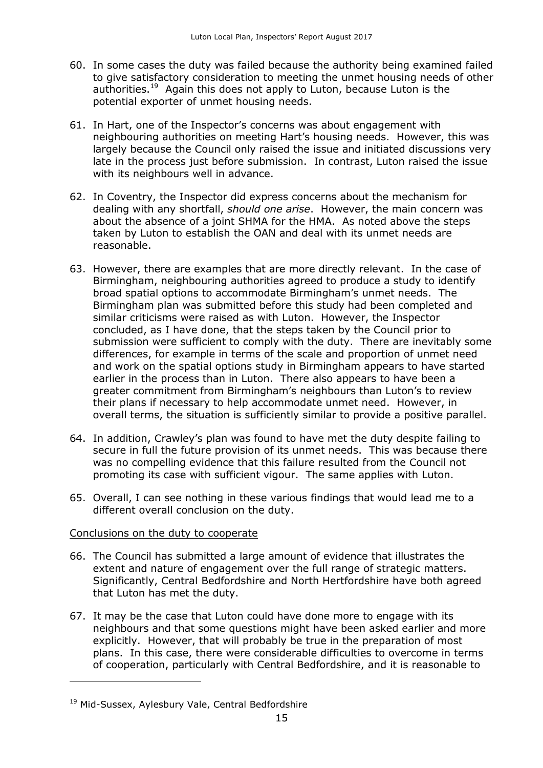- 60. In some cases the duty was failed because the authority being examined failed to give satisfactory consideration to meeting the unmet housing needs of other authorities.<sup>19</sup> Again this does not apply to Luton, because Luton is the potential exporter of unmet housing needs.
- 61. In Hart, one of the Inspector's concerns was about engagement with neighbouring authorities on meeting Hart's housing needs. However, this was largely because the Council only raised the issue and initiated discussions very late in the process just before submission. In contrast, Luton raised the issue with its neighbours well in advance.
- 62. In Coventry, the Inspector did express concerns about the mechanism for dealing with any shortfall, *should one arise*. However, the main concern was about the absence of a joint SHMA for the HMA. As noted above the steps taken by Luton to establish the OAN and deal with its unmet needs are reasonable.
- 63. However, there are examples that are more directly relevant. In the case of Birmingham, neighbouring authorities agreed to produce a study to identify broad spatial options to accommodate Birmingham's unmet needs. The Birmingham plan was submitted before this study had been completed and similar criticisms were raised as with Luton. However, the Inspector concluded, as I have done, that the steps taken by the Council prior to submission were sufficient to comply with the duty. There are inevitably some differences, for example in terms of the scale and proportion of unmet need and work on the spatial options study in Birmingham appears to have started earlier in the process than in Luton. There also appears to have been a greater commitment from Birmingham's neighbours than Luton's to review their plans if necessary to help accommodate unmet need. However, in overall terms, the situation is sufficiently similar to provide a positive parallel.
- 64. In addition, Crawley's plan was found to have met the duty despite failing to secure in full the future provision of its unmet needs. This was because there was no compelling evidence that this failure resulted from the Council not promoting its case with sufficient vigour. The same applies with Luton.
- 65. Overall, I can see nothing in these various findings that would lead me to a different overall conclusion on the duty.

#### Conclusions on the duty to cooperate

- 66. The Council has submitted a large amount of evidence that illustrates the extent and nature of engagement over the full range of strategic matters. Significantly, Central Bedfordshire and North Hertfordshire have both agreed that Luton has met the duty.
- 67. It may be the case that Luton could have done more to engage with its neighbours and that some questions might have been asked earlier and more explicitly. However, that will probably be true in the preparation of most plans. In this case, there were considerable difficulties to overcome in terms of cooperation, particularly with Central Bedfordshire, and it is reasonable to

<sup>&</sup>lt;sup>19</sup> Mid-Sussex, Aylesbury Vale, Central Bedfordshire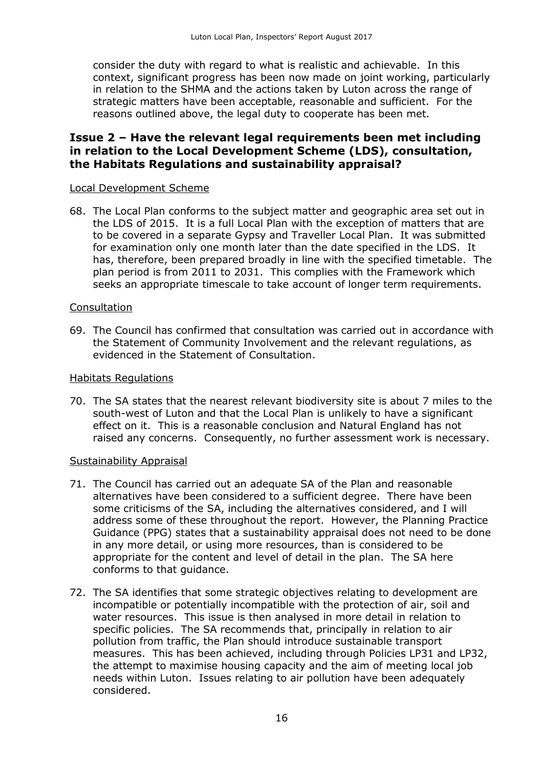consider the duty with regard to what is realistic and achievable. In this context, significant progress has been now made on joint working, particularly in relation to the SHMA and the actions taken by Luton across the range of strategic matters have been acceptable, reasonable and sufficient. For the reasons outlined above, the legal duty to cooperate has been met.

## **Issue 2 – Have the relevant legal requirements been met including in relation to the Local Development Scheme (LDS), consultation, the Habitats Regulations and sustainability appraisal?**

#### Local Development Scheme

68. The Local Plan conforms to the subject matter and geographic area set out in the LDS of 2015. It is a full Local Plan with the exception of matters that are to be covered in a separate Gypsy and Traveller Local Plan. It was submitted for examination only one month later than the date specified in the LDS. It has, therefore, been prepared broadly in line with the specified timetable. The plan period is from 2011 to 2031. This complies with the Framework which seeks an appropriate timescale to take account of longer term requirements.

#### Consultation

69. The Council has confirmed that consultation was carried out in accordance with the Statement of Community Involvement and the relevant regulations, as evidenced in the Statement of Consultation.

#### Habitats Regulations

70. The SA states that the nearest relevant biodiversity site is about 7 miles to the south-west of Luton and that the Local Plan is unlikely to have a significant effect on it. This is a reasonable conclusion and Natural England has not raised any concerns. Consequently, no further assessment work is necessary.

#### Sustainability Appraisal

- 71. The Council has carried out an adequate SA of the Plan and reasonable alternatives have been considered to a sufficient degree. There have been some criticisms of the SA, including the alternatives considered, and I will address some of these throughout the report. However, the Planning Practice Guidance (PPG) states that a sustainability appraisal does not need to be done in any more detail, or using more resources, than is considered to be appropriate for the content and level of detail in the plan. The SA here conforms to that guidance.
- 72. The SA identifies that some strategic objectives relating to development are incompatible or potentially incompatible with the protection of air, soil and water resources. This issue is then analysed in more detail in relation to specific policies. The SA recommends that, principally in relation to air pollution from traffic, the Plan should introduce sustainable transport measures. This has been achieved, including through Policies LP31 and LP32, the attempt to maximise housing capacity and the aim of meeting local job needs within Luton. Issues relating to air pollution have been adequately considered.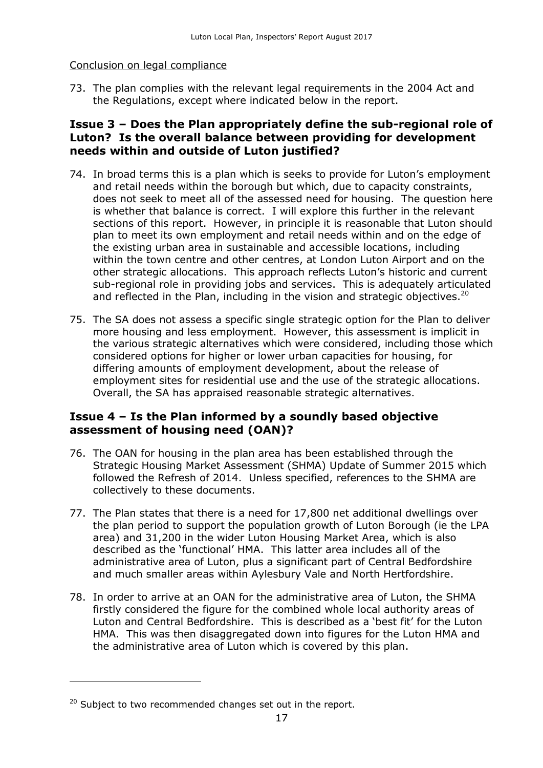### Conclusion on legal compliance

73. The plan complies with the relevant legal requirements in the 2004 Act and the Regulations, except where indicated below in the report.

## **Issue 3 – Does the Plan appropriately define the sub-regional role of Luton? Is the overall balance between providing for development needs within and outside of Luton justified?**

- 74. In broad terms this is a plan which is seeks to provide for Luton's employment and retail needs within the borough but which, due to capacity constraints, does not seek to meet all of the assessed need for housing. The question here is whether that balance is correct. I will explore this further in the relevant sections of this report. However, in principle it is reasonable that Luton should plan to meet its own employment and retail needs within and on the edge of the existing urban area in sustainable and accessible locations, including within the town centre and other centres, at London Luton Airport and on the other strategic allocations. This approach reflects Luton's historic and current sub-regional role in providing jobs and services. This is adequately articulated and reflected in the Plan, including in the vision and strategic objectives.<sup>20</sup>
- 75. The SA does not assess a specific single strategic option for the Plan to deliver more housing and less employment. However, this assessment is implicit in the various strategic alternatives which were considered, including those which considered options for higher or lower urban capacities for housing, for differing amounts of employment development, about the release of employment sites for residential use and the use of the strategic allocations. Overall, the SA has appraised reasonable strategic alternatives.

## **Issue 4 – Is the Plan informed by a soundly based objective assessment of housing need (OAN)?**

- 76. The OAN for housing in the plan area has been established through the Strategic Housing Market Assessment (SHMA) Update of Summer 2015 which followed the Refresh of 2014. Unless specified, references to the SHMA are collectively to these documents.
- 77. The Plan states that there is a need for 17,800 net additional dwellings over the plan period to support the population growth of Luton Borough (ie the LPA area) and 31,200 in the wider Luton Housing Market Area, which is also described as the 'functional' HMA. This latter area includes all of the administrative area of Luton, plus a significant part of Central Bedfordshire and much smaller areas within Aylesbury Vale and North Hertfordshire.
- 78. In order to arrive at an OAN for the administrative area of Luton, the SHMA firstly considered the figure for the combined whole local authority areas of Luton and Central Bedfordshire. This is described as a 'best fit' for the Luton HMA. This was then disaggregated down into figures for the Luton HMA and the administrative area of Luton which is covered by this plan.

 $20$  Subject to two recommended changes set out in the report.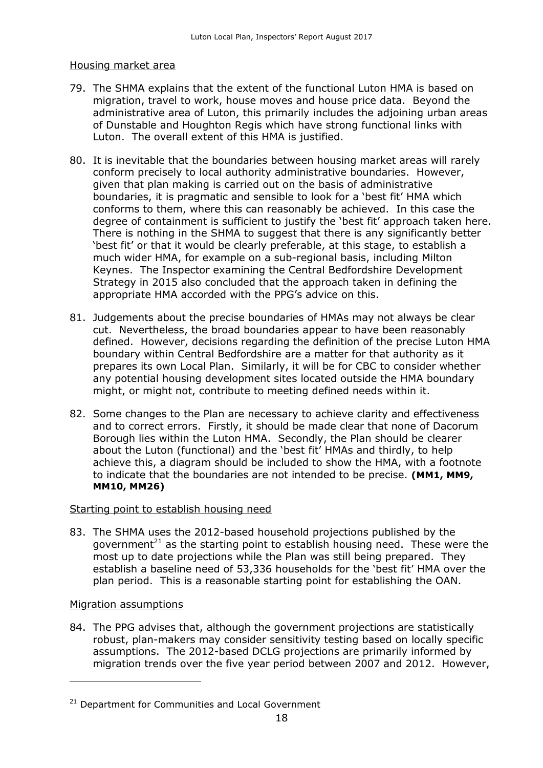#### Housing market area

- 79. The SHMA explains that the extent of the functional Luton HMA is based on migration, travel to work, house moves and house price data. Beyond the administrative area of Luton, this primarily includes the adjoining urban areas of Dunstable and Houghton Regis which have strong functional links with Luton. The overall extent of this HMA is justified.
- 80. It is inevitable that the boundaries between housing market areas will rarely conform precisely to local authority administrative boundaries. However, given that plan making is carried out on the basis of administrative boundaries, it is pragmatic and sensible to look for a 'best fit' HMA which conforms to them, where this can reasonably be achieved. In this case the degree of containment is sufficient to justify the 'best fit' approach taken here. There is nothing in the SHMA to suggest that there is any significantly better 'best fit' or that it would be clearly preferable, at this stage, to establish a much wider HMA, for example on a sub-regional basis, including Milton Keynes. The Inspector examining the Central Bedfordshire Development Strategy in 2015 also concluded that the approach taken in defining the appropriate HMA accorded with the PPG's advice on this.
- 81. Judgements about the precise boundaries of HMAs may not always be clear cut. Nevertheless, the broad boundaries appear to have been reasonably defined. However, decisions regarding the definition of the precise Luton HMA boundary within Central Bedfordshire are a matter for that authority as it prepares its own Local Plan. Similarly, it will be for CBC to consider whether any potential housing development sites located outside the HMA boundary might, or might not, contribute to meeting defined needs within it.
- 82. Some changes to the Plan are necessary to achieve clarity and effectiveness and to correct errors. Firstly, it should be made clear that none of Dacorum Borough lies within the Luton HMA. Secondly, the Plan should be clearer about the Luton (functional) and the 'best fit' HMAs and thirdly, to help achieve this, a diagram should be included to show the HMA, with a footnote to indicate that the boundaries are not intended to be precise. **(MM1, MM9, MM10, MM26)**

#### Starting point to establish housing need

83. The SHMA uses the 2012-based household projections published by the government<sup>21</sup> as the starting point to establish housing need. These were the most up to date projections while the Plan was still being prepared. They establish a baseline need of 53,336 households for the 'best fit' HMA over the plan period. This is a reasonable starting point for establishing the OAN.

#### Migration assumptions

j

84. The PPG advises that, although the government projections are statistically robust, plan-makers may consider sensitivity testing based on locally specific assumptions. The 2012-based DCLG projections are primarily informed by migration trends over the five year period between 2007 and 2012. However,

 $21$  Department for Communities and Local Government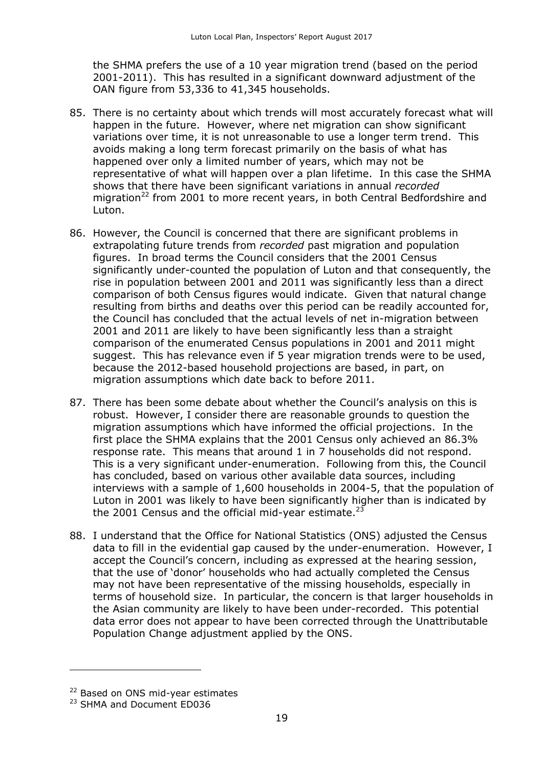the SHMA prefers the use of a 10 year migration trend (based on the period 2001-2011). This has resulted in a significant downward adjustment of the OAN figure from 53,336 to 41,345 households.

- 85. There is no certainty about which trends will most accurately forecast what will happen in the future. However, where net migration can show significant variations over time, it is not unreasonable to use a longer term trend. This avoids making a long term forecast primarily on the basis of what has happened over only a limited number of years, which may not be representative of what will happen over a plan lifetime. In this case the SHMA shows that there have been significant variations in annual *recorded* migration<sup>22</sup> from 2001 to more recent years, in both Central Bedfordshire and Luton.
- 86. However, the Council is concerned that there are significant problems in extrapolating future trends from *recorded* past migration and population figures. In broad terms the Council considers that the 2001 Census significantly under-counted the population of Luton and that consequently, the rise in population between 2001 and 2011 was significantly less than a direct comparison of both Census figures would indicate. Given that natural change resulting from births and deaths over this period can be readily accounted for, the Council has concluded that the actual levels of net in-migration between 2001 and 2011 are likely to have been significantly less than a straight comparison of the enumerated Census populations in 2001 and 2011 might suggest. This has relevance even if 5 year migration trends were to be used, because the 2012-based household projections are based, in part, on migration assumptions which date back to before 2011.
- 87. There has been some debate about whether the Council's analysis on this is robust. However, I consider there are reasonable grounds to question the migration assumptions which have informed the official projections. In the first place the SHMA explains that the 2001 Census only achieved an 86.3% response rate. This means that around 1 in 7 households did not respond. This is a very significant under-enumeration. Following from this, the Council has concluded, based on various other available data sources, including interviews with a sample of 1,600 households in 2004-5, that the population of Luton in 2001 was likely to have been significantly higher than is indicated by the 2001 Census and the official mid-year estimate.<sup>23</sup>
- 88. I understand that the Office for National Statistics (ONS) adjusted the Census data to fill in the evidential gap caused by the under-enumeration. However, I accept the Council's concern, including as expressed at the hearing session, that the use of 'donor' households who had actually completed the Census may not have been representative of the missing households, especially in terms of household size. In particular, the concern is that larger households in the Asian community are likely to have been under-recorded. This potential data error does not appear to have been corrected through the Unattributable Population Change adjustment applied by the ONS.

 $\overline{a}$ 

<sup>&</sup>lt;sup>22</sup> Based on ONS mid-year estimates

<sup>&</sup>lt;sup>23</sup> SHMA and Document ED036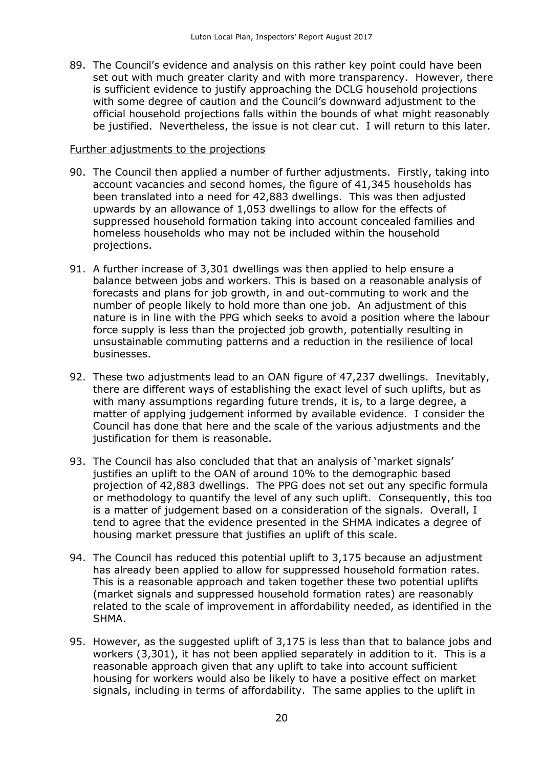89. The Council's evidence and analysis on this rather key point could have been set out with much greater clarity and with more transparency. However, there is sufficient evidence to justify approaching the DCLG household projections with some degree of caution and the Council's downward adjustment to the official household projections falls within the bounds of what might reasonably be justified. Nevertheless, the issue is not clear cut. I will return to this later.

#### Further adjustments to the projections

- 90. The Council then applied a number of further adjustments. Firstly, taking into account vacancies and second homes, the figure of 41,345 households has been translated into a need for 42,883 dwellings. This was then adjusted upwards by an allowance of 1,053 dwellings to allow for the effects of suppressed household formation taking into account concealed families and homeless households who may not be included within the household projections.
- 91. A further increase of 3,301 dwellings was then applied to help ensure a balance between jobs and workers. This is based on a reasonable analysis of forecasts and plans for job growth, in and out-commuting to work and the number of people likely to hold more than one job. An adjustment of this nature is in line with the PPG which seeks to avoid a position where the labour force supply is less than the projected job growth, potentially resulting in unsustainable commuting patterns and a reduction in the resilience of local businesses.
- 92. These two adjustments lead to an OAN figure of 47,237 dwellings. Inevitably, there are different ways of establishing the exact level of such uplifts, but as with many assumptions regarding future trends, it is, to a large degree, a matter of applying judgement informed by available evidence. I consider the Council has done that here and the scale of the various adjustments and the justification for them is reasonable.
- 93. The Council has also concluded that that an analysis of 'market signals' justifies an uplift to the OAN of around 10% to the demographic based projection of 42,883 dwellings. The PPG does not set out any specific formula or methodology to quantify the level of any such uplift. Consequently, this too is a matter of judgement based on a consideration of the signals. Overall, I tend to agree that the evidence presented in the SHMA indicates a degree of housing market pressure that justifies an uplift of this scale.
- 94. The Council has reduced this potential uplift to 3,175 because an adjustment has already been applied to allow for suppressed household formation rates. This is a reasonable approach and taken together these two potential uplifts (market signals and suppressed household formation rates) are reasonably related to the scale of improvement in affordability needed, as identified in the SHMA.
- 95. However, as the suggested uplift of 3,175 is less than that to balance jobs and workers (3,301), it has not been applied separately in addition to it. This is a reasonable approach given that any uplift to take into account sufficient housing for workers would also be likely to have a positive effect on market signals, including in terms of affordability. The same applies to the uplift in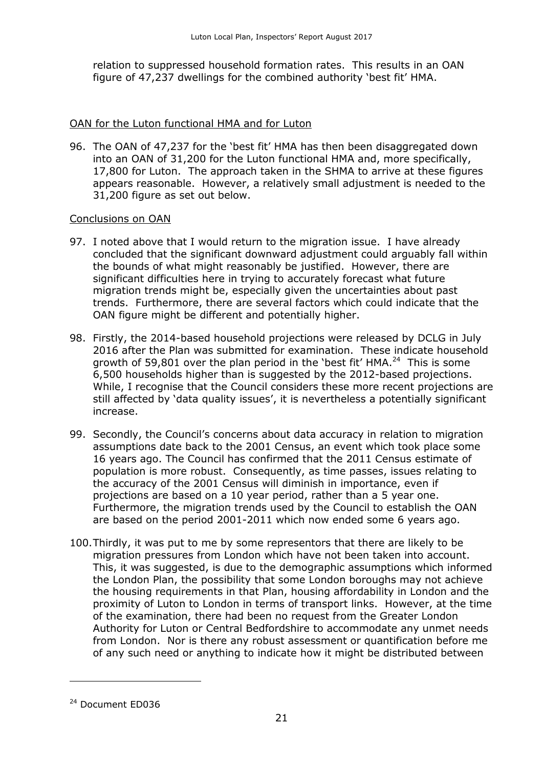relation to suppressed household formation rates. This results in an OAN figure of 47,237 dwellings for the combined authority 'best fit' HMA.

#### OAN for the Luton functional HMA and for Luton

96. The OAN of 47,237 for the 'best fit' HMA has then been disaggregated down into an OAN of 31,200 for the Luton functional HMA and, more specifically, 17,800 for Luton. The approach taken in the SHMA to arrive at these figures appears reasonable. However, a relatively small adjustment is needed to the 31,200 figure as set out below.

#### Conclusions on OAN

- 97. I noted above that I would return to the migration issue. I have already concluded that the significant downward adjustment could arguably fall within the bounds of what might reasonably be justified. However, there are significant difficulties here in trying to accurately forecast what future migration trends might be, especially given the uncertainties about past trends. Furthermore, there are several factors which could indicate that the OAN figure might be different and potentially higher.
- 98. Firstly, the 2014-based household projections were released by DCLG in July 2016 after the Plan was submitted for examination. These indicate household growth of 59,801 over the plan period in the 'best fit' HMA.<sup>24</sup> This is some 6,500 households higher than is suggested by the 2012-based projections. While, I recognise that the Council considers these more recent projections are still affected by 'data quality issues', it is nevertheless a potentially significant increase.
- 99. Secondly, the Council's concerns about data accuracy in relation to migration assumptions date back to the 2001 Census, an event which took place some 16 years ago. The Council has confirmed that the 2011 Census estimate of population is more robust. Consequently, as time passes, issues relating to the accuracy of the 2001 Census will diminish in importance, even if projections are based on a 10 year period, rather than a 5 year one. Furthermore, the migration trends used by the Council to establish the OAN are based on the period 2001-2011 which now ended some 6 years ago.
- 100.Thirdly, it was put to me by some representors that there are likely to be migration pressures from London which have not been taken into account. This, it was suggested, is due to the demographic assumptions which informed the London Plan, the possibility that some London boroughs may not achieve the housing requirements in that Plan, housing affordability in London and the proximity of Luton to London in terms of transport links. However, at the time of the examination, there had been no request from the Greater London Authority for Luton or Central Bedfordshire to accommodate any unmet needs from London. Nor is there any robust assessment or quantification before me of any such need or anything to indicate how it might be distributed between

<sup>&</sup>lt;sup>24</sup> Document ED036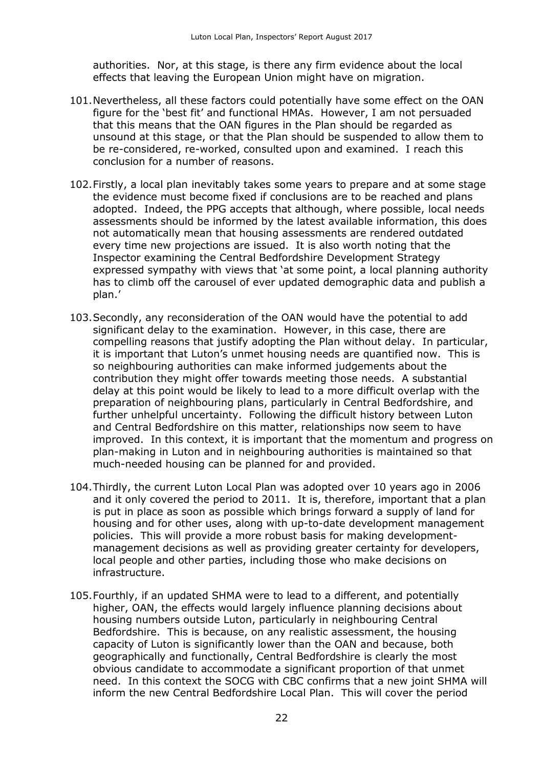authorities. Nor, at this stage, is there any firm evidence about the local effects that leaving the European Union might have on migration.

- 101.Nevertheless, all these factors could potentially have some effect on the OAN figure for the 'best fit' and functional HMAs. However, I am not persuaded that this means that the OAN figures in the Plan should be regarded as unsound at this stage, or that the Plan should be suspended to allow them to be re-considered, re-worked, consulted upon and examined. I reach this conclusion for a number of reasons.
- 102.Firstly, a local plan inevitably takes some years to prepare and at some stage the evidence must become fixed if conclusions are to be reached and plans adopted. Indeed, the PPG accepts that although, where possible, local needs assessments should be informed by the latest available information, this does not automatically mean that housing assessments are rendered outdated every time new projections are issued. It is also worth noting that the Inspector examining the Central Bedfordshire Development Strategy expressed sympathy with views that 'at some point, a local planning authority has to climb off the carousel of ever updated demographic data and publish a plan.'
- 103.Secondly, any reconsideration of the OAN would have the potential to add significant delay to the examination. However, in this case, there are compelling reasons that justify adopting the Plan without delay. In particular, it is important that Luton's unmet housing needs are quantified now. This is so neighbouring authorities can make informed judgements about the contribution they might offer towards meeting those needs. A substantial delay at this point would be likely to lead to a more difficult overlap with the preparation of neighbouring plans, particularly in Central Bedfordshire, and further unhelpful uncertainty. Following the difficult history between Luton and Central Bedfordshire on this matter, relationships now seem to have improved. In this context, it is important that the momentum and progress on plan-making in Luton and in neighbouring authorities is maintained so that much-needed housing can be planned for and provided.
- 104.Thirdly, the current Luton Local Plan was adopted over 10 years ago in 2006 and it only covered the period to 2011. It is, therefore, important that a plan is put in place as soon as possible which brings forward a supply of land for housing and for other uses, along with up-to-date development management policies. This will provide a more robust basis for making developmentmanagement decisions as well as providing greater certainty for developers, local people and other parties, including those who make decisions on infrastructure.
- 105.Fourthly, if an updated SHMA were to lead to a different, and potentially higher, OAN, the effects would largely influence planning decisions about housing numbers outside Luton, particularly in neighbouring Central Bedfordshire. This is because, on any realistic assessment, the housing capacity of Luton is significantly lower than the OAN and because, both geographically and functionally, Central Bedfordshire is clearly the most obvious candidate to accommodate a significant proportion of that unmet need. In this context the SOCG with CBC confirms that a new joint SHMA will inform the new Central Bedfordshire Local Plan. This will cover the period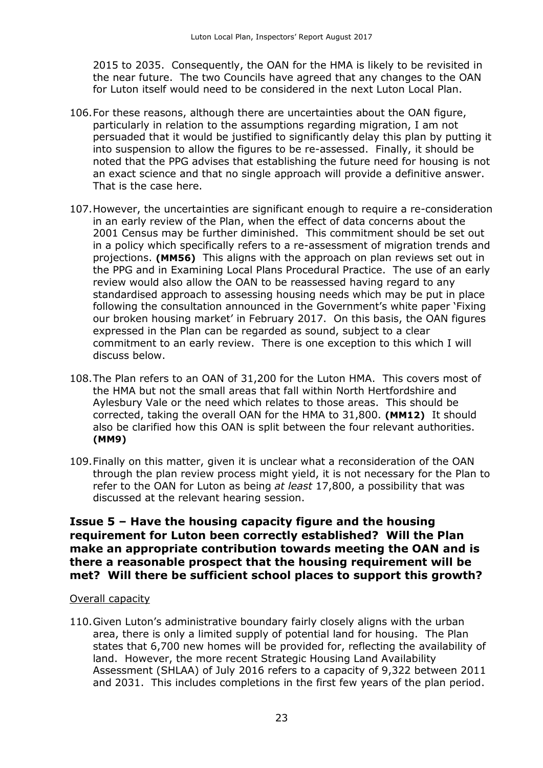2015 to 2035. Consequently, the OAN for the HMA is likely to be revisited in the near future. The two Councils have agreed that any changes to the OAN for Luton itself would need to be considered in the next Luton Local Plan.

- 106.For these reasons, although there are uncertainties about the OAN figure, particularly in relation to the assumptions regarding migration, I am not persuaded that it would be justified to significantly delay this plan by putting it into suspension to allow the figures to be re-assessed. Finally, it should be noted that the PPG advises that establishing the future need for housing is not an exact science and that no single approach will provide a definitive answer. That is the case here.
- 107.However, the uncertainties are significant enough to require a re-consideration in an early review of the Plan, when the effect of data concerns about the 2001 Census may be further diminished. This commitment should be set out in a policy which specifically refers to a re-assessment of migration trends and projections. **(MM56)** This aligns with the approach on plan reviews set out in the PPG and in Examining Local Plans Procedural Practice. The use of an early review would also allow the OAN to be reassessed having regard to any standardised approach to assessing housing needs which may be put in place following the consultation announced in the Government's white paper 'Fixing our broken housing market' in February 2017. On this basis, the OAN figures expressed in the Plan can be regarded as sound, subject to a clear commitment to an early review. There is one exception to this which I will discuss below.
- 108.The Plan refers to an OAN of 31,200 for the Luton HMA. This covers most of the HMA but not the small areas that fall within North Hertfordshire and Aylesbury Vale or the need which relates to those areas. This should be corrected, taking the overall OAN for the HMA to 31,800. **(MM12)** It should also be clarified how this OAN is split between the four relevant authorities. **(MM9)**
- 109.Finally on this matter, given it is unclear what a reconsideration of the OAN through the plan review process might yield, it is not necessary for the Plan to refer to the OAN for Luton as being *at least* 17,800, a possibility that was discussed at the relevant hearing session.

## **Issue 5 – Have the housing capacity figure and the housing requirement for Luton been correctly established? Will the Plan make an appropriate contribution towards meeting the OAN and is there a reasonable prospect that the housing requirement will be met? Will there be sufficient school places to support this growth?**

#### Overall capacity

110.Given Luton's administrative boundary fairly closely aligns with the urban area, there is only a limited supply of potential land for housing. The Plan states that 6,700 new homes will be provided for, reflecting the availability of land. However, the more recent Strategic Housing Land Availability Assessment (SHLAA) of July 2016 refers to a capacity of 9,322 between 2011 and 2031. This includes completions in the first few years of the plan period.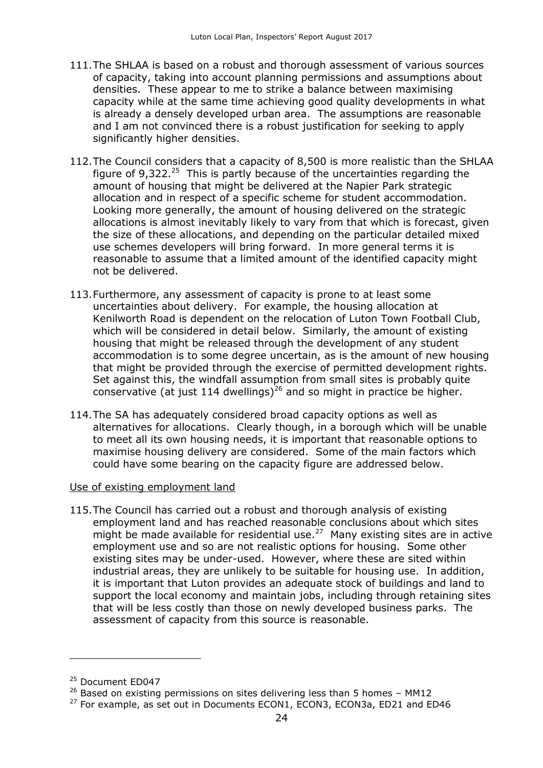- 111.The SHLAA is based on a robust and thorough assessment of various sources of capacity, taking into account planning permissions and assumptions about densities. These appear to me to strike a balance between maximising capacity while at the same time achieving good quality developments in what is already a densely developed urban area. The assumptions are reasonable and I am not convinced there is a robust justification for seeking to apply significantly higher densities.
- 112.The Council considers that a capacity of 8,500 is more realistic than the SHLAA figure of 9,322. $^{25}$  This is partly because of the uncertainties regarding the amount of housing that might be delivered at the Napier Park strategic allocation and in respect of a specific scheme for student accommodation. Looking more generally, the amount of housing delivered on the strategic allocations is almost inevitably likely to vary from that which is forecast, given the size of these allocations, and depending on the particular detailed mixed use schemes developers will bring forward. In more general terms it is reasonable to assume that a limited amount of the identified capacity might not be delivered.
- 113.Furthermore, any assessment of capacity is prone to at least some uncertainties about delivery. For example, the housing allocation at Kenilworth Road is dependent on the relocation of Luton Town Football Club, which will be considered in detail below. Similarly, the amount of existing housing that might be released through the development of any student accommodation is to some degree uncertain, as is the amount of new housing that might be provided through the exercise of permitted development rights. Set against this, the windfall assumption from small sites is probably quite conservative (at just 114 dwellings)<sup>26</sup> and so might in practice be higher.
- 114.The SA has adequately considered broad capacity options as well as alternatives for allocations. Clearly though, in a borough which will be unable to meet all its own housing needs, it is important that reasonable options to maximise housing delivery are considered. Some of the main factors which could have some bearing on the capacity figure are addressed below.

#### Use of existing employment land

115.The Council has carried out a robust and thorough analysis of existing employment land and has reached reasonable conclusions about which sites might be made available for residential use. $^{27}$  Many existing sites are in active employment use and so are not realistic options for housing. Some other existing sites may be under-used. However, where these are sited within industrial areas, they are unlikely to be suitable for housing use. In addition, it is important that Luton provides an adequate stock of buildings and land to support the local economy and maintain jobs, including through retaining sites that will be less costly than those on newly developed business parks. The assessment of capacity from this source is reasonable.

<sup>&</sup>lt;sup>25</sup> Document ED047

 $26$  Based on existing permissions on sites delivering less than 5 homes – MM12

<sup>&</sup>lt;sup>27</sup> For example, as set out in Documents ECON1, ECON3, ECON3a, ED21 and ED46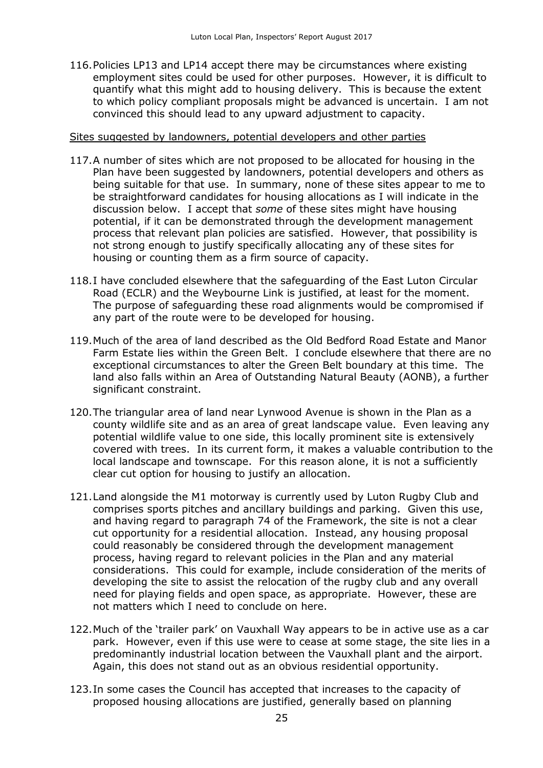116.Policies LP13 and LP14 accept there may be circumstances where existing employment sites could be used for other purposes. However, it is difficult to quantify what this might add to housing delivery. This is because the extent to which policy compliant proposals might be advanced is uncertain. I am not convinced this should lead to any upward adjustment to capacity.

#### Sites suggested by landowners, potential developers and other parties

- 117.A number of sites which are not proposed to be allocated for housing in the Plan have been suggested by landowners, potential developers and others as being suitable for that use. In summary, none of these sites appear to me to be straightforward candidates for housing allocations as I will indicate in the discussion below. I accept that *some* of these sites might have housing potential, if it can be demonstrated through the development management process that relevant plan policies are satisfied. However, that possibility is not strong enough to justify specifically allocating any of these sites for housing or counting them as a firm source of capacity.
- 118.I have concluded elsewhere that the safeguarding of the East Luton Circular Road (ECLR) and the Weybourne Link is justified, at least for the moment. The purpose of safeguarding these road alignments would be compromised if any part of the route were to be developed for housing.
- 119.Much of the area of land described as the Old Bedford Road Estate and Manor Farm Estate lies within the Green Belt. I conclude elsewhere that there are no exceptional circumstances to alter the Green Belt boundary at this time. The land also falls within an Area of Outstanding Natural Beauty (AONB), a further significant constraint.
- 120.The triangular area of land near Lynwood Avenue is shown in the Plan as a county wildlife site and as an area of great landscape value. Even leaving any potential wildlife value to one side, this locally prominent site is extensively covered with trees. In its current form, it makes a valuable contribution to the local landscape and townscape. For this reason alone, it is not a sufficiently clear cut option for housing to justify an allocation.
- 121.Land alongside the M1 motorway is currently used by Luton Rugby Club and comprises sports pitches and ancillary buildings and parking. Given this use, and having regard to paragraph 74 of the Framework, the site is not a clear cut opportunity for a residential allocation. Instead, any housing proposal could reasonably be considered through the development management process, having regard to relevant policies in the Plan and any material considerations. This could for example, include consideration of the merits of developing the site to assist the relocation of the rugby club and any overall need for playing fields and open space, as appropriate. However, these are not matters which I need to conclude on here.
- 122.Much of the 'trailer park' on Vauxhall Way appears to be in active use as a car park. However, even if this use were to cease at some stage, the site lies in a predominantly industrial location between the Vauxhall plant and the airport. Again, this does not stand out as an obvious residential opportunity.
- 123.In some cases the Council has accepted that increases to the capacity of proposed housing allocations are justified, generally based on planning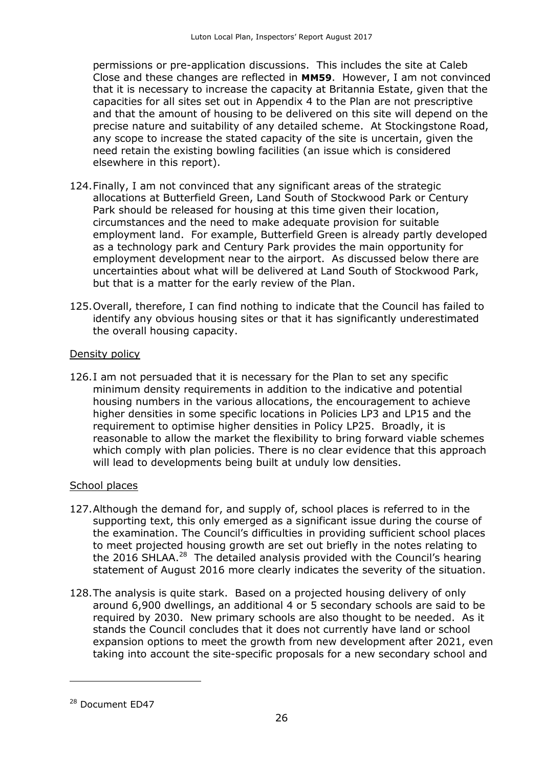permissions or pre-application discussions. This includes the site at Caleb Close and these changes are reflected in **MM59**. However, I am not convinced that it is necessary to increase the capacity at Britannia Estate, given that the capacities for all sites set out in Appendix 4 to the Plan are not prescriptive and that the amount of housing to be delivered on this site will depend on the precise nature and suitability of any detailed scheme. At Stockingstone Road, any scope to increase the stated capacity of the site is uncertain, given the need retain the existing bowling facilities (an issue which is considered elsewhere in this report).

- 124.Finally, I am not convinced that any significant areas of the strategic allocations at Butterfield Green, Land South of Stockwood Park or Century Park should be released for housing at this time given their location, circumstances and the need to make adequate provision for suitable employment land. For example, Butterfield Green is already partly developed as a technology park and Century Park provides the main opportunity for employment development near to the airport. As discussed below there are uncertainties about what will be delivered at Land South of Stockwood Park, but that is a matter for the early review of the Plan.
- 125.Overall, therefore, I can find nothing to indicate that the Council has failed to identify any obvious housing sites or that it has significantly underestimated the overall housing capacity.

#### Density policy

126.I am not persuaded that it is necessary for the Plan to set any specific minimum density requirements in addition to the indicative and potential housing numbers in the various allocations, the encouragement to achieve higher densities in some specific locations in Policies LP3 and LP15 and the requirement to optimise higher densities in Policy LP25. Broadly, it is reasonable to allow the market the flexibility to bring forward viable schemes which comply with plan policies. There is no clear evidence that this approach will lead to developments being built at unduly low densities.

#### School places

- 127.Although the demand for, and supply of, school places is referred to in the supporting text, this only emerged as a significant issue during the course of the examination. The Council's difficulties in providing sufficient school places to meet projected housing growth are set out briefly in the notes relating to the 2016 SHLAA.<sup>28</sup> The detailed analysis provided with the Council's hearing statement of August 2016 more clearly indicates the severity of the situation.
- 128.The analysis is quite stark. Based on a projected housing delivery of only around 6,900 dwellings, an additional 4 or 5 secondary schools are said to be required by 2030. New primary schools are also thought to be needed. As it stands the Council concludes that it does not currently have land or school expansion options to meet the growth from new development after 2021, even taking into account the site-specific proposals for a new secondary school and

<sup>&</sup>lt;sup>28</sup> Document ED47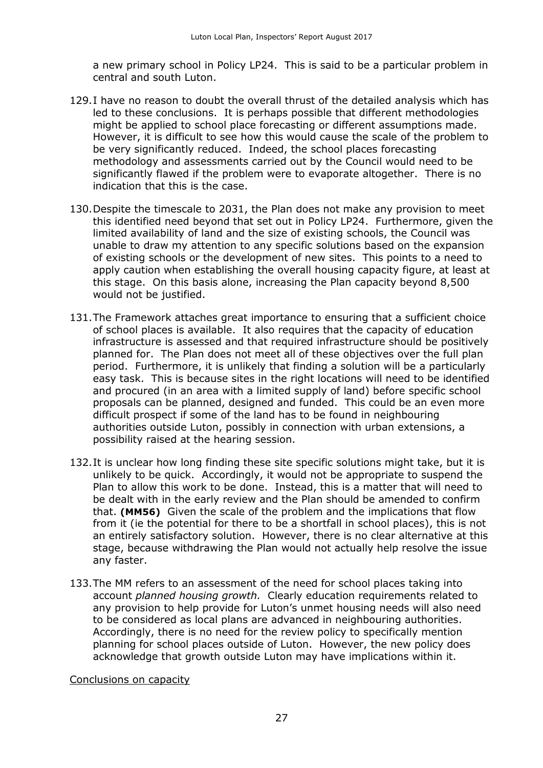a new primary school in Policy LP24. This is said to be a particular problem in central and south Luton.

- 129.I have no reason to doubt the overall thrust of the detailed analysis which has led to these conclusions. It is perhaps possible that different methodologies might be applied to school place forecasting or different assumptions made. However, it is difficult to see how this would cause the scale of the problem to be very significantly reduced. Indeed, the school places forecasting methodology and assessments carried out by the Council would need to be significantly flawed if the problem were to evaporate altogether. There is no indication that this is the case.
- 130.Despite the timescale to 2031, the Plan does not make any provision to meet this identified need beyond that set out in Policy LP24. Furthermore, given the limited availability of land and the size of existing schools, the Council was unable to draw my attention to any specific solutions based on the expansion of existing schools or the development of new sites. This points to a need to apply caution when establishing the overall housing capacity figure, at least at this stage. On this basis alone, increasing the Plan capacity beyond 8,500 would not be justified.
- 131.The Framework attaches great importance to ensuring that a sufficient choice of school places is available. It also requires that the capacity of education infrastructure is assessed and that required infrastructure should be positively planned for. The Plan does not meet all of these objectives over the full plan period. Furthermore, it is unlikely that finding a solution will be a particularly easy task. This is because sites in the right locations will need to be identified and procured (in an area with a limited supply of land) before specific school proposals can be planned, designed and funded. This could be an even more difficult prospect if some of the land has to be found in neighbouring authorities outside Luton, possibly in connection with urban extensions, a possibility raised at the hearing session.
- 132.It is unclear how long finding these site specific solutions might take, but it is unlikely to be quick. Accordingly, it would not be appropriate to suspend the Plan to allow this work to be done. Instead, this is a matter that will need to be dealt with in the early review and the Plan should be amended to confirm that. **(MM56)** Given the scale of the problem and the implications that flow from it (ie the potential for there to be a shortfall in school places), this is not an entirely satisfactory solution. However, there is no clear alternative at this stage, because withdrawing the Plan would not actually help resolve the issue any faster.
- 133.The MM refers to an assessment of the need for school places taking into account *planned housing growth.* Clearly education requirements related to any provision to help provide for Luton's unmet housing needs will also need to be considered as local plans are advanced in neighbouring authorities. Accordingly, there is no need for the review policy to specifically mention planning for school places outside of Luton. However, the new policy does acknowledge that growth outside Luton may have implications within it.

#### Conclusions on capacity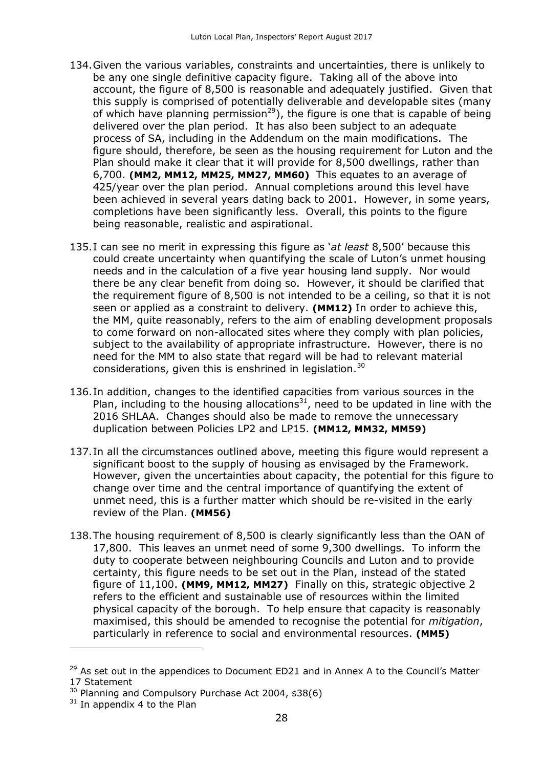- 134.Given the various variables, constraints and uncertainties, there is unlikely to be any one single definitive capacity figure. Taking all of the above into account, the figure of 8,500 is reasonable and adequately justified. Given that this supply is comprised of potentially deliverable and developable sites (many of which have planning permission<sup>29</sup>), the figure is one that is capable of being delivered over the plan period. It has also been subject to an adequate process of SA, including in the Addendum on the main modifications. The figure should, therefore, be seen as the housing requirement for Luton and the Plan should make it clear that it will provide for 8,500 dwellings, rather than 6,700. **(MM2, MM12, MM25, MM27, MM60)** This equates to an average of 425/year over the plan period. Annual completions around this level have been achieved in several years dating back to 2001. However, in some years, completions have been significantly less. Overall, this points to the figure being reasonable, realistic and aspirational.
- 135.I can see no merit in expressing this figure as '*at least* 8,500' because this could create uncertainty when quantifying the scale of Luton's unmet housing needs and in the calculation of a five year housing land supply. Nor would there be any clear benefit from doing so. However, it should be clarified that the requirement figure of 8,500 is not intended to be a ceiling, so that it is not seen or applied as a constraint to delivery. **(MM12)** In order to achieve this, the MM, quite reasonably, refers to the aim of enabling development proposals to come forward on non-allocated sites where they comply with plan policies, subject to the availability of appropriate infrastructure. However, there is no need for the MM to also state that regard will be had to relevant material considerations, given this is enshrined in legislation.<sup>30</sup>
- 136.In addition, changes to the identified capacities from various sources in the Plan, including to the housing allocations<sup>31</sup>, need to be updated in line with the 2016 SHLAA. Changes should also be made to remove the unnecessary duplication between Policies LP2 and LP15. **(MM12, MM32, MM59)**
- 137.In all the circumstances outlined above, meeting this figure would represent a significant boost to the supply of housing as envisaged by the Framework. However, given the uncertainties about capacity, the potential for this figure to change over time and the central importance of quantifying the extent of unmet need, this is a further matter which should be re-visited in the early review of the Plan. **(MM56)**
- 138.The housing requirement of 8,500 is clearly significantly less than the OAN of 17,800. This leaves an unmet need of some 9,300 dwellings. To inform the duty to cooperate between neighbouring Councils and Luton and to provide certainty, this figure needs to be set out in the Plan, instead of the stated figure of 11,100. **(MM9, MM12, MM27)** Finally on this, strategic objective 2 refers to the efficient and sustainable use of resources within the limited physical capacity of the borough. To help ensure that capacity is reasonably maximised, this should be amended to recognise the potential for *mitigation*, particularly in reference to social and environmental resources. **(MM5)**

-

 $29$  As set out in the appendices to Document ED21 and in Annex A to the Council's Matter 17 Statement

<sup>&</sup>lt;sup>30</sup> Planning and Compulsory Purchase Act 2004, s38(6)

 $31$  In appendix 4 to the Plan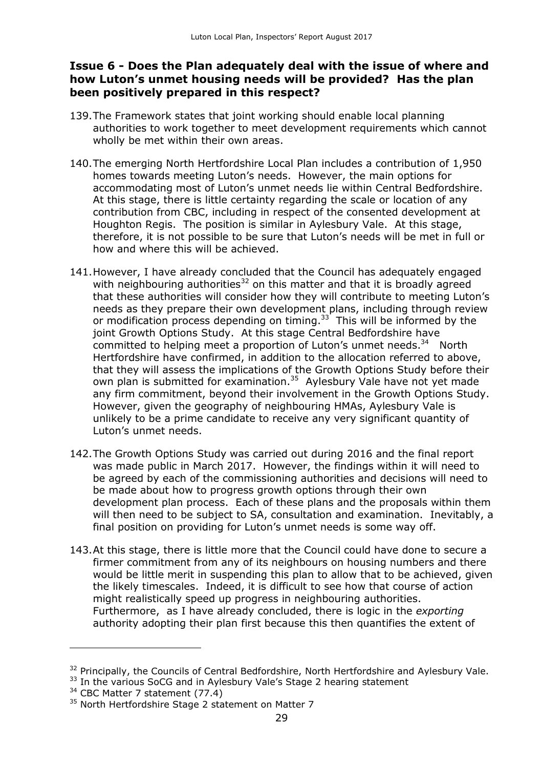## **Issue 6 - Does the Plan adequately deal with the issue of where and how Luton's unmet housing needs will be provided? Has the plan been positively prepared in this respect?**

- 139.The Framework states that joint working should enable local planning authorities to work together to meet development requirements which cannot wholly be met within their own areas.
- 140.The emerging North Hertfordshire Local Plan includes a contribution of 1,950 homes towards meeting Luton's needs. However, the main options for accommodating most of Luton's unmet needs lie within Central Bedfordshire. At this stage, there is little certainty regarding the scale or location of any contribution from CBC, including in respect of the consented development at Houghton Regis. The position is similar in Aylesbury Vale. At this stage, therefore, it is not possible to be sure that Luton's needs will be met in full or how and where this will be achieved.
- 141.However, I have already concluded that the Council has adequately engaged with neighbouring authorities<sup>32</sup> on this matter and that it is broadly agreed that these authorities will consider how they will contribute to meeting Luton's needs as they prepare their own development plans, including through review or modification process depending on timing. $33$  This will be informed by the joint Growth Options Study. At this stage Central Bedfordshire have committed to helping meet a proportion of Luton's unmet needs.<sup>34</sup> North Hertfordshire have confirmed, in addition to the allocation referred to above, that they will assess the implications of the Growth Options Study before their own plan is submitted for examination.<sup>35</sup> Aylesbury Vale have not yet made any firm commitment, beyond their involvement in the Growth Options Study. However, given the geography of neighbouring HMAs, Aylesbury Vale is unlikely to be a prime candidate to receive any very significant quantity of Luton's unmet needs.
- 142.The Growth Options Study was carried out during 2016 and the final report was made public in March 2017. However, the findings within it will need to be agreed by each of the commissioning authorities and decisions will need to be made about how to progress growth options through their own development plan process. Each of these plans and the proposals within them will then need to be subject to SA, consultation and examination. Inevitably, a final position on providing for Luton's unmet needs is some way off.
- 143.At this stage, there is little more that the Council could have done to secure a firmer commitment from any of its neighbours on housing numbers and there would be little merit in suspending this plan to allow that to be achieved, given the likely timescales. Indeed, it is difficult to see how that course of action might realistically speed up progress in neighbouring authorities. Furthermore, as I have already concluded, there is logic in the *exporting*  authority adopting their plan first because this then quantifies the extent of

-

<sup>&</sup>lt;sup>32</sup> Principally, the Councils of Central Bedfordshire, North Hertfordshire and Aylesbury Vale.

<sup>&</sup>lt;sup>33</sup> In the various SoCG and in Aylesbury Vale's Stage 2 hearing statement

 $34$  CBC Matter 7 statement (77.4)

<sup>&</sup>lt;sup>35</sup> North Hertfordshire Stage 2 statement on Matter 7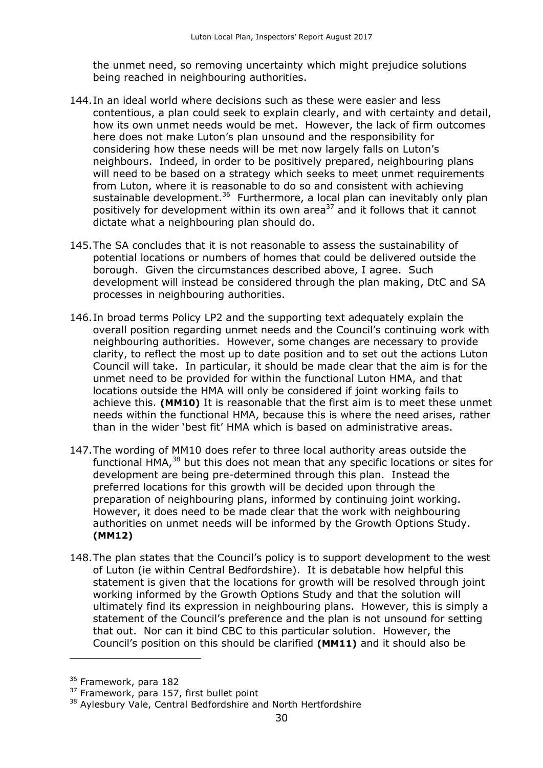the unmet need, so removing uncertainty which might prejudice solutions being reached in neighbouring authorities.

- 144.In an ideal world where decisions such as these were easier and less contentious, a plan could seek to explain clearly, and with certainty and detail, how its own unmet needs would be met. However, the lack of firm outcomes here does not make Luton's plan unsound and the responsibility for considering how these needs will be met now largely falls on Luton's neighbours. Indeed, in order to be positively prepared, neighbouring plans will need to be based on a strategy which seeks to meet unmet requirements from Luton, where it is reasonable to do so and consistent with achieving sustainable development.<sup>36</sup> Furthermore, a local plan can inevitably only plan positively for development within its own area<sup>37</sup> and it follows that it cannot dictate what a neighbouring plan should do.
- 145.The SA concludes that it is not reasonable to assess the sustainability of potential locations or numbers of homes that could be delivered outside the borough. Given the circumstances described above, I agree. Such development will instead be considered through the plan making, DtC and SA processes in neighbouring authorities.
- 146.In broad terms Policy LP2 and the supporting text adequately explain the overall position regarding unmet needs and the Council's continuing work with neighbouring authorities. However, some changes are necessary to provide clarity, to reflect the most up to date position and to set out the actions Luton Council will take. In particular, it should be made clear that the aim is for the unmet need to be provided for within the functional Luton HMA, and that locations outside the HMA will only be considered if joint working fails to achieve this. **(MM10)** It is reasonable that the first aim is to meet these unmet needs within the functional HMA, because this is where the need arises, rather than in the wider 'best fit' HMA which is based on administrative areas.
- 147.The wording of MM10 does refer to three local authority areas outside the functional HMA,<sup>38</sup> but this does not mean that any specific locations or sites for development are being pre-determined through this plan. Instead the preferred locations for this growth will be decided upon through the preparation of neighbouring plans, informed by continuing joint working. However, it does need to be made clear that the work with neighbouring authorities on unmet needs will be informed by the Growth Options Study. **(MM12)**
- 148.The plan states that the Council's policy is to support development to the west of Luton (ie within Central Bedfordshire). It is debatable how helpful this statement is given that the locations for growth will be resolved through joint working informed by the Growth Options Study and that the solution will ultimately find its expression in neighbouring plans. However, this is simply a statement of the Council's preference and the plan is not unsound for setting that out. Nor can it bind CBC to this particular solution. However, the Council's position on this should be clarified **(MM11)** and it should also be

<sup>&</sup>lt;sup>36</sup> Framework, para 182

<sup>&</sup>lt;sup>37</sup> Framework, para 157, first bullet point

<sup>&</sup>lt;sup>38</sup> Aylesbury Vale, Central Bedfordshire and North Hertfordshire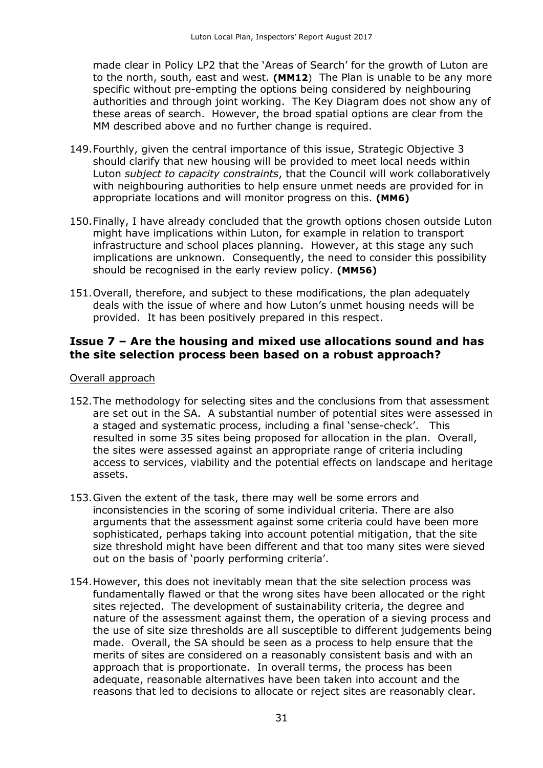made clear in Policy LP2 that the 'Areas of Search' for the growth of Luton are to the north, south, east and west. **(MM12**) The Plan is unable to be any more specific without pre-empting the options being considered by neighbouring authorities and through joint working. The Key Diagram does not show any of these areas of search. However, the broad spatial options are clear from the MM described above and no further change is required.

- 149.Fourthly, given the central importance of this issue, Strategic Objective 3 should clarify that new housing will be provided to meet local needs within Luton *subject to capacity constraints*, that the Council will work collaboratively with neighbouring authorities to help ensure unmet needs are provided for in appropriate locations and will monitor progress on this. **(MM6)**
- 150.Finally, I have already concluded that the growth options chosen outside Luton might have implications within Luton, for example in relation to transport infrastructure and school places planning. However, at this stage any such implications are unknown. Consequently, the need to consider this possibility should be recognised in the early review policy. **(MM56)**
- 151.Overall, therefore, and subject to these modifications, the plan adequately deals with the issue of where and how Luton's unmet housing needs will be provided. It has been positively prepared in this respect.

## **Issue 7 – Are the housing and mixed use allocations sound and has the site selection process been based on a robust approach?**

#### Overall approach

- 152.The methodology for selecting sites and the conclusions from that assessment are set out in the SA. A substantial number of potential sites were assessed in a staged and systematic process, including a final 'sense-check'. This resulted in some 35 sites being proposed for allocation in the plan. Overall, the sites were assessed against an appropriate range of criteria including access to services, viability and the potential effects on landscape and heritage assets.
- 153.Given the extent of the task, there may well be some errors and inconsistencies in the scoring of some individual criteria. There are also arguments that the assessment against some criteria could have been more sophisticated, perhaps taking into account potential mitigation, that the site size threshold might have been different and that too many sites were sieved out on the basis of 'poorly performing criteria'.
- 154.However, this does not inevitably mean that the site selection process was fundamentally flawed or that the wrong sites have been allocated or the right sites rejected. The development of sustainability criteria, the degree and nature of the assessment against them, the operation of a sieving process and the use of site size thresholds are all susceptible to different judgements being made. Overall, the SA should be seen as a process to help ensure that the merits of sites are considered on a reasonably consistent basis and with an approach that is proportionate. In overall terms, the process has been adequate, reasonable alternatives have been taken into account and the reasons that led to decisions to allocate or reject sites are reasonably clear.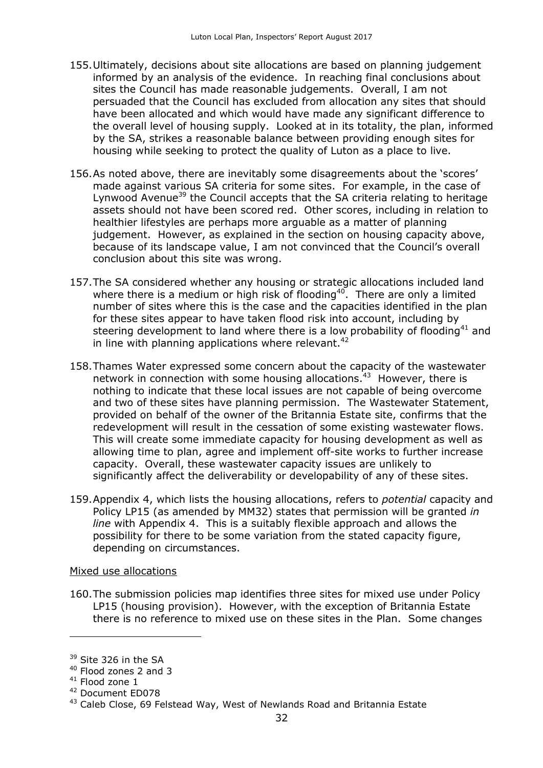- 155.Ultimately, decisions about site allocations are based on planning judgement informed by an analysis of the evidence. In reaching final conclusions about sites the Council has made reasonable judgements. Overall, I am not persuaded that the Council has excluded from allocation any sites that should have been allocated and which would have made any significant difference to the overall level of housing supply. Looked at in its totality, the plan, informed by the SA, strikes a reasonable balance between providing enough sites for housing while seeking to protect the quality of Luton as a place to live.
- 156.As noted above, there are inevitably some disagreements about the 'scores' made against various SA criteria for some sites. For example, in the case of Lynwood Avenue<sup>39</sup> the Council accepts that the SA criteria relating to heritage assets should not have been scored red. Other scores, including in relation to healthier lifestyles are perhaps more arguable as a matter of planning judgement. However, as explained in the section on housing capacity above, because of its landscape value, I am not convinced that the Council's overall conclusion about this site was wrong.
- 157.The SA considered whether any housing or strategic allocations included land where there is a medium or high risk of flooding<sup>40</sup>. There are only a limited number of sites where this is the case and the capacities identified in the plan for these sites appear to have taken flood risk into account, including by steering development to land where there is a low probability of flooding<sup>41</sup> and in line with planning applications where relevant.<sup>42</sup>
- 158.Thames Water expressed some concern about the capacity of the wastewater network in connection with some housing allocations.<sup>43</sup> However, there is nothing to indicate that these local issues are not capable of being overcome and two of these sites have planning permission. The Wastewater Statement, provided on behalf of the owner of the Britannia Estate site, confirms that the redevelopment will result in the cessation of some existing wastewater flows. This will create some immediate capacity for housing development as well as allowing time to plan, agree and implement off-site works to further increase capacity. Overall, these wastewater capacity issues are unlikely to significantly affect the deliverability or developability of any of these sites.
- 159.Appendix 4, which lists the housing allocations, refers to *potential* capacity and Policy LP15 (as amended by MM32) states that permission will be granted *in line* with Appendix 4. This is a suitably flexible approach and allows the possibility for there to be some variation from the stated capacity figure, depending on circumstances.

#### Mixed use allocations

160.The submission policies map identifies three sites for mixed use under Policy LP15 (housing provision). However, with the exception of Britannia Estate there is no reference to mixed use on these sites in the Plan. Some changes

<sup>&</sup>lt;sup>39</sup> Site 326 in the SA

<sup>40</sup> Flood zones 2 and 3

 $41$  Flood zone 1

<sup>42</sup> Document ED078

<sup>&</sup>lt;sup>43</sup> Caleb Close, 69 Felstead Way, West of Newlands Road and Britannia Estate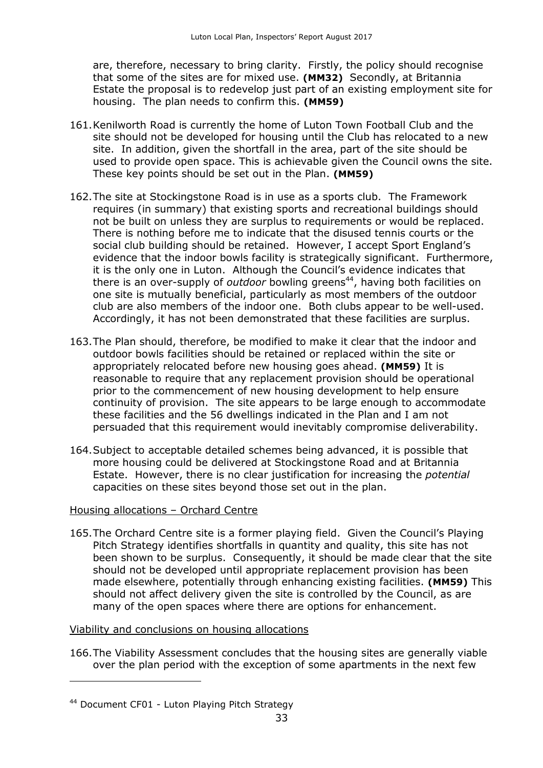are, therefore, necessary to bring clarity. Firstly, the policy should recognise that some of the sites are for mixed use. **(MM32)** Secondly, at Britannia Estate the proposal is to redevelop just part of an existing employment site for housing. The plan needs to confirm this. **(MM59)**

- 161.Kenilworth Road is currently the home of Luton Town Football Club and the site should not be developed for housing until the Club has relocated to a new site. In addition, given the shortfall in the area, part of the site should be used to provide open space. This is achievable given the Council owns the site. These key points should be set out in the Plan. **(MM59)**
- 162.The site at Stockingstone Road is in use as a sports club. The Framework requires (in summary) that existing sports and recreational buildings should not be built on unless they are surplus to requirements or would be replaced. There is nothing before me to indicate that the disused tennis courts or the social club building should be retained. However, I accept Sport England's evidence that the indoor bowls facility is strategically significant. Furthermore, it is the only one in Luton. Although the Council's evidence indicates that there is an over-supply of *outdoor* bowling greens<sup>44</sup>, having both facilities on one site is mutually beneficial, particularly as most members of the outdoor club are also members of the indoor one. Both clubs appear to be well-used. Accordingly, it has not been demonstrated that these facilities are surplus.
- 163.The Plan should, therefore, be modified to make it clear that the indoor and outdoor bowls facilities should be retained or replaced within the site or appropriately relocated before new housing goes ahead. **(MM59)** It is reasonable to require that any replacement provision should be operational prior to the commencement of new housing development to help ensure continuity of provision. The site appears to be large enough to accommodate these facilities and the 56 dwellings indicated in the Plan and I am not persuaded that this requirement would inevitably compromise deliverability.
- 164.Subject to acceptable detailed schemes being advanced, it is possible that more housing could be delivered at Stockingstone Road and at Britannia Estate. However, there is no clear justification for increasing the *potential* capacities on these sites beyond those set out in the plan.

#### Housing allocations – Orchard Centre

165.The Orchard Centre site is a former playing field. Given the Council's Playing Pitch Strategy identifies shortfalls in quantity and quality, this site has not been shown to be surplus. Consequently, it should be made clear that the site should not be developed until appropriate replacement provision has been made elsewhere, potentially through enhancing existing facilities. **(MM59)** This should not affect delivery given the site is controlled by the Council, as are many of the open spaces where there are options for enhancement.

#### Viability and conclusions on housing allocations

166.The Viability Assessment concludes that the housing sites are generally viable over the plan period with the exception of some apartments in the next few

<sup>44</sup> Document CF01 - Luton Playing Pitch Strategy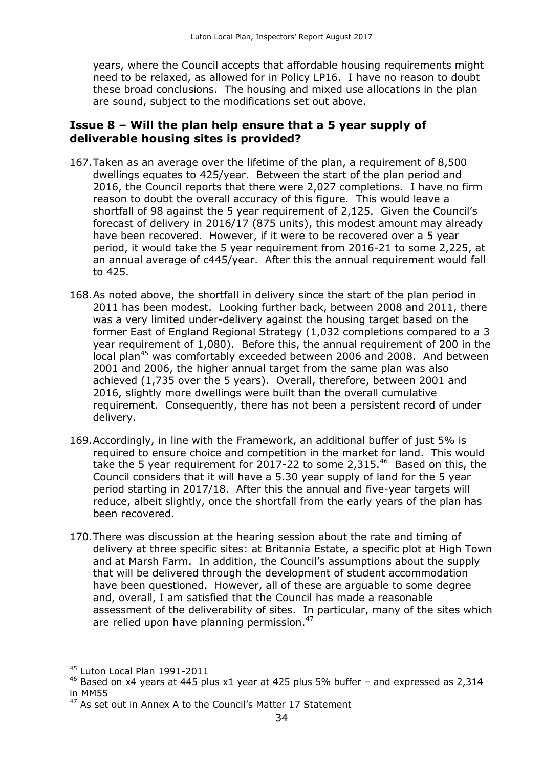years, where the Council accepts that affordable housing requirements might need to be relaxed, as allowed for in Policy LP16. I have no reason to doubt these broad conclusions. The housing and mixed use allocations in the plan are sound, subject to the modifications set out above.

## **Issue 8 – Will the plan help ensure that a 5 year supply of deliverable housing sites is provided?**

- 167.Taken as an average over the lifetime of the plan, a requirement of 8,500 dwellings equates to 425/year. Between the start of the plan period and 2016, the Council reports that there were 2,027 completions. I have no firm reason to doubt the overall accuracy of this figure. This would leave a shortfall of 98 against the 5 year requirement of 2,125. Given the Council's forecast of delivery in 2016/17 (875 units), this modest amount may already have been recovered. However, if it were to be recovered over a 5 year period, it would take the 5 year requirement from 2016-21 to some 2,225, at an annual average of c445/year. After this the annual requirement would fall to 425.
- 168.As noted above, the shortfall in delivery since the start of the plan period in 2011 has been modest. Looking further back, between 2008 and 2011, there was a very limited under-delivery against the housing target based on the former East of England Regional Strategy (1,032 completions compared to a 3 year requirement of 1,080). Before this, the annual requirement of 200 in the local plan<sup>45</sup> was comfortably exceeded between 2006 and 2008. And between 2001 and 2006, the higher annual target from the same plan was also achieved (1,735 over the 5 years). Overall, therefore, between 2001 and 2016, slightly more dwellings were built than the overall cumulative requirement. Consequently, there has not been a persistent record of under delivery.
- 169.Accordingly, in line with the Framework, an additional buffer of just 5% is required to ensure choice and competition in the market for land. This would take the 5 year requirement for 2017-22 to some 2,315.<sup>46</sup> Based on this, the Council considers that it will have a 5.30 year supply of land for the 5 year period starting in 2017/18. After this the annual and five-year targets will reduce, albeit slightly, once the shortfall from the early years of the plan has been recovered.
- 170.There was discussion at the hearing session about the rate and timing of delivery at three specific sites: at Britannia Estate, a specific plot at High Town and at Marsh Farm. In addition, the Council's assumptions about the supply that will be delivered through the development of student accommodation have been questioned. However, all of these are arguable to some degree and, overall, I am satisfied that the Council has made a reasonable assessment of the deliverability of sites. In particular, many of the sites which are relied upon have planning permission. $47$

-

<sup>&</sup>lt;sup>45</sup> Luton Local Plan 1991-2011

 $46$  Based on x4 years at 445 plus x1 year at 425 plus 5% buffer – and expressed as 2,314 in MM55

<sup>&</sup>lt;sup>47</sup> As set out in Annex A to the Council's Matter 17 Statement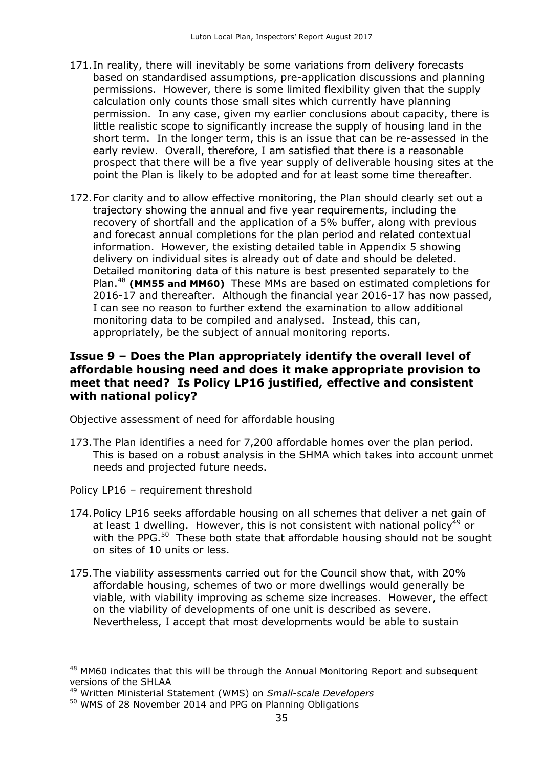- 171.In reality, there will inevitably be some variations from delivery forecasts based on standardised assumptions, pre-application discussions and planning permissions. However, there is some limited flexibility given that the supply calculation only counts those small sites which currently have planning permission. In any case, given my earlier conclusions about capacity, there is little realistic scope to significantly increase the supply of housing land in the short term. In the longer term, this is an issue that can be re-assessed in the early review. Overall, therefore, I am satisfied that there is a reasonable prospect that there will be a five year supply of deliverable housing sites at the point the Plan is likely to be adopted and for at least some time thereafter.
- 172.For clarity and to allow effective monitoring, the Plan should clearly set out a trajectory showing the annual and five year requirements, including the recovery of shortfall and the application of a 5% buffer, along with previous and forecast annual completions for the plan period and related contextual information. However, the existing detailed table in Appendix 5 showing delivery on individual sites is already out of date and should be deleted. Detailed monitoring data of this nature is best presented separately to the Plan.<sup>48</sup> **(MM55 and MM60)** These MMs are based on estimated completions for 2016-17 and thereafter. Although the financial year 2016-17 has now passed, I can see no reason to further extend the examination to allow additional monitoring data to be compiled and analysed. Instead, this can, appropriately, be the subject of annual monitoring reports.

## **Issue 9 – Does the Plan appropriately identify the overall level of affordable housing need and does it make appropriate provision to meet that need? Is Policy LP16 justified, effective and consistent with national policy?**

#### Objective assessment of need for affordable housing

173.The Plan identifies a need for 7,200 affordable homes over the plan period. This is based on a robust analysis in the SHMA which takes into account unmet needs and projected future needs.

#### Policy LP16 – requirement threshold

-

- 174.Policy LP16 seeks affordable housing on all schemes that deliver a net gain of at least 1 dwelling. However, this is not consistent with national policy<sup>49</sup> or with the PPG.<sup>50</sup> These both state that affordable housing should not be sought on sites of 10 units or less.
- 175.The viability assessments carried out for the Council show that, with 20% affordable housing, schemes of two or more dwellings would generally be viable, with viability improving as scheme size increases. However, the effect on the viability of developments of one unit is described as severe. Nevertheless, I accept that most developments would be able to sustain

<sup>&</sup>lt;sup>48</sup> MM60 indicates that this will be through the Annual Monitoring Report and subsequent versions of the SHLAA

<sup>49</sup> Written Ministerial Statement (WMS) on *Small-scale Developers*

<sup>50</sup> WMS of 28 November 2014 and PPG on Planning Obligations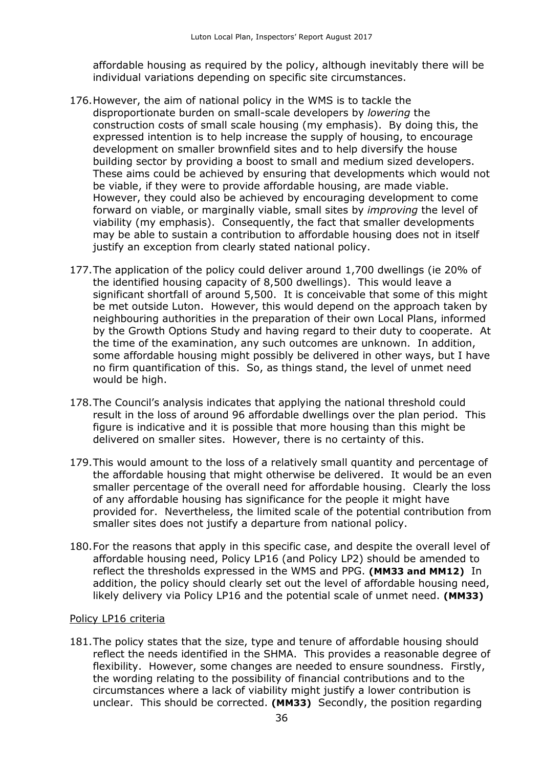affordable housing as required by the policy, although inevitably there will be individual variations depending on specific site circumstances.

- 176.However, the aim of national policy in the WMS is to tackle the disproportionate burden on small-scale developers by *lowering* the construction costs of small scale housing (my emphasis). By doing this, the expressed intention is to help increase the supply of housing, to encourage development on smaller brownfield sites and to help diversify the house building sector by providing a boost to small and medium sized developers. These aims could be achieved by ensuring that developments which would not be viable, if they were to provide affordable housing, are made viable. However, they could also be achieved by encouraging development to come forward on viable, or marginally viable, small sites by *improving* the level of viability (my emphasis). Consequently, the fact that smaller developments may be able to sustain a contribution to affordable housing does not in itself justify an exception from clearly stated national policy.
- 177.The application of the policy could deliver around 1,700 dwellings (ie 20% of the identified housing capacity of 8,500 dwellings). This would leave a significant shortfall of around 5,500. It is conceivable that some of this might be met outside Luton. However, this would depend on the approach taken by neighbouring authorities in the preparation of their own Local Plans, informed by the Growth Options Study and having regard to their duty to cooperate. At the time of the examination, any such outcomes are unknown. In addition, some affordable housing might possibly be delivered in other ways, but I have no firm quantification of this. So, as things stand, the level of unmet need would be high.
- 178.The Council's analysis indicates that applying the national threshold could result in the loss of around 96 affordable dwellings over the plan period. This figure is indicative and it is possible that more housing than this might be delivered on smaller sites. However, there is no certainty of this.
- 179.This would amount to the loss of a relatively small quantity and percentage of the affordable housing that might otherwise be delivered. It would be an even smaller percentage of the overall need for affordable housing. Clearly the loss of any affordable housing has significance for the people it might have provided for. Nevertheless, the limited scale of the potential contribution from smaller sites does not justify a departure from national policy.
- 180.For the reasons that apply in this specific case, and despite the overall level of affordable housing need, Policy LP16 (and Policy LP2) should be amended to reflect the thresholds expressed in the WMS and PPG. **(MM33 and MM12)** In addition, the policy should clearly set out the level of affordable housing need, likely delivery via Policy LP16 and the potential scale of unmet need. **(MM33)**

#### Policy LP16 criteria

181.The policy states that the size, type and tenure of affordable housing should reflect the needs identified in the SHMA. This provides a reasonable degree of flexibility. However, some changes are needed to ensure soundness. Firstly, the wording relating to the possibility of financial contributions and to the circumstances where a lack of viability might justify a lower contribution is unclear. This should be corrected. **(MM33)** Secondly, the position regarding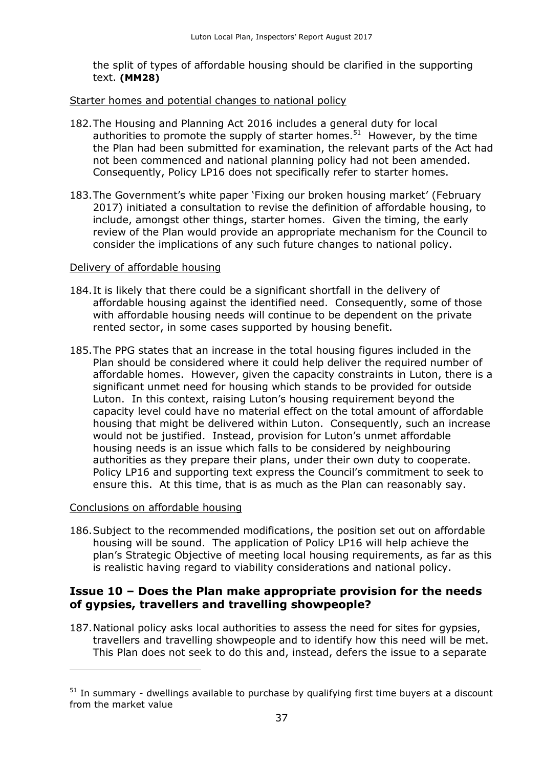the split of types of affordable housing should be clarified in the supporting text. **(MM28)**

#### Starter homes and potential changes to national policy

- 182.The Housing and Planning Act 2016 includes a general duty for local authorities to promote the supply of starter homes.<sup>51</sup> However, by the time the Plan had been submitted for examination, the relevant parts of the Act had not been commenced and national planning policy had not been amended. Consequently, Policy LP16 does not specifically refer to starter homes.
- 183.The Government's white paper 'Fixing our broken housing market' (February 2017) initiated a consultation to revise the definition of affordable housing, to include, amongst other things, starter homes. Given the timing, the early review of the Plan would provide an appropriate mechanism for the Council to consider the implications of any such future changes to national policy.

#### Delivery of affordable housing

- 184.It is likely that there could be a significant shortfall in the delivery of affordable housing against the identified need. Consequently, some of those with affordable housing needs will continue to be dependent on the private rented sector, in some cases supported by housing benefit.
- 185.The PPG states that an increase in the total housing figures included in the Plan should be considered where it could help deliver the required number of affordable homes. However, given the capacity constraints in Luton, there is a significant unmet need for housing which stands to be provided for outside Luton. In this context, raising Luton's housing requirement beyond the capacity level could have no material effect on the total amount of affordable housing that might be delivered within Luton. Consequently, such an increase would not be justified. Instead, provision for Luton's unmet affordable housing needs is an issue which falls to be considered by neighbouring authorities as they prepare their plans, under their own duty to cooperate. Policy LP16 and supporting text express the Council's commitment to seek to ensure this. At this time, that is as much as the Plan can reasonably say.

#### Conclusions on affordable housing

 $\overline{a}$ 

186.Subject to the recommended modifications, the position set out on affordable housing will be sound. The application of Policy LP16 will help achieve the plan's Strategic Objective of meeting local housing requirements, as far as this is realistic having regard to viability considerations and national policy.

## **Issue 10 – Does the Plan make appropriate provision for the needs of gypsies, travellers and travelling showpeople?**

187.National policy asks local authorities to assess the need for sites for gypsies, travellers and travelling showpeople and to identify how this need will be met. This Plan does not seek to do this and, instead, defers the issue to a separate

 $51$  In summary - dwellings available to purchase by qualifying first time buyers at a discount from the market value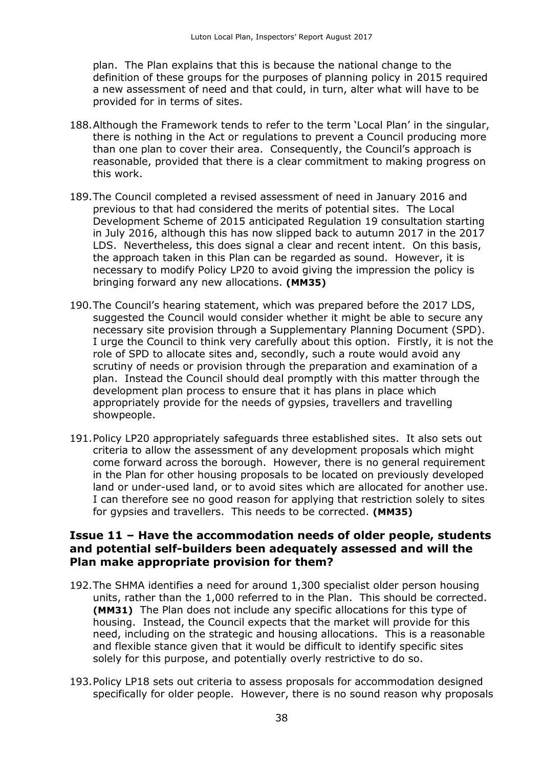plan. The Plan explains that this is because the national change to the definition of these groups for the purposes of planning policy in 2015 required a new assessment of need and that could, in turn, alter what will have to be provided for in terms of sites.

- 188.Although the Framework tends to refer to the term 'Local Plan' in the singular, there is nothing in the Act or regulations to prevent a Council producing more than one plan to cover their area. Consequently, the Council's approach is reasonable, provided that there is a clear commitment to making progress on this work.
- 189.The Council completed a revised assessment of need in January 2016 and previous to that had considered the merits of potential sites. The Local Development Scheme of 2015 anticipated Regulation 19 consultation starting in July 2016, although this has now slipped back to autumn 2017 in the 2017 LDS. Nevertheless, this does signal a clear and recent intent. On this basis, the approach taken in this Plan can be regarded as sound. However, it is necessary to modify Policy LP20 to avoid giving the impression the policy is bringing forward any new allocations. **(MM35)**
- 190.The Council's hearing statement, which was prepared before the 2017 LDS, suggested the Council would consider whether it might be able to secure any necessary site provision through a Supplementary Planning Document (SPD). I urge the Council to think very carefully about this option. Firstly, it is not the role of SPD to allocate sites and, secondly, such a route would avoid any scrutiny of needs or provision through the preparation and examination of a plan. Instead the Council should deal promptly with this matter through the development plan process to ensure that it has plans in place which appropriately provide for the needs of gypsies, travellers and travelling showpeople.
- 191.Policy LP20 appropriately safeguards three established sites. It also sets out criteria to allow the assessment of any development proposals which might come forward across the borough. However, there is no general requirement in the Plan for other housing proposals to be located on previously developed land or under-used land, or to avoid sites which are allocated for another use. I can therefore see no good reason for applying that restriction solely to sites for gypsies and travellers. This needs to be corrected. **(MM35)**

## **Issue 11 – Have the accommodation needs of older people, students and potential self-builders been adequately assessed and will the Plan make appropriate provision for them?**

- 192.The SHMA identifies a need for around 1,300 specialist older person housing units, rather than the 1,000 referred to in the Plan. This should be corrected. **(MM31)** The Plan does not include any specific allocations for this type of housing. Instead, the Council expects that the market will provide for this need, including on the strategic and housing allocations. This is a reasonable and flexible stance given that it would be difficult to identify specific sites solely for this purpose, and potentially overly restrictive to do so.
- 193.Policy LP18 sets out criteria to assess proposals for accommodation designed specifically for older people. However, there is no sound reason why proposals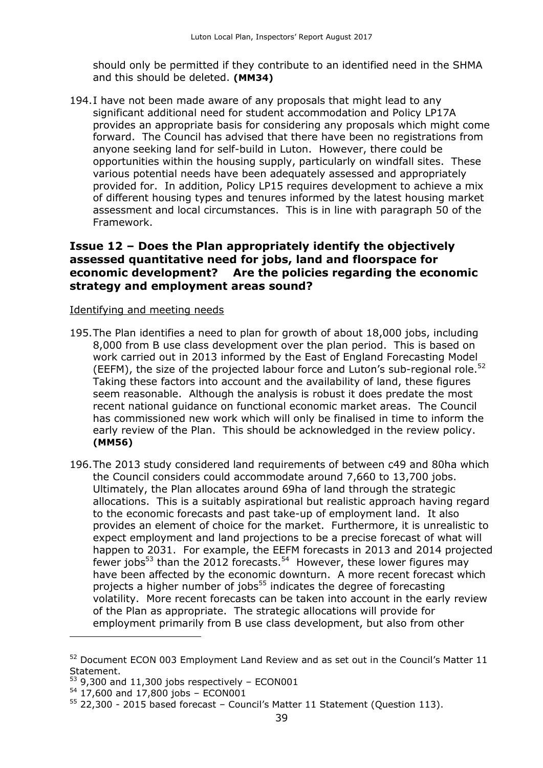should only be permitted if they contribute to an identified need in the SHMA and this should be deleted. **(MM34)**

194.I have not been made aware of any proposals that might lead to any significant additional need for student accommodation and Policy LP17A provides an appropriate basis for considering any proposals which might come forward. The Council has advised that there have been no registrations from anyone seeking land for self-build in Luton. However, there could be opportunities within the housing supply, particularly on windfall sites. These various potential needs have been adequately assessed and appropriately provided for. In addition, Policy LP15 requires development to achieve a mix of different housing types and tenures informed by the latest housing market assessment and local circumstances. This is in line with paragraph 50 of the Framework.

## **Issue 12 – Does the Plan appropriately identify the objectively assessed quantitative need for jobs, land and floorspace for economic development? Are the policies regarding the economic strategy and employment areas sound?**

#### Identifying and meeting needs

- 195.The Plan identifies a need to plan for growth of about 18,000 jobs, including 8,000 from B use class development over the plan period. This is based on work carried out in 2013 informed by the East of England Forecasting Model (EEFM), the size of the projected labour force and Luton's sub-regional role.<sup>52</sup> Taking these factors into account and the availability of land, these figures seem reasonable. Although the analysis is robust it does predate the most recent national guidance on functional economic market areas. The Council has commissioned new work which will only be finalised in time to inform the early review of the Plan. This should be acknowledged in the review policy. **(MM56)**
- 196.The 2013 study considered land requirements of between c49 and 80ha which the Council considers could accommodate around 7,660 to 13,700 jobs. Ultimately, the Plan allocates around 69ha of land through the strategic allocations. This is a suitably aspirational but realistic approach having regard to the economic forecasts and past take-up of employment land. It also provides an element of choice for the market. Furthermore, it is unrealistic to expect employment and land projections to be a precise forecast of what will happen to 2031. For example, the EEFM forecasts in 2013 and 2014 projected fewer jobs<sup>53</sup> than the 2012 forecasts.<sup>54</sup> However, these lower figures may have been affected by the economic downturn. A more recent forecast which projects a higher number of jobs<sup>55</sup> indicates the degree of forecasting volatility. More recent forecasts can be taken into account in the early review of the Plan as appropriate. The strategic allocations will provide for employment primarily from B use class development, but also from other

<sup>52</sup> Document ECON 003 Employment Land Review and as set out in the Council's Matter 11 Statement.

 $53$  9,300 and 11,300 jobs respectively – ECON001

 $54$  17,600 and 17,800 jobs - ECON001

<sup>55</sup> 22,300 - 2015 based forecast – Council's Matter 11 Statement (Question 113).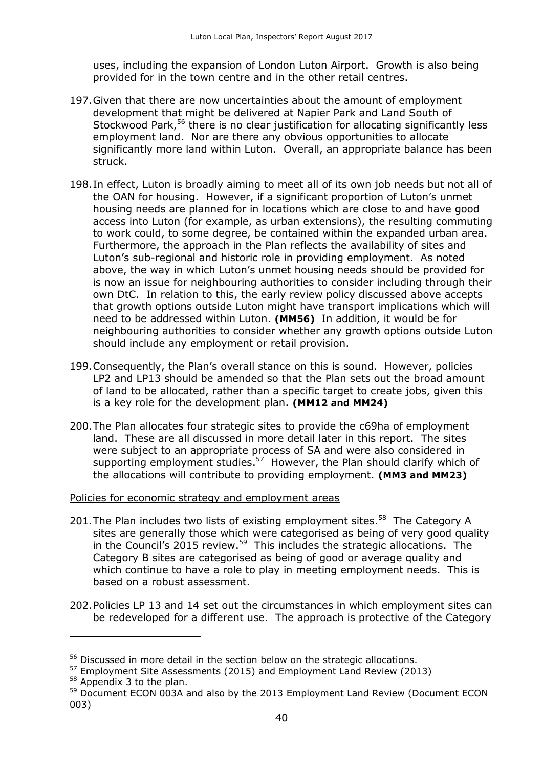uses, including the expansion of London Luton Airport. Growth is also being provided for in the town centre and in the other retail centres.

- 197.Given that there are now uncertainties about the amount of employment development that might be delivered at Napier Park and Land South of Stockwood Park,<sup>56</sup> there is no clear justification for allocating significantly less employment land. Nor are there any obvious opportunities to allocate significantly more land within Luton. Overall, an appropriate balance has been struck.
- 198.In effect, Luton is broadly aiming to meet all of its own job needs but not all of the OAN for housing. However, if a significant proportion of Luton's unmet housing needs are planned for in locations which are close to and have good access into Luton (for example, as urban extensions), the resulting commuting to work could, to some degree, be contained within the expanded urban area. Furthermore, the approach in the Plan reflects the availability of sites and Luton's sub-regional and historic role in providing employment. As noted above, the way in which Luton's unmet housing needs should be provided for is now an issue for neighbouring authorities to consider including through their own DtC. In relation to this, the early review policy discussed above accepts that growth options outside Luton might have transport implications which will need to be addressed within Luton. **(MM56)** In addition, it would be for neighbouring authorities to consider whether any growth options outside Luton should include any employment or retail provision.
- 199.Consequently, the Plan's overall stance on this is sound. However, policies LP2 and LP13 should be amended so that the Plan sets out the broad amount of land to be allocated, rather than a specific target to create jobs, given this is a key role for the development plan. **(MM12 and MM24)**
- 200.The Plan allocates four strategic sites to provide the c69ha of employment land. These are all discussed in more detail later in this report. The sites were subject to an appropriate process of SA and were also considered in supporting employment studies.<sup>57</sup> However, the Plan should clarify which of the allocations will contribute to providing employment. **(MM3 and MM23)**

Policies for economic strategy and employment areas

- 201. The Plan includes two lists of existing employment sites. $58$  The Category A sites are generally those which were categorised as being of very good quality in the Council's 2015 review.<sup>59</sup> This includes the strategic allocations. The Category B sites are categorised as being of good or average quality and which continue to have a role to play in meeting employment needs. This is based on a robust assessment.
- 202.Policies LP 13 and 14 set out the circumstances in which employment sites can be redeveloped for a different use. The approach is protective of the Category

 $58$  Appendix 3 to the plan.

<sup>56</sup> Discussed in more detail in the section below on the strategic allocations.

<sup>&</sup>lt;sup>57</sup> Employment Site Assessments (2015) and Employment Land Review (2013)

<sup>&</sup>lt;sup>59</sup> Document ECON 003A and also by the 2013 Employment Land Review (Document ECON 003)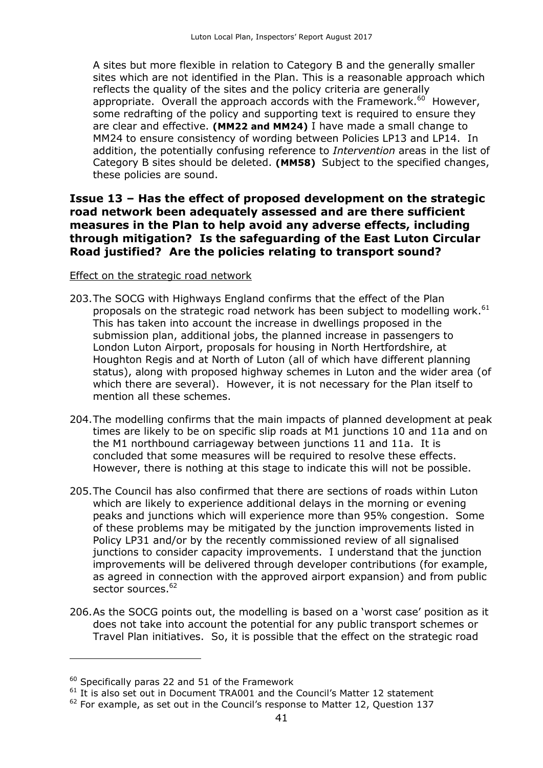A sites but more flexible in relation to Category B and the generally smaller sites which are not identified in the Plan. This is a reasonable approach which reflects the quality of the sites and the policy criteria are generally appropriate. Overall the approach accords with the Framework. $^{60}$  However, some redrafting of the policy and supporting text is required to ensure they are clear and effective. **(MM22 and MM24)** I have made a small change to MM24 to ensure consistency of wording between Policies LP13 and LP14. In addition, the potentially confusing reference to *Intervention* areas in the list of Category B sites should be deleted. **(MM58)** Subject to the specified changes, these policies are sound.

## **Issue 13 – Has the effect of proposed development on the strategic road network been adequately assessed and are there sufficient measures in the Plan to help avoid any adverse effects, including through mitigation? Is the safeguarding of the East Luton Circular Road justified? Are the policies relating to transport sound?**

#### Effect on the strategic road network

- 203.The SOCG with Highways England confirms that the effect of the Plan proposals on the strategic road network has been subject to modelling work.<sup>61</sup> This has taken into account the increase in dwellings proposed in the submission plan, additional jobs, the planned increase in passengers to London Luton Airport, proposals for housing in North Hertfordshire, at Houghton Regis and at North of Luton (all of which have different planning status), along with proposed highway schemes in Luton and the wider area (of which there are several). However, it is not necessary for the Plan itself to mention all these schemes.
- 204.The modelling confirms that the main impacts of planned development at peak times are likely to be on specific slip roads at M1 junctions 10 and 11a and on the M1 northbound carriageway between junctions 11 and 11a. It is concluded that some measures will be required to resolve these effects. However, there is nothing at this stage to indicate this will not be possible.
- 205.The Council has also confirmed that there are sections of roads within Luton which are likely to experience additional delays in the morning or evening peaks and junctions which will experience more than 95% congestion. Some of these problems may be mitigated by the junction improvements listed in Policy LP31 and/or by the recently commissioned review of all signalised junctions to consider capacity improvements. I understand that the junction improvements will be delivered through developer contributions (for example, as agreed in connection with the approved airport expansion) and from public sector sources.<sup>62</sup>
- 206.As the SOCG points out, the modelling is based on a 'worst case' position as it does not take into account the potential for any public transport schemes or Travel Plan initiatives. So, it is possible that the effect on the strategic road

 $60$  Specifically paras 22 and 51 of the Framework

<sup>&</sup>lt;sup>61</sup> It is also set out in Document TRA001 and the Council's Matter 12 statement

 $62$  For example, as set out in the Council's response to Matter 12, Question 137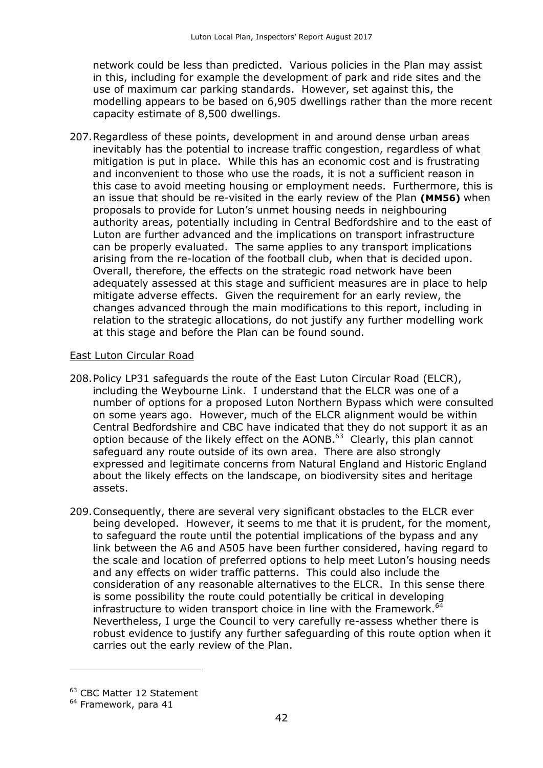network could be less than predicted. Various policies in the Plan may assist in this, including for example the development of park and ride sites and the use of maximum car parking standards. However, set against this, the modelling appears to be based on 6,905 dwellings rather than the more recent capacity estimate of 8,500 dwellings.

207.Regardless of these points, development in and around dense urban areas inevitably has the potential to increase traffic congestion, regardless of what mitigation is put in place. While this has an economic cost and is frustrating and inconvenient to those who use the roads, it is not a sufficient reason in this case to avoid meeting housing or employment needs. Furthermore, this is an issue that should be re-visited in the early review of the Plan **(MM56)** when proposals to provide for Luton's unmet housing needs in neighbouring authority areas, potentially including in Central Bedfordshire and to the east of Luton are further advanced and the implications on transport infrastructure can be properly evaluated. The same applies to any transport implications arising from the re-location of the football club, when that is decided upon. Overall, therefore, the effects on the strategic road network have been adequately assessed at this stage and sufficient measures are in place to help mitigate adverse effects. Given the requirement for an early review, the changes advanced through the main modifications to this report, including in relation to the strategic allocations, do not justify any further modelling work at this stage and before the Plan can be found sound.

#### East Luton Circular Road

- 208.Policy LP31 safeguards the route of the East Luton Circular Road (ELCR), including the Weybourne Link. I understand that the ELCR was one of a number of options for a proposed Luton Northern Bypass which were consulted on some years ago. However, much of the ELCR alignment would be within Central Bedfordshire and CBC have indicated that they do not support it as an option because of the likely effect on the AONB.<sup>63</sup> Clearly, this plan cannot safeguard any route outside of its own area. There are also strongly expressed and legitimate concerns from Natural England and Historic England about the likely effects on the landscape, on biodiversity sites and heritage assets.
- 209.Consequently, there are several very significant obstacles to the ELCR ever being developed. However, it seems to me that it is prudent, for the moment, to safeguard the route until the potential implications of the bypass and any link between the A6 and A505 have been further considered, having regard to the scale and location of preferred options to help meet Luton's housing needs and any effects on wider traffic patterns. This could also include the consideration of any reasonable alternatives to the ELCR. In this sense there is some possibility the route could potentially be critical in developing infrastructure to widen transport choice in line with the Framework.<sup>64</sup> Nevertheless, I urge the Council to very carefully re-assess whether there is robust evidence to justify any further safeguarding of this route option when it carries out the early review of the Plan.

 $\overline{a}$ 

<sup>63</sup> CBC Matter 12 Statement

 $<sup>64</sup>$  Framework, para 41</sup>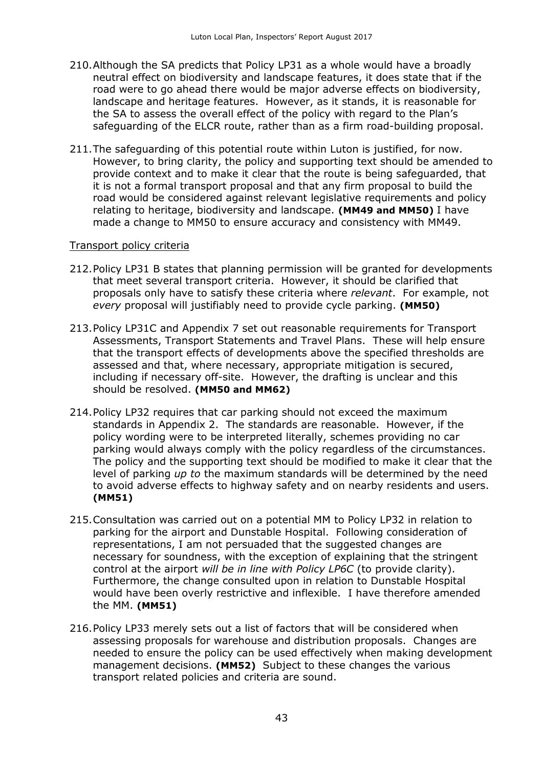- 210.Although the SA predicts that Policy LP31 as a whole would have a broadly neutral effect on biodiversity and landscape features, it does state that if the road were to go ahead there would be major adverse effects on biodiversity, landscape and heritage features. However, as it stands, it is reasonable for the SA to assess the overall effect of the policy with regard to the Plan's safeguarding of the ELCR route, rather than as a firm road-building proposal.
- 211.The safeguarding of this potential route within Luton is justified, for now. However, to bring clarity, the policy and supporting text should be amended to provide context and to make it clear that the route is being safeguarded, that it is not a formal transport proposal and that any firm proposal to build the road would be considered against relevant legislative requirements and policy relating to heritage, biodiversity and landscape. **(MM49 and MM50)** I have made a change to MM50 to ensure accuracy and consistency with MM49.

#### Transport policy criteria

- 212.Policy LP31 B states that planning permission will be granted for developments that meet several transport criteria. However, it should be clarified that proposals only have to satisfy these criteria where *relevant*. For example, not *every* proposal will justifiably need to provide cycle parking. **(MM50)**
- 213.Policy LP31C and Appendix 7 set out reasonable requirements for Transport Assessments, Transport Statements and Travel Plans. These will help ensure that the transport effects of developments above the specified thresholds are assessed and that, where necessary, appropriate mitigation is secured, including if necessary off-site. However, the drafting is unclear and this should be resolved. **(MM50 and MM62)**
- 214.Policy LP32 requires that car parking should not exceed the maximum standards in Appendix 2. The standards are reasonable. However, if the policy wording were to be interpreted literally, schemes providing no car parking would always comply with the policy regardless of the circumstances. The policy and the supporting text should be modified to make it clear that the level of parking *up to* the maximum standards will be determined by the need to avoid adverse effects to highway safety and on nearby residents and users. **(MM51)**
- 215.Consultation was carried out on a potential MM to Policy LP32 in relation to parking for the airport and Dunstable Hospital. Following consideration of representations, I am not persuaded that the suggested changes are necessary for soundness, with the exception of explaining that the stringent control at the airport *will be in line with Policy LP6C* (to provide clarity). Furthermore, the change consulted upon in relation to Dunstable Hospital would have been overly restrictive and inflexible. I have therefore amended the MM. **(MM51)**
- 216.Policy LP33 merely sets out a list of factors that will be considered when assessing proposals for warehouse and distribution proposals. Changes are needed to ensure the policy can be used effectively when making development management decisions. **(MM52)** Subject to these changes the various transport related policies and criteria are sound.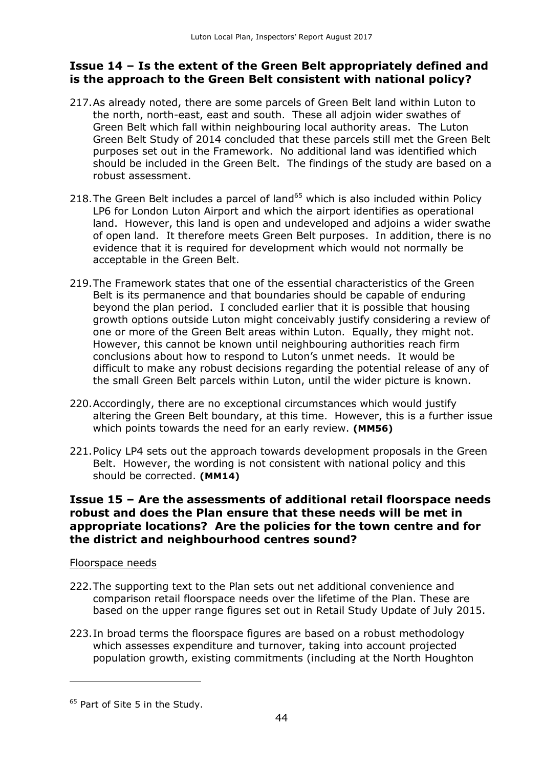## **Issue 14 – Is the extent of the Green Belt appropriately defined and is the approach to the Green Belt consistent with national policy?**

- 217.As already noted, there are some parcels of Green Belt land within Luton to the north, north-east, east and south. These all adjoin wider swathes of Green Belt which fall within neighbouring local authority areas. The Luton Green Belt Study of 2014 concluded that these parcels still met the Green Belt purposes set out in the Framework. No additional land was identified which should be included in the Green Belt. The findings of the study are based on a robust assessment.
- 218. The Green Belt includes a parcel of land<sup>65</sup> which is also included within Policy LP6 for London Luton Airport and which the airport identifies as operational land. However, this land is open and undeveloped and adjoins a wider swathe of open land. It therefore meets Green Belt purposes. In addition, there is no evidence that it is required for development which would not normally be acceptable in the Green Belt.
- 219.The Framework states that one of the essential characteristics of the Green Belt is its permanence and that boundaries should be capable of enduring beyond the plan period. I concluded earlier that it is possible that housing growth options outside Luton might conceivably justify considering a review of one or more of the Green Belt areas within Luton. Equally, they might not. However, this cannot be known until neighbouring authorities reach firm conclusions about how to respond to Luton's unmet needs. It would be difficult to make any robust decisions regarding the potential release of any of the small Green Belt parcels within Luton, until the wider picture is known.
- 220.Accordingly, there are no exceptional circumstances which would justify altering the Green Belt boundary, at this time. However, this is a further issue which points towards the need for an early review. **(MM56)**
- 221.Policy LP4 sets out the approach towards development proposals in the Green Belt. However, the wording is not consistent with national policy and this should be corrected. **(MM14)**

## **Issue 15 – Are the assessments of additional retail floorspace needs robust and does the Plan ensure that these needs will be met in appropriate locations? Are the policies for the town centre and for the district and neighbourhood centres sound?**

#### Floorspace needs

- 222.The supporting text to the Plan sets out net additional convenience and comparison retail floorspace needs over the lifetime of the Plan. These are based on the upper range figures set out in Retail Study Update of July 2015.
- 223.In broad terms the floorspace figures are based on a robust methodology which assesses expenditure and turnover, taking into account projected population growth, existing commitments (including at the North Houghton

<sup>&</sup>lt;sup>65</sup> Part of Site 5 in the Study.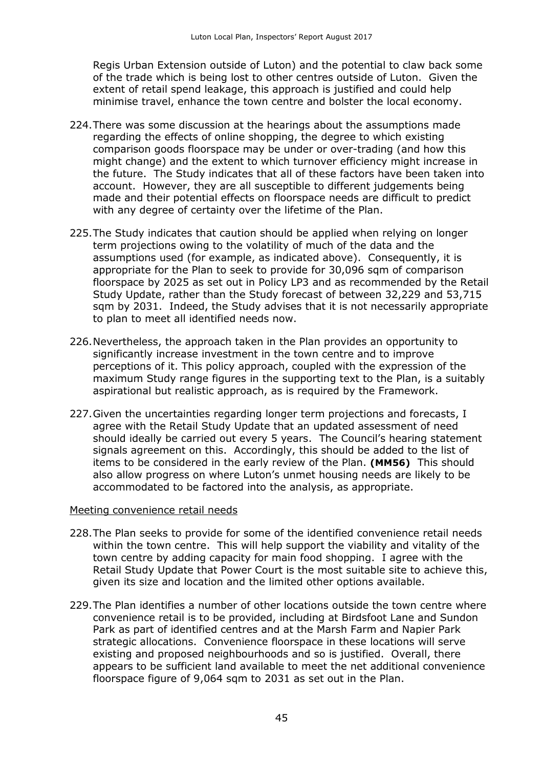Regis Urban Extension outside of Luton) and the potential to claw back some of the trade which is being lost to other centres outside of Luton. Given the extent of retail spend leakage, this approach is justified and could help minimise travel, enhance the town centre and bolster the local economy.

- 224.There was some discussion at the hearings about the assumptions made regarding the effects of online shopping, the degree to which existing comparison goods floorspace may be under or over-trading (and how this might change) and the extent to which turnover efficiency might increase in the future. The Study indicates that all of these factors have been taken into account. However, they are all susceptible to different judgements being made and their potential effects on floorspace needs are difficult to predict with any degree of certainty over the lifetime of the Plan.
- 225.The Study indicates that caution should be applied when relying on longer term projections owing to the volatility of much of the data and the assumptions used (for example, as indicated above). Consequently, it is appropriate for the Plan to seek to provide for 30,096 sqm of comparison floorspace by 2025 as set out in Policy LP3 and as recommended by the Retail Study Update, rather than the Study forecast of between 32,229 and 53,715 sqm by 2031. Indeed, the Study advises that it is not necessarily appropriate to plan to meet all identified needs now.
- 226.Nevertheless, the approach taken in the Plan provides an opportunity to significantly increase investment in the town centre and to improve perceptions of it. This policy approach, coupled with the expression of the maximum Study range figures in the supporting text to the Plan, is a suitably aspirational but realistic approach, as is required by the Framework.
- 227.Given the uncertainties regarding longer term projections and forecasts, I agree with the Retail Study Update that an updated assessment of need should ideally be carried out every 5 years. The Council's hearing statement signals agreement on this. Accordingly, this should be added to the list of items to be considered in the early review of the Plan. **(MM56)** This should also allow progress on where Luton's unmet housing needs are likely to be accommodated to be factored into the analysis, as appropriate.

#### Meeting convenience retail needs

- 228.The Plan seeks to provide for some of the identified convenience retail needs within the town centre. This will help support the viability and vitality of the town centre by adding capacity for main food shopping. I agree with the Retail Study Update that Power Court is the most suitable site to achieve this, given its size and location and the limited other options available.
- 229.The Plan identifies a number of other locations outside the town centre where convenience retail is to be provided, including at Birdsfoot Lane and Sundon Park as part of identified centres and at the Marsh Farm and Napier Park strategic allocations. Convenience floorspace in these locations will serve existing and proposed neighbourhoods and so is justified. Overall, there appears to be sufficient land available to meet the net additional convenience floorspace figure of 9,064 sqm to 2031 as set out in the Plan.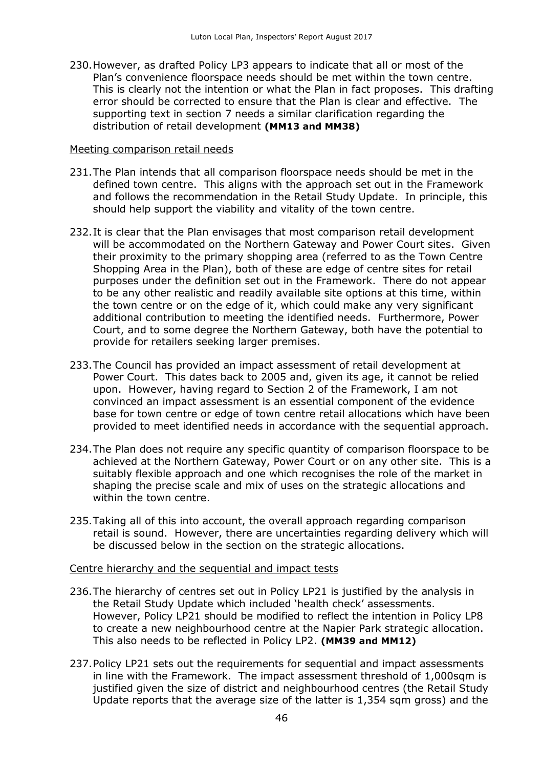230.However, as drafted Policy LP3 appears to indicate that all or most of the Plan's convenience floorspace needs should be met within the town centre. This is clearly not the intention or what the Plan in fact proposes. This drafting error should be corrected to ensure that the Plan is clear and effective. The supporting text in section 7 needs a similar clarification regarding the distribution of retail development **(MM13 and MM38)**

#### Meeting comparison retail needs

- 231.The Plan intends that all comparison floorspace needs should be met in the defined town centre. This aligns with the approach set out in the Framework and follows the recommendation in the Retail Study Update. In principle, this should help support the viability and vitality of the town centre.
- 232.It is clear that the Plan envisages that most comparison retail development will be accommodated on the Northern Gateway and Power Court sites. Given their proximity to the primary shopping area (referred to as the Town Centre Shopping Area in the Plan), both of these are edge of centre sites for retail purposes under the definition set out in the Framework. There do not appear to be any other realistic and readily available site options at this time, within the town centre or on the edge of it, which could make any very significant additional contribution to meeting the identified needs. Furthermore, Power Court, and to some degree the Northern Gateway, both have the potential to provide for retailers seeking larger premises.
- 233.The Council has provided an impact assessment of retail development at Power Court. This dates back to 2005 and, given its age, it cannot be relied upon. However, having regard to Section 2 of the Framework, I am not convinced an impact assessment is an essential component of the evidence base for town centre or edge of town centre retail allocations which have been provided to meet identified needs in accordance with the sequential approach.
- 234.The Plan does not require any specific quantity of comparison floorspace to be achieved at the Northern Gateway, Power Court or on any other site. This is a suitably flexible approach and one which recognises the role of the market in shaping the precise scale and mix of uses on the strategic allocations and within the town centre.
- 235.Taking all of this into account, the overall approach regarding comparison retail is sound. However, there are uncertainties regarding delivery which will be discussed below in the section on the strategic allocations.

#### Centre hierarchy and the sequential and impact tests

- 236.The hierarchy of centres set out in Policy LP21 is justified by the analysis in the Retail Study Update which included 'health check' assessments. However, Policy LP21 should be modified to reflect the intention in Policy LP8 to create a new neighbourhood centre at the Napier Park strategic allocation. This also needs to be reflected in Policy LP2. **(MM39 and MM12)**
- 237.Policy LP21 sets out the requirements for sequential and impact assessments in line with the Framework. The impact assessment threshold of 1,000sqm is justified given the size of district and neighbourhood centres (the Retail Study Update reports that the average size of the latter is 1,354 sqm gross) and the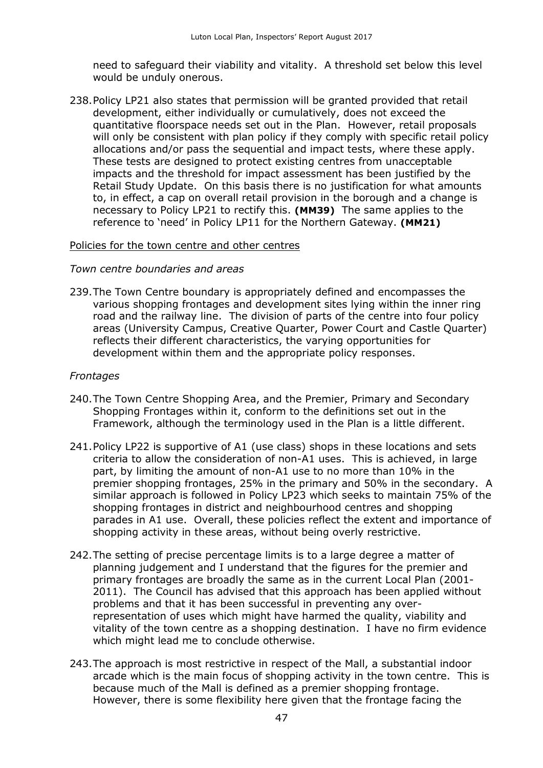need to safeguard their viability and vitality. A threshold set below this level would be unduly onerous.

238.Policy LP21 also states that permission will be granted provided that retail development, either individually or cumulatively, does not exceed the quantitative floorspace needs set out in the Plan. However, retail proposals will only be consistent with plan policy if they comply with specific retail policy allocations and/or pass the sequential and impact tests, where these apply. These tests are designed to protect existing centres from unacceptable impacts and the threshold for impact assessment has been justified by the Retail Study Update. On this basis there is no justification for what amounts to, in effect, a cap on overall retail provision in the borough and a change is necessary to Policy LP21 to rectify this. **(MM39)** The same applies to the reference to 'need' in Policy LP11 for the Northern Gateway. **(MM21)**

#### Policies for the town centre and other centres

#### *Town centre boundaries and areas*

239.The Town Centre boundary is appropriately defined and encompasses the various shopping frontages and development sites lying within the inner ring road and the railway line. The division of parts of the centre into four policy areas (University Campus, Creative Quarter, Power Court and Castle Quarter) reflects their different characteristics, the varying opportunities for development within them and the appropriate policy responses.

#### *Frontages*

- 240.The Town Centre Shopping Area, and the Premier, Primary and Secondary Shopping Frontages within it, conform to the definitions set out in the Framework, although the terminology used in the Plan is a little different.
- 241.Policy LP22 is supportive of A1 (use class) shops in these locations and sets criteria to allow the consideration of non-A1 uses. This is achieved, in large part, by limiting the amount of non-A1 use to no more than 10% in the premier shopping frontages, 25% in the primary and 50% in the secondary. A similar approach is followed in Policy LP23 which seeks to maintain 75% of the shopping frontages in district and neighbourhood centres and shopping parades in A1 use. Overall, these policies reflect the extent and importance of shopping activity in these areas, without being overly restrictive.
- 242.The setting of precise percentage limits is to a large degree a matter of planning judgement and I understand that the figures for the premier and primary frontages are broadly the same as in the current Local Plan (2001- 2011). The Council has advised that this approach has been applied without problems and that it has been successful in preventing any overrepresentation of uses which might have harmed the quality, viability and vitality of the town centre as a shopping destination. I have no firm evidence which might lead me to conclude otherwise.
- 243.The approach is most restrictive in respect of the Mall, a substantial indoor arcade which is the main focus of shopping activity in the town centre. This is because much of the Mall is defined as a premier shopping frontage. However, there is some flexibility here given that the frontage facing the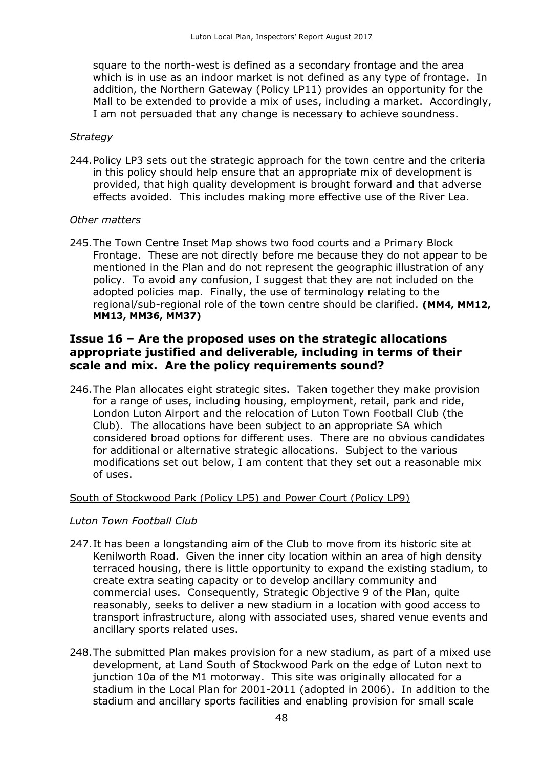square to the north-west is defined as a secondary frontage and the area which is in use as an indoor market is not defined as any type of frontage. In addition, the Northern Gateway (Policy LP11) provides an opportunity for the Mall to be extended to provide a mix of uses, including a market. Accordingly, I am not persuaded that any change is necessary to achieve soundness.

#### *Strategy*

244.Policy LP3 sets out the strategic approach for the town centre and the criteria in this policy should help ensure that an appropriate mix of development is provided, that high quality development is brought forward and that adverse effects avoided. This includes making more effective use of the River Lea.

#### *Other matters*

245.The Town Centre Inset Map shows two food courts and a Primary Block Frontage. These are not directly before me because they do not appear to be mentioned in the Plan and do not represent the geographic illustration of any policy. To avoid any confusion, I suggest that they are not included on the adopted policies map. Finally, the use of terminology relating to the regional/sub-regional role of the town centre should be clarified. **(MM4, MM12, MM13, MM36, MM37)**

## **Issue 16 – Are the proposed uses on the strategic allocations appropriate justified and deliverable, including in terms of their scale and mix. Are the policy requirements sound?**

246.The Plan allocates eight strategic sites. Taken together they make provision for a range of uses, including housing, employment, retail, park and ride, London Luton Airport and the relocation of Luton Town Football Club (the Club). The allocations have been subject to an appropriate SA which considered broad options for different uses. There are no obvious candidates for additional or alternative strategic allocations. Subject to the various modifications set out below, I am content that they set out a reasonable mix of uses.

#### South of Stockwood Park (Policy LP5) and Power Court (Policy LP9)

#### *Luton Town Football Club*

- 247.It has been a longstanding aim of the Club to move from its historic site at Kenilworth Road. Given the inner city location within an area of high density terraced housing, there is little opportunity to expand the existing stadium, to create extra seating capacity or to develop ancillary community and commercial uses. Consequently, Strategic Objective 9 of the Plan, quite reasonably, seeks to deliver a new stadium in a location with good access to transport infrastructure, along with associated uses, shared venue events and ancillary sports related uses.
- 248.The submitted Plan makes provision for a new stadium, as part of a mixed use development, at Land South of Stockwood Park on the edge of Luton next to junction 10a of the M1 motorway. This site was originally allocated for a stadium in the Local Plan for 2001-2011 (adopted in 2006). In addition to the stadium and ancillary sports facilities and enabling provision for small scale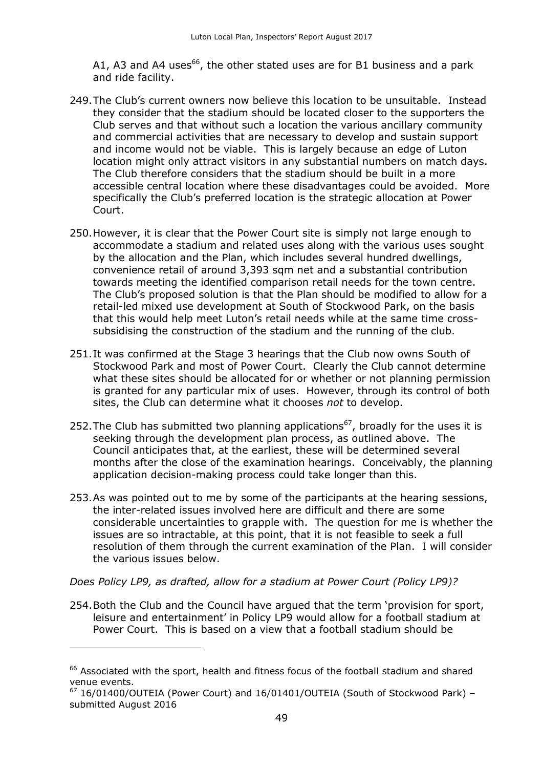A1, A3 and A4 uses<sup>66</sup>, the other stated uses are for B1 business and a park and ride facility.

- 249.The Club's current owners now believe this location to be unsuitable. Instead they consider that the stadium should be located closer to the supporters the Club serves and that without such a location the various ancillary community and commercial activities that are necessary to develop and sustain support and income would not be viable. This is largely because an edge of Luton location might only attract visitors in any substantial numbers on match days. The Club therefore considers that the stadium should be built in a more accessible central location where these disadvantages could be avoided. More specifically the Club's preferred location is the strategic allocation at Power Court.
- 250.However, it is clear that the Power Court site is simply not large enough to accommodate a stadium and related uses along with the various uses sought by the allocation and the Plan, which includes several hundred dwellings, convenience retail of around 3,393 sqm net and a substantial contribution towards meeting the identified comparison retail needs for the town centre. The Club's proposed solution is that the Plan should be modified to allow for a retail-led mixed use development at South of Stockwood Park, on the basis that this would help meet Luton's retail needs while at the same time crosssubsidising the construction of the stadium and the running of the club.
- 251.It was confirmed at the Stage 3 hearings that the Club now owns South of Stockwood Park and most of Power Court. Clearly the Club cannot determine what these sites should be allocated for or whether or not planning permission is granted for any particular mix of uses. However, through its control of both sites, the Club can determine what it chooses *not* to develop.
- 252. The Club has submitted two planning applications<sup>67</sup>, broadly for the uses it is seeking through the development plan process, as outlined above. The Council anticipates that, at the earliest, these will be determined several months after the close of the examination hearings. Conceivably, the planning application decision-making process could take longer than this.
- 253.As was pointed out to me by some of the participants at the hearing sessions, the inter-related issues involved here are difficult and there are some considerable uncertainties to grapple with. The question for me is whether the issues are so intractable, at this point, that it is not feasible to seek a full resolution of them through the current examination of the Plan. I will consider the various issues below.

*Does Policy LP9, as drafted, allow for a stadium at Power Court (Policy LP9)?*

-

254.Both the Club and the Council have argued that the term 'provision for sport, leisure and entertainment' in Policy LP9 would allow for a football stadium at Power Court. This is based on a view that a football stadium should be

 $66$  Associated with the sport, health and fitness focus of the football stadium and shared venue events.

 $67$  16/01400/OUTEIA (Power Court) and 16/01401/OUTEIA (South of Stockwood Park) submitted August 2016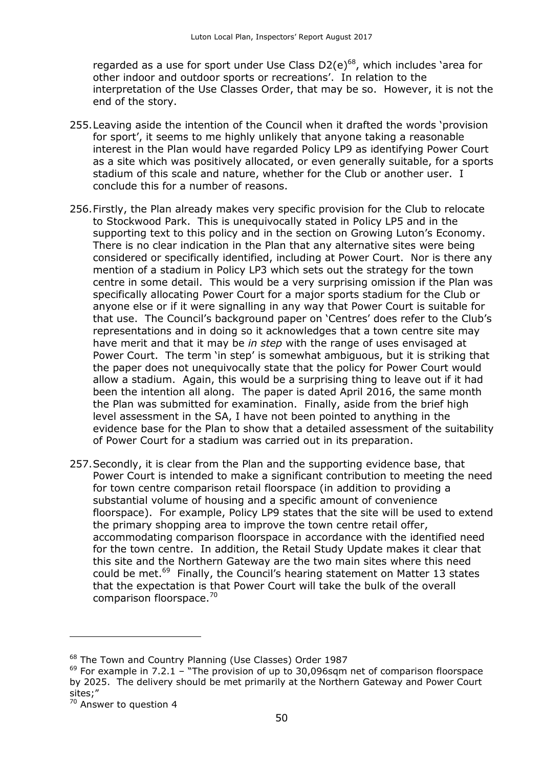regarded as a use for sport under Use Class  $D2(e)^{68}$ , which includes 'area for other indoor and outdoor sports or recreations'. In relation to the interpretation of the Use Classes Order, that may be so. However, it is not the end of the story.

- 255.Leaving aside the intention of the Council when it drafted the words 'provision for sport', it seems to me highly unlikely that anyone taking a reasonable interest in the Plan would have regarded Policy LP9 as identifying Power Court as a site which was positively allocated, or even generally suitable, for a sports stadium of this scale and nature, whether for the Club or another user. I conclude this for a number of reasons.
- 256.Firstly, the Plan already makes very specific provision for the Club to relocate to Stockwood Park. This is unequivocally stated in Policy LP5 and in the supporting text to this policy and in the section on Growing Luton's Economy. There is no clear indication in the Plan that any alternative sites were being considered or specifically identified, including at Power Court. Nor is there any mention of a stadium in Policy LP3 which sets out the strategy for the town centre in some detail. This would be a very surprising omission if the Plan was specifically allocating Power Court for a major sports stadium for the Club or anyone else or if it were signalling in any way that Power Court is suitable for that use. The Council's background paper on 'Centres' does refer to the Club's representations and in doing so it acknowledges that a town centre site may have merit and that it may be *in step* with the range of uses envisaged at Power Court. The term 'in step' is somewhat ambiguous, but it is striking that the paper does not unequivocally state that the policy for Power Court would allow a stadium. Again, this would be a surprising thing to leave out if it had been the intention all along. The paper is dated April 2016, the same month the Plan was submitted for examination. Finally, aside from the brief high level assessment in the SA, I have not been pointed to anything in the evidence base for the Plan to show that a detailed assessment of the suitability of Power Court for a stadium was carried out in its preparation.
- 257.Secondly, it is clear from the Plan and the supporting evidence base, that Power Court is intended to make a significant contribution to meeting the need for town centre comparison retail floorspace (in addition to providing a substantial volume of housing and a specific amount of convenience floorspace). For example, Policy LP9 states that the site will be used to extend the primary shopping area to improve the town centre retail offer, accommodating comparison floorspace in accordance with the identified need for the town centre. In addition, the Retail Study Update makes it clear that this site and the Northern Gateway are the two main sites where this need could be met.<sup>69</sup> Finally, the Council's hearing statement on Matter 13 states that the expectation is that Power Court will take the bulk of the overall comparison floorspace.<sup>70</sup>

<sup>&</sup>lt;sup>68</sup> The Town and Country Planning (Use Classes) Order 1987

 $69$  For example in 7.2.1 – "The provision of up to 30,096sqm net of comparison floorspace by 2025. The delivery should be met primarily at the Northern Gateway and Power Court sites;"

<sup>&</sup>lt;sup>70</sup> Answer to question 4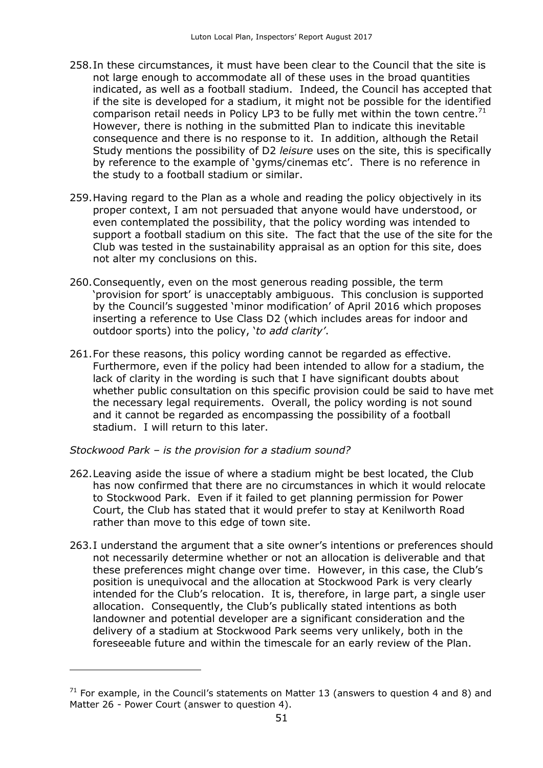- 258.In these circumstances, it must have been clear to the Council that the site is not large enough to accommodate all of these uses in the broad quantities indicated, as well as a football stadium. Indeed, the Council has accepted that if the site is developed for a stadium, it might not be possible for the identified comparison retail needs in Policy LP3 to be fully met within the town centre.<sup>71</sup> However, there is nothing in the submitted Plan to indicate this inevitable consequence and there is no response to it. In addition, although the Retail Study mentions the possibility of D2 *leisure* uses on the site, this is specifically by reference to the example of 'gyms/cinemas etc'. There is no reference in the study to a football stadium or similar.
- 259.Having regard to the Plan as a whole and reading the policy objectively in its proper context, I am not persuaded that anyone would have understood, or even contemplated the possibility, that the policy wording was intended to support a football stadium on this site. The fact that the use of the site for the Club was tested in the sustainability appraisal as an option for this site, does not alter my conclusions on this.
- 260.Consequently, even on the most generous reading possible, the term 'provision for sport' is unacceptably ambiguous. This conclusion is supported by the Council's suggested 'minor modification' of April 2016 which proposes inserting a reference to Use Class D2 (which includes areas for indoor and outdoor sports) into the policy, '*to add clarity'*.
- 261.For these reasons, this policy wording cannot be regarded as effective. Furthermore, even if the policy had been intended to allow for a stadium, the lack of clarity in the wording is such that I have significant doubts about whether public consultation on this specific provision could be said to have met the necessary legal requirements. Overall, the policy wording is not sound and it cannot be regarded as encompassing the possibility of a football stadium. I will return to this later.

*Stockwood Park – is the provision for a stadium sound?*

 $\overline{a}$ 

- 262.Leaving aside the issue of where a stadium might be best located, the Club has now confirmed that there are no circumstances in which it would relocate to Stockwood Park. Even if it failed to get planning permission for Power Court, the Club has stated that it would prefer to stay at Kenilworth Road rather than move to this edge of town site.
- 263.I understand the argument that a site owner's intentions or preferences should not necessarily determine whether or not an allocation is deliverable and that these preferences might change over time. However, in this case, the Club's position is unequivocal and the allocation at Stockwood Park is very clearly intended for the Club's relocation. It is, therefore, in large part, a single user allocation. Consequently, the Club's publically stated intentions as both landowner and potential developer are a significant consideration and the delivery of a stadium at Stockwood Park seems very unlikely, both in the foreseeable future and within the timescale for an early review of the Plan.

 $71$  For example, in the Council's statements on Matter 13 (answers to question 4 and 8) and Matter 26 - Power Court (answer to question 4).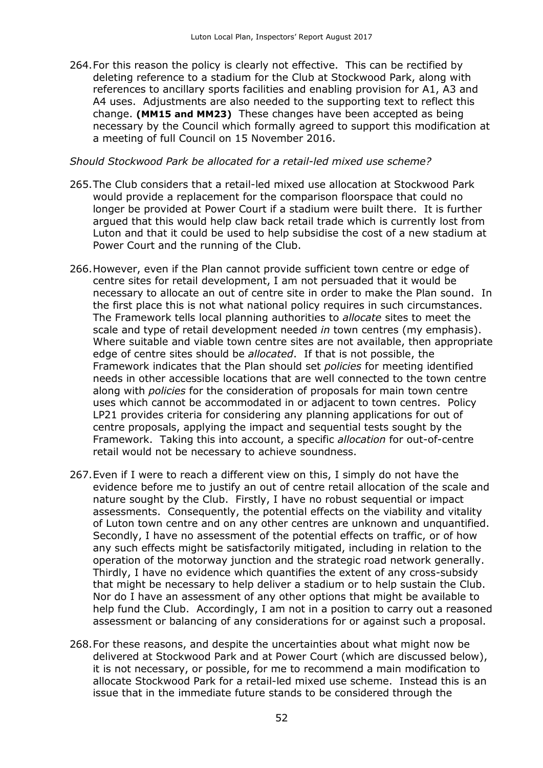264.For this reason the policy is clearly not effective. This can be rectified by deleting reference to a stadium for the Club at Stockwood Park, along with references to ancillary sports facilities and enabling provision for A1, A3 and A4 uses. Adjustments are also needed to the supporting text to reflect this change. **(MM15 and MM23)** These changes have been accepted as being necessary by the Council which formally agreed to support this modification at a meeting of full Council on 15 November 2016.

#### *Should Stockwood Park be allocated for a retail-led mixed use scheme?*

- 265.The Club considers that a retail-led mixed use allocation at Stockwood Park would provide a replacement for the comparison floorspace that could no longer be provided at Power Court if a stadium were built there. It is further argued that this would help claw back retail trade which is currently lost from Luton and that it could be used to help subsidise the cost of a new stadium at Power Court and the running of the Club.
- 266.However, even if the Plan cannot provide sufficient town centre or edge of centre sites for retail development, I am not persuaded that it would be necessary to allocate an out of centre site in order to make the Plan sound. In the first place this is not what national policy requires in such circumstances. The Framework tells local planning authorities to *allocate* sites to meet the scale and type of retail development needed *in* town centres (my emphasis). Where suitable and viable town centre sites are not available, then appropriate edge of centre sites should be *allocated*. If that is not possible, the Framework indicates that the Plan should set *policies* for meeting identified needs in other accessible locations that are well connected to the town centre along with *policies* for the consideration of proposals for main town centre uses which cannot be accommodated in or adjacent to town centres. Policy LP21 provides criteria for considering any planning applications for out of centre proposals, applying the impact and sequential tests sought by the Framework. Taking this into account, a specific *allocation* for out-of-centre retail would not be necessary to achieve soundness.
- 267.Even if I were to reach a different view on this, I simply do not have the evidence before me to justify an out of centre retail allocation of the scale and nature sought by the Club. Firstly, I have no robust sequential or impact assessments. Consequently, the potential effects on the viability and vitality of Luton town centre and on any other centres are unknown and unquantified. Secondly, I have no assessment of the potential effects on traffic, or of how any such effects might be satisfactorily mitigated, including in relation to the operation of the motorway junction and the strategic road network generally. Thirdly, I have no evidence which quantifies the extent of any cross-subsidy that might be necessary to help deliver a stadium or to help sustain the Club. Nor do I have an assessment of any other options that might be available to help fund the Club. Accordingly, I am not in a position to carry out a reasoned assessment or balancing of any considerations for or against such a proposal.
- 268.For these reasons, and despite the uncertainties about what might now be delivered at Stockwood Park and at Power Court (which are discussed below), it is not necessary, or possible, for me to recommend a main modification to allocate Stockwood Park for a retail-led mixed use scheme. Instead this is an issue that in the immediate future stands to be considered through the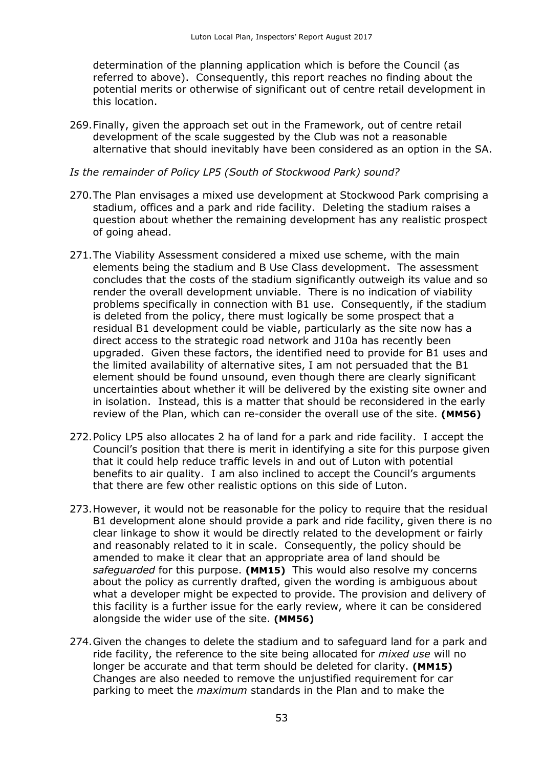determination of the planning application which is before the Council (as referred to above). Consequently, this report reaches no finding about the potential merits or otherwise of significant out of centre retail development in this location.

269.Finally, given the approach set out in the Framework, out of centre retail development of the scale suggested by the Club was not a reasonable alternative that should inevitably have been considered as an option in the SA.

#### *Is the remainder of Policy LP5 (South of Stockwood Park) sound?*

- 270.The Plan envisages a mixed use development at Stockwood Park comprising a stadium, offices and a park and ride facility. Deleting the stadium raises a question about whether the remaining development has any realistic prospect of going ahead.
- 271.The Viability Assessment considered a mixed use scheme, with the main elements being the stadium and B Use Class development. The assessment concludes that the costs of the stadium significantly outweigh its value and so render the overall development unviable. There is no indication of viability problems specifically in connection with B1 use. Consequently, if the stadium is deleted from the policy, there must logically be some prospect that a residual B1 development could be viable, particularly as the site now has a direct access to the strategic road network and J10a has recently been upgraded. Given these factors, the identified need to provide for B1 uses and the limited availability of alternative sites, I am not persuaded that the B1 element should be found unsound, even though there are clearly significant uncertainties about whether it will be delivered by the existing site owner and in isolation. Instead, this is a matter that should be reconsidered in the early review of the Plan, which can re-consider the overall use of the site. **(MM56)**
- 272.Policy LP5 also allocates 2 ha of land for a park and ride facility. I accept the Council's position that there is merit in identifying a site for this purpose given that it could help reduce traffic levels in and out of Luton with potential benefits to air quality. I am also inclined to accept the Council's arguments that there are few other realistic options on this side of Luton.
- 273.However, it would not be reasonable for the policy to require that the residual B1 development alone should provide a park and ride facility, given there is no clear linkage to show it would be directly related to the development or fairly and reasonably related to it in scale. Consequently, the policy should be amended to make it clear that an appropriate area of land should be *safeguarded* for this purpose. **(MM15)** This would also resolve my concerns about the policy as currently drafted, given the wording is ambiguous about what a developer might be expected to provide. The provision and delivery of this facility is a further issue for the early review, where it can be considered alongside the wider use of the site. **(MM56)**
- 274.Given the changes to delete the stadium and to safeguard land for a park and ride facility, the reference to the site being allocated for *mixed use* will no longer be accurate and that term should be deleted for clarity. **(MM15)** Changes are also needed to remove the unjustified requirement for car parking to meet the *maximum* standards in the Plan and to make the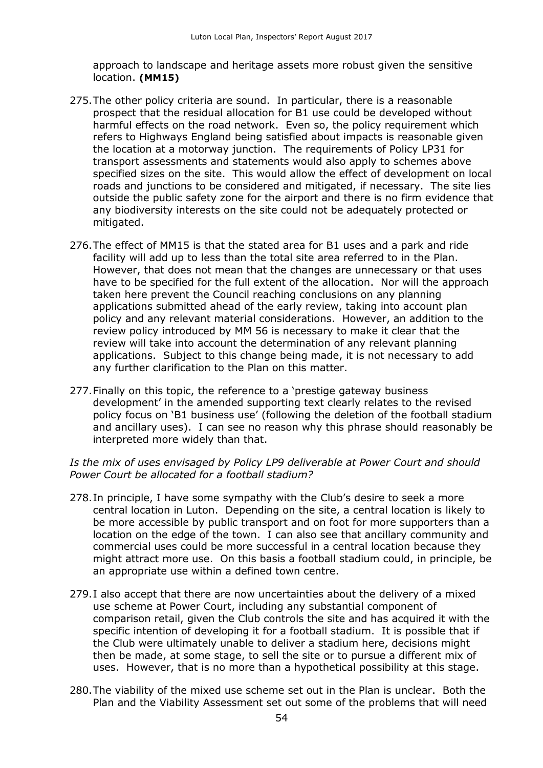approach to landscape and heritage assets more robust given the sensitive location. **(MM15)** 

- 275.The other policy criteria are sound. In particular, there is a reasonable prospect that the residual allocation for B1 use could be developed without harmful effects on the road network. Even so, the policy requirement which refers to Highways England being satisfied about impacts is reasonable given the location at a motorway junction. The requirements of Policy LP31 for transport assessments and statements would also apply to schemes above specified sizes on the site. This would allow the effect of development on local roads and junctions to be considered and mitigated, if necessary. The site lies outside the public safety zone for the airport and there is no firm evidence that any biodiversity interests on the site could not be adequately protected or mitigated.
- 276.The effect of MM15 is that the stated area for B1 uses and a park and ride facility will add up to less than the total site area referred to in the Plan. However, that does not mean that the changes are unnecessary or that uses have to be specified for the full extent of the allocation. Nor will the approach taken here prevent the Council reaching conclusions on any planning applications submitted ahead of the early review, taking into account plan policy and any relevant material considerations. However, an addition to the review policy introduced by MM 56 is necessary to make it clear that the review will take into account the determination of any relevant planning applications. Subject to this change being made, it is not necessary to add any further clarification to the Plan on this matter.
- 277.Finally on this topic, the reference to a 'prestige gateway business development' in the amended supporting text clearly relates to the revised policy focus on 'B1 business use' (following the deletion of the football stadium and ancillary uses). I can see no reason why this phrase should reasonably be interpreted more widely than that.

*Is the mix of uses envisaged by Policy LP9 deliverable at Power Court and should Power Court be allocated for a football stadium?*

- 278.In principle, I have some sympathy with the Club's desire to seek a more central location in Luton. Depending on the site, a central location is likely to be more accessible by public transport and on foot for more supporters than a location on the edge of the town. I can also see that ancillary community and commercial uses could be more successful in a central location because they might attract more use. On this basis a football stadium could, in principle, be an appropriate use within a defined town centre.
- 279.I also accept that there are now uncertainties about the delivery of a mixed use scheme at Power Court, including any substantial component of comparison retail, given the Club controls the site and has acquired it with the specific intention of developing it for a football stadium. It is possible that if the Club were ultimately unable to deliver a stadium here, decisions might then be made, at some stage, to sell the site or to pursue a different mix of uses. However, that is no more than a hypothetical possibility at this stage.
- 280.The viability of the mixed use scheme set out in the Plan is unclear. Both the Plan and the Viability Assessment set out some of the problems that will need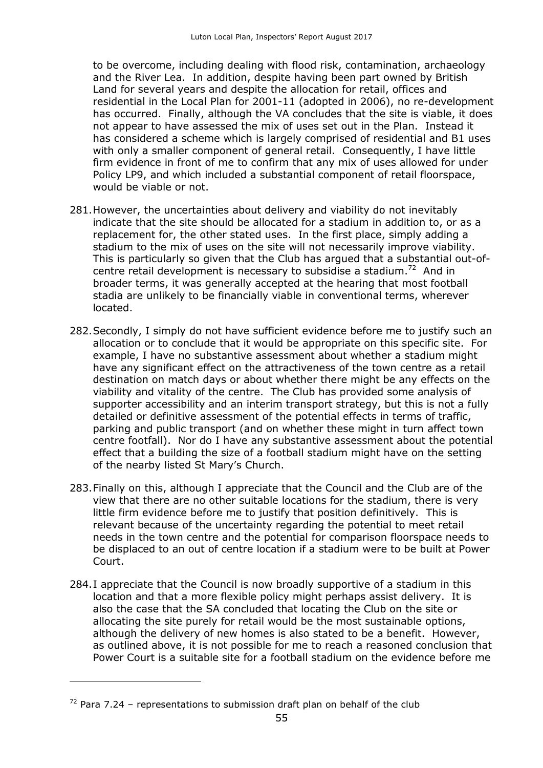to be overcome, including dealing with flood risk, contamination, archaeology and the River Lea. In addition, despite having been part owned by British Land for several years and despite the allocation for retail, offices and residential in the Local Plan for 2001-11 (adopted in 2006), no re-development has occurred. Finally, although the VA concludes that the site is viable, it does not appear to have assessed the mix of uses set out in the Plan. Instead it has considered a scheme which is largely comprised of residential and B1 uses with only a smaller component of general retail. Consequently, I have little firm evidence in front of me to confirm that any mix of uses allowed for under Policy LP9, and which included a substantial component of retail floorspace, would be viable or not.

- 281.However, the uncertainties about delivery and viability do not inevitably indicate that the site should be allocated for a stadium in addition to, or as a replacement for, the other stated uses. In the first place, simply adding a stadium to the mix of uses on the site will not necessarily improve viability. This is particularly so given that the Club has argued that a substantial out-ofcentre retail development is necessary to subsidise a stadium.<sup>72</sup> And in broader terms, it was generally accepted at the hearing that most football stadia are unlikely to be financially viable in conventional terms, wherever located.
- 282.Secondly, I simply do not have sufficient evidence before me to justify such an allocation or to conclude that it would be appropriate on this specific site. For example, I have no substantive assessment about whether a stadium might have any significant effect on the attractiveness of the town centre as a retail destination on match days or about whether there might be any effects on the viability and vitality of the centre. The Club has provided some analysis of supporter accessibility and an interim transport strategy, but this is not a fully detailed or definitive assessment of the potential effects in terms of traffic, parking and public transport (and on whether these might in turn affect town centre footfall). Nor do I have any substantive assessment about the potential effect that a building the size of a football stadium might have on the setting of the nearby listed St Mary's Church.
- 283.Finally on this, although I appreciate that the Council and the Club are of the view that there are no other suitable locations for the stadium, there is very little firm evidence before me to justify that position definitively. This is relevant because of the uncertainty regarding the potential to meet retail needs in the town centre and the potential for comparison floorspace needs to be displaced to an out of centre location if a stadium were to be built at Power Court.
- 284.I appreciate that the Council is now broadly supportive of a stadium in this location and that a more flexible policy might perhaps assist delivery. It is also the case that the SA concluded that locating the Club on the site or allocating the site purely for retail would be the most sustainable options, although the delivery of new homes is also stated to be a benefit. However, as outlined above, it is not possible for me to reach a reasoned conclusion that Power Court is a suitable site for a football stadium on the evidence before me

 $72$  Para 7.24 – representations to submission draft plan on behalf of the club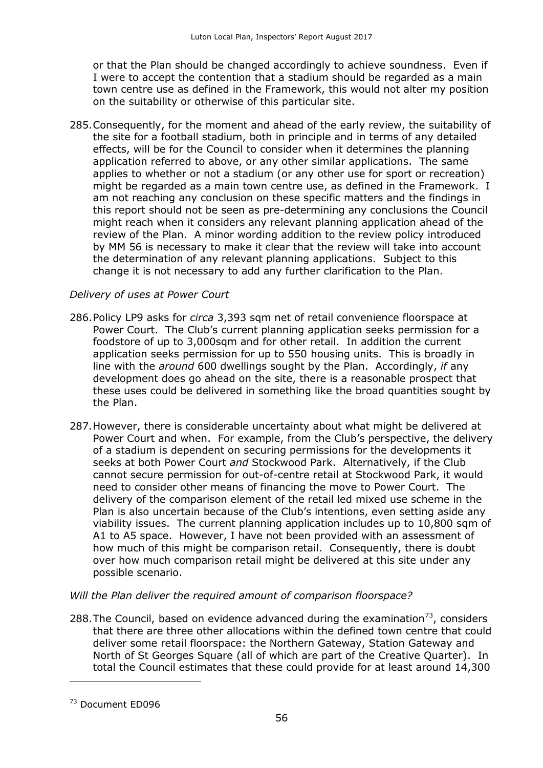or that the Plan should be changed accordingly to achieve soundness. Even if I were to accept the contention that a stadium should be regarded as a main town centre use as defined in the Framework, this would not alter my position on the suitability or otherwise of this particular site.

285.Consequently, for the moment and ahead of the early review, the suitability of the site for a football stadium, both in principle and in terms of any detailed effects, will be for the Council to consider when it determines the planning application referred to above, or any other similar applications. The same applies to whether or not a stadium (or any other use for sport or recreation) might be regarded as a main town centre use, as defined in the Framework. I am not reaching any conclusion on these specific matters and the findings in this report should not be seen as pre-determining any conclusions the Council might reach when it considers any relevant planning application ahead of the review of the Plan. A minor wording addition to the review policy introduced by MM 56 is necessary to make it clear that the review will take into account the determination of any relevant planning applications. Subject to this change it is not necessary to add any further clarification to the Plan.

## *Delivery of uses at Power Court*

- 286.Policy LP9 asks for *circa* 3,393 sqm net of retail convenience floorspace at Power Court. The Club's current planning application seeks permission for a foodstore of up to 3,000sqm and for other retail. In addition the current application seeks permission for up to 550 housing units. This is broadly in line with the *around* 600 dwellings sought by the Plan. Accordingly, *if* any development does go ahead on the site, there is a reasonable prospect that these uses could be delivered in something like the broad quantities sought by the Plan.
- 287.However, there is considerable uncertainty about what might be delivered at Power Court and when. For example, from the Club's perspective, the delivery of a stadium is dependent on securing permissions for the developments it seeks at both Power Court *and* Stockwood Park. Alternatively, if the Club cannot secure permission for out-of-centre retail at Stockwood Park, it would need to consider other means of financing the move to Power Court. The delivery of the comparison element of the retail led mixed use scheme in the Plan is also uncertain because of the Club's intentions, even setting aside any viability issues. The current planning application includes up to 10,800 sqm of A1 to A5 space. However, I have not been provided with an assessment of how much of this might be comparison retail. Consequently, there is doubt over how much comparison retail might be delivered at this site under any possible scenario.

#### *Will the Plan deliver the required amount of comparison floorspace?*

288. The Council, based on evidence advanced during the examination<sup>73</sup>, considers that there are three other allocations within the defined town centre that could deliver some retail floorspace: the Northern Gateway, Station Gateway and North of St Georges Square (all of which are part of the Creative Quarter). In total the Council estimates that these could provide for at least around 14,300

<sup>&</sup>lt;sup>73</sup> Document ED096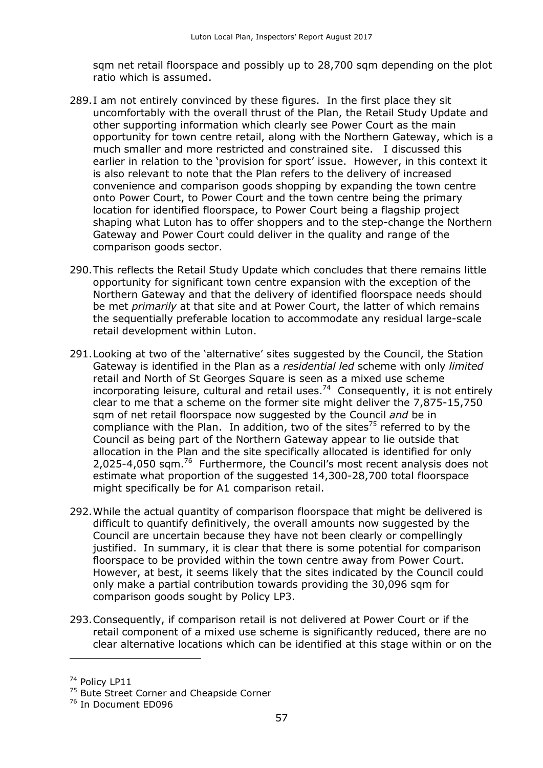sqm net retail floorspace and possibly up to 28,700 sqm depending on the plot ratio which is assumed.

- 289.I am not entirely convinced by these figures. In the first place they sit uncomfortably with the overall thrust of the Plan, the Retail Study Update and other supporting information which clearly see Power Court as the main opportunity for town centre retail, along with the Northern Gateway, which is a much smaller and more restricted and constrained site. I discussed this earlier in relation to the 'provision for sport' issue. However, in this context it is also relevant to note that the Plan refers to the delivery of increased convenience and comparison goods shopping by expanding the town centre onto Power Court, to Power Court and the town centre being the primary location for identified floorspace, to Power Court being a flagship project shaping what Luton has to offer shoppers and to the step-change the Northern Gateway and Power Court could deliver in the quality and range of the comparison goods sector.
- 290.This reflects the Retail Study Update which concludes that there remains little opportunity for significant town centre expansion with the exception of the Northern Gateway and that the delivery of identified floorspace needs should be met *primarily* at that site and at Power Court, the latter of which remains the sequentially preferable location to accommodate any residual large-scale retail development within Luton.
- 291.Looking at two of the 'alternative' sites suggested by the Council, the Station Gateway is identified in the Plan as a *residential led* scheme with only *limited* retail and North of St Georges Square is seen as a mixed use scheme incorporating leisure, cultural and retail uses.<sup>74</sup> Consequently, it is not entirely clear to me that a scheme on the former site might deliver the 7,875-15,750 sqm of net retail floorspace now suggested by the Council *and* be in compliance with the Plan. In addition, two of the sites $75$  referred to by the Council as being part of the Northern Gateway appear to lie outside that allocation in the Plan and the site specifically allocated is identified for only 2,025-4,050 sqm.<sup>76</sup> Furthermore, the Council's most recent analysis does not estimate what proportion of the suggested 14,300-28,700 total floorspace might specifically be for A1 comparison retail.
- 292.While the actual quantity of comparison floorspace that might be delivered is difficult to quantify definitively, the overall amounts now suggested by the Council are uncertain because they have not been clearly or compellingly justified. In summary, it is clear that there is some potential for comparison floorspace to be provided within the town centre away from Power Court. However, at best, it seems likely that the sites indicated by the Council could only make a partial contribution towards providing the 30,096 sqm for comparison goods sought by Policy LP3.
- 293.Consequently, if comparison retail is not delivered at Power Court or if the retail component of a mixed use scheme is significantly reduced, there are no clear alternative locations which can be identified at this stage within or on the

<sup>&</sup>lt;sup>74</sup> Policy LP11

<sup>&</sup>lt;sup>75</sup> Bute Street Corner and Cheapside Corner

<sup>&</sup>lt;sup>76</sup> In Document ED096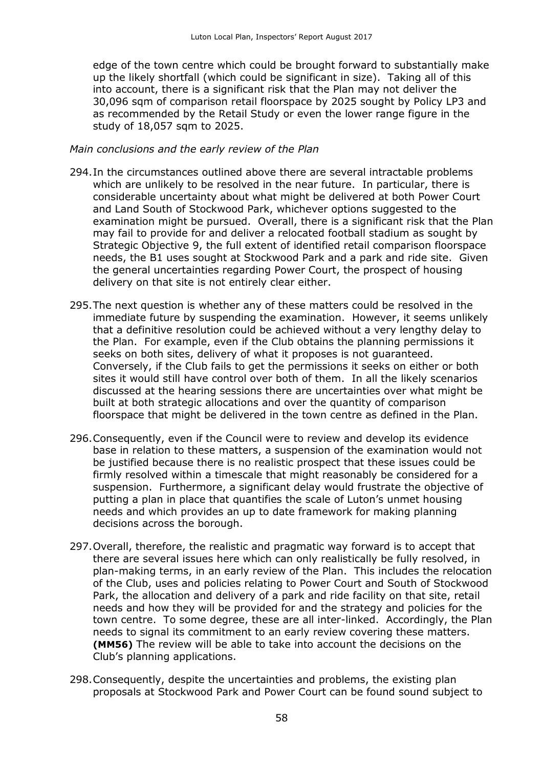edge of the town centre which could be brought forward to substantially make up the likely shortfall (which could be significant in size). Taking all of this into account, there is a significant risk that the Plan may not deliver the 30,096 sqm of comparison retail floorspace by 2025 sought by Policy LP3 and as recommended by the Retail Study or even the lower range figure in the study of 18,057 sqm to 2025.

#### *Main conclusions and the early review of the Plan*

- 294.In the circumstances outlined above there are several intractable problems which are unlikely to be resolved in the near future. In particular, there is considerable uncertainty about what might be delivered at both Power Court and Land South of Stockwood Park, whichever options suggested to the examination might be pursued. Overall, there is a significant risk that the Plan may fail to provide for and deliver a relocated football stadium as sought by Strategic Objective 9, the full extent of identified retail comparison floorspace needs, the B1 uses sought at Stockwood Park and a park and ride site. Given the general uncertainties regarding Power Court, the prospect of housing delivery on that site is not entirely clear either.
- 295.The next question is whether any of these matters could be resolved in the immediate future by suspending the examination. However, it seems unlikely that a definitive resolution could be achieved without a very lengthy delay to the Plan. For example, even if the Club obtains the planning permissions it seeks on both sites, delivery of what it proposes is not guaranteed. Conversely, if the Club fails to get the permissions it seeks on either or both sites it would still have control over both of them. In all the likely scenarios discussed at the hearing sessions there are uncertainties over what might be built at both strategic allocations and over the quantity of comparison floorspace that might be delivered in the town centre as defined in the Plan.
- 296.Consequently, even if the Council were to review and develop its evidence base in relation to these matters, a suspension of the examination would not be justified because there is no realistic prospect that these issues could be firmly resolved within a timescale that might reasonably be considered for a suspension. Furthermore, a significant delay would frustrate the objective of putting a plan in place that quantifies the scale of Luton's unmet housing needs and which provides an up to date framework for making planning decisions across the borough.
- 297.Overall, therefore, the realistic and pragmatic way forward is to accept that there are several issues here which can only realistically be fully resolved, in plan-making terms, in an early review of the Plan. This includes the relocation of the Club, uses and policies relating to Power Court and South of Stockwood Park, the allocation and delivery of a park and ride facility on that site, retail needs and how they will be provided for and the strategy and policies for the town centre. To some degree, these are all inter-linked. Accordingly, the Plan needs to signal its commitment to an early review covering these matters. **(MM56)** The review will be able to take into account the decisions on the Club's planning applications.
- 298.Consequently, despite the uncertainties and problems, the existing plan proposals at Stockwood Park and Power Court can be found sound subject to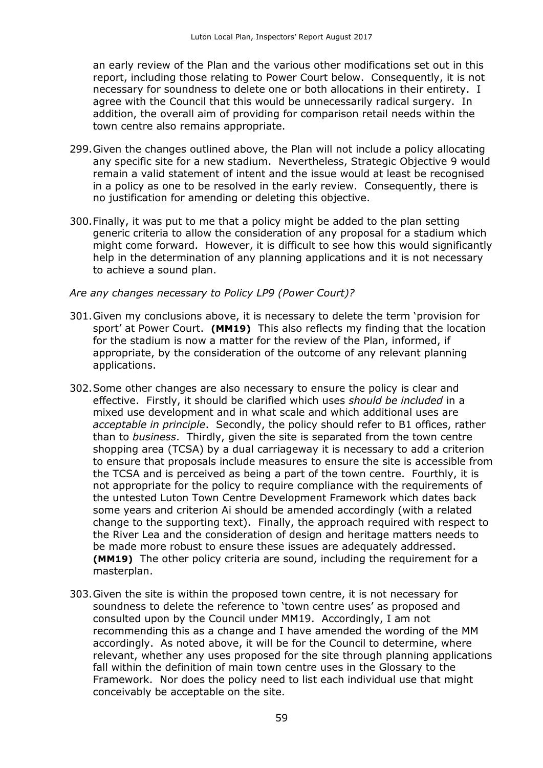an early review of the Plan and the various other modifications set out in this report, including those relating to Power Court below. Consequently, it is not necessary for soundness to delete one or both allocations in their entirety. I agree with the Council that this would be unnecessarily radical surgery. In addition, the overall aim of providing for comparison retail needs within the town centre also remains appropriate.

- 299.Given the changes outlined above, the Plan will not include a policy allocating any specific site for a new stadium. Nevertheless, Strategic Objective 9 would remain a valid statement of intent and the issue would at least be recognised in a policy as one to be resolved in the early review. Consequently, there is no justification for amending or deleting this objective.
- 300.Finally, it was put to me that a policy might be added to the plan setting generic criteria to allow the consideration of any proposal for a stadium which might come forward. However, it is difficult to see how this would significantly help in the determination of any planning applications and it is not necessary to achieve a sound plan.

#### *Are any changes necessary to Policy LP9 (Power Court)?*

- 301.Given my conclusions above, it is necessary to delete the term 'provision for sport' at Power Court. **(MM19)** This also reflects my finding that the location for the stadium is now a matter for the review of the Plan, informed, if appropriate, by the consideration of the outcome of any relevant planning applications.
- 302.Some other changes are also necessary to ensure the policy is clear and effective. Firstly, it should be clarified which uses *should be included* in a mixed use development and in what scale and which additional uses are *acceptable in principle*. Secondly, the policy should refer to B1 offices, rather than to *business*. Thirdly, given the site is separated from the town centre shopping area (TCSA) by a dual carriageway it is necessary to add a criterion to ensure that proposals include measures to ensure the site is accessible from the TCSA and is perceived as being a part of the town centre. Fourthly, it is not appropriate for the policy to require compliance with the requirements of the untested Luton Town Centre Development Framework which dates back some years and criterion Ai should be amended accordingly (with a related change to the supporting text). Finally, the approach required with respect to the River Lea and the consideration of design and heritage matters needs to be made more robust to ensure these issues are adequately addressed. **(MM19)** The other policy criteria are sound, including the requirement for a masterplan.
- 303.Given the site is within the proposed town centre, it is not necessary for soundness to delete the reference to 'town centre uses' as proposed and consulted upon by the Council under MM19. Accordingly, I am not recommending this as a change and I have amended the wording of the MM accordingly. As noted above, it will be for the Council to determine, where relevant, whether any uses proposed for the site through planning applications fall within the definition of main town centre uses in the Glossary to the Framework. Nor does the policy need to list each individual use that might conceivably be acceptable on the site.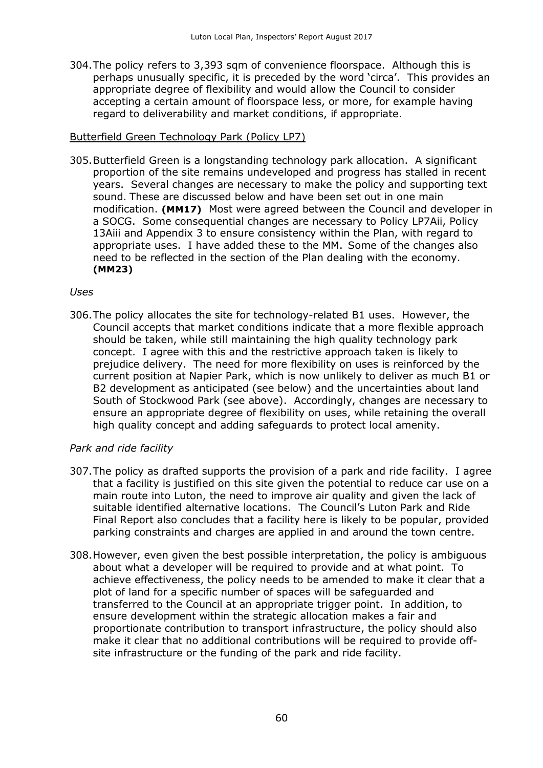304.The policy refers to 3,393 sqm of convenience floorspace. Although this is perhaps unusually specific, it is preceded by the word 'circa'. This provides an appropriate degree of flexibility and would allow the Council to consider accepting a certain amount of floorspace less, or more, for example having regard to deliverability and market conditions, if appropriate.

## Butterfield Green Technology Park (Policy LP7)

305.Butterfield Green is a longstanding technology park allocation. A significant proportion of the site remains undeveloped and progress has stalled in recent years. Several changes are necessary to make the policy and supporting text sound. These are discussed below and have been set out in one main modification. **(MM17)** Most were agreed between the Council and developer in a SOCG. Some consequential changes are necessary to Policy LP7Aii, Policy 13Aiii and Appendix 3 to ensure consistency within the Plan, with regard to appropriate uses. I have added these to the MM. Some of the changes also need to be reflected in the section of the Plan dealing with the economy. **(MM23)**

#### *Uses*

306.The policy allocates the site for technology-related B1 uses. However, the Council accepts that market conditions indicate that a more flexible approach should be taken, while still maintaining the high quality technology park concept. I agree with this and the restrictive approach taken is likely to prejudice delivery. The need for more flexibility on uses is reinforced by the current position at Napier Park, which is now unlikely to deliver as much B1 or B2 development as anticipated (see below) and the uncertainties about land South of Stockwood Park (see above). Accordingly, changes are necessary to ensure an appropriate degree of flexibility on uses, while retaining the overall high quality concept and adding safeguards to protect local amenity.

#### *Park and ride facility*

- 307.The policy as drafted supports the provision of a park and ride facility. I agree that a facility is justified on this site given the potential to reduce car use on a main route into Luton, the need to improve air quality and given the lack of suitable identified alternative locations. The Council's Luton Park and Ride Final Report also concludes that a facility here is likely to be popular, provided parking constraints and charges are applied in and around the town centre.
- 308.However, even given the best possible interpretation, the policy is ambiguous about what a developer will be required to provide and at what point. To achieve effectiveness, the policy needs to be amended to make it clear that a plot of land for a specific number of spaces will be safeguarded and transferred to the Council at an appropriate trigger point. In addition, to ensure development within the strategic allocation makes a fair and proportionate contribution to transport infrastructure, the policy should also make it clear that no additional contributions will be required to provide offsite infrastructure or the funding of the park and ride facility.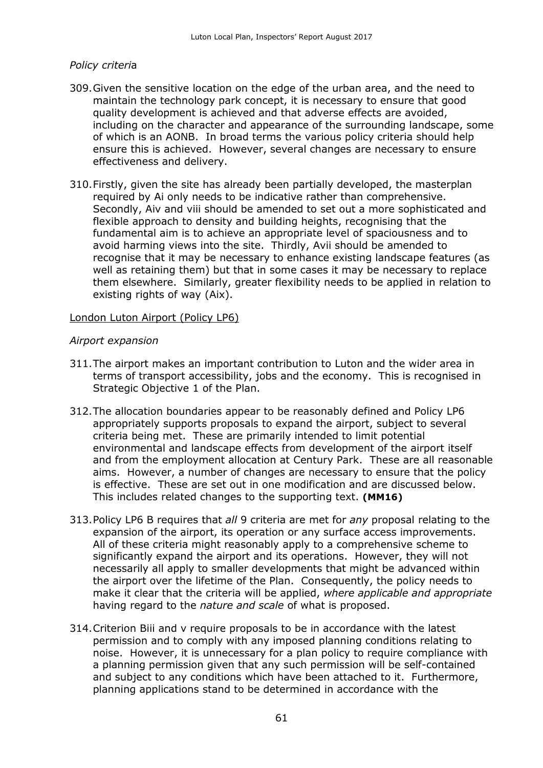#### *Policy criteri*a

- 309.Given the sensitive location on the edge of the urban area, and the need to maintain the technology park concept, it is necessary to ensure that good quality development is achieved and that adverse effects are avoided, including on the character and appearance of the surrounding landscape, some of which is an AONB. In broad terms the various policy criteria should help ensure this is achieved. However, several changes are necessary to ensure effectiveness and delivery.
- 310.Firstly, given the site has already been partially developed, the masterplan required by Ai only needs to be indicative rather than comprehensive. Secondly, Aiv and viii should be amended to set out a more sophisticated and flexible approach to density and building heights, recognising that the fundamental aim is to achieve an appropriate level of spaciousness and to avoid harming views into the site. Thirdly, Avii should be amended to recognise that it may be necessary to enhance existing landscape features (as well as retaining them) but that in some cases it may be necessary to replace them elsewhere. Similarly, greater flexibility needs to be applied in relation to existing rights of way (Aix).

#### London Luton Airport (Policy LP6)

#### *Airport expansion*

- 311.The airport makes an important contribution to Luton and the wider area in terms of transport accessibility, jobs and the economy. This is recognised in Strategic Objective 1 of the Plan.
- 312.The allocation boundaries appear to be reasonably defined and Policy LP6 appropriately supports proposals to expand the airport, subject to several criteria being met. These are primarily intended to limit potential environmental and landscape effects from development of the airport itself and from the employment allocation at Century Park. These are all reasonable aims. However, a number of changes are necessary to ensure that the policy is effective. These are set out in one modification and are discussed below. This includes related changes to the supporting text. **(MM16)**
- 313.Policy LP6 B requires that *all* 9 criteria are met for *any* proposal relating to the expansion of the airport, its operation or any surface access improvements. All of these criteria might reasonably apply to a comprehensive scheme to significantly expand the airport and its operations. However, they will not necessarily all apply to smaller developments that might be advanced within the airport over the lifetime of the Plan. Consequently, the policy needs to make it clear that the criteria will be applied, *where applicable and appropriate* having regard to the *nature and scale* of what is proposed.
- 314.Criterion Biii and v require proposals to be in accordance with the latest permission and to comply with any imposed planning conditions relating to noise. However, it is unnecessary for a plan policy to require compliance with a planning permission given that any such permission will be self-contained and subject to any conditions which have been attached to it. Furthermore, planning applications stand to be determined in accordance with the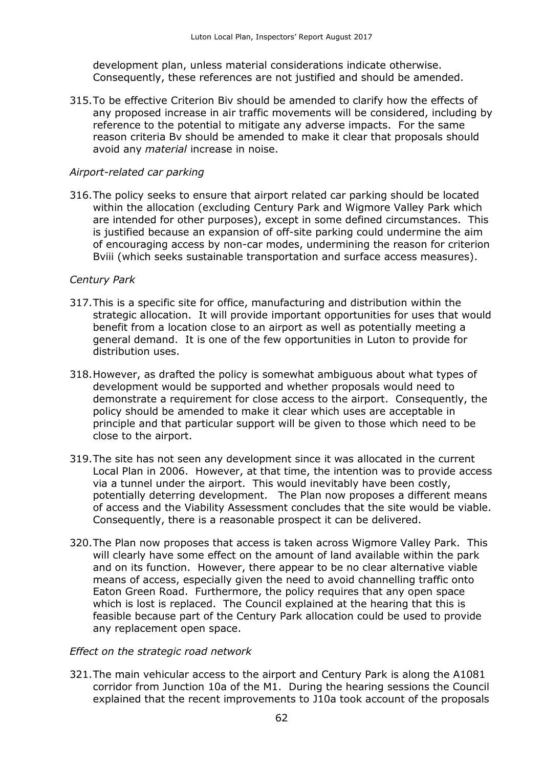development plan, unless material considerations indicate otherwise. Consequently, these references are not justified and should be amended.

315.To be effective Criterion Biv should be amended to clarify how the effects of any proposed increase in air traffic movements will be considered, including by reference to the potential to mitigate any adverse impacts. For the same reason criteria Bv should be amended to make it clear that proposals should avoid any *material* increase in noise.

### *Airport-related car parking*

316.The policy seeks to ensure that airport related car parking should be located within the allocation (excluding Century Park and Wigmore Valley Park which are intended for other purposes), except in some defined circumstances. This is justified because an expansion of off-site parking could undermine the aim of encouraging access by non-car modes, undermining the reason for criterion Bviii (which seeks sustainable transportation and surface access measures).

#### *Century Park*

- 317.This is a specific site for office, manufacturing and distribution within the strategic allocation. It will provide important opportunities for uses that would benefit from a location close to an airport as well as potentially meeting a general demand. It is one of the few opportunities in Luton to provide for distribution uses.
- 318.However, as drafted the policy is somewhat ambiguous about what types of development would be supported and whether proposals would need to demonstrate a requirement for close access to the airport. Consequently, the policy should be amended to make it clear which uses are acceptable in principle and that particular support will be given to those which need to be close to the airport.
- 319.The site has not seen any development since it was allocated in the current Local Plan in 2006. However, at that time, the intention was to provide access via a tunnel under the airport. This would inevitably have been costly, potentially deterring development. The Plan now proposes a different means of access and the Viability Assessment concludes that the site would be viable. Consequently, there is a reasonable prospect it can be delivered.
- 320.The Plan now proposes that access is taken across Wigmore Valley Park. This will clearly have some effect on the amount of land available within the park and on its function. However, there appear to be no clear alternative viable means of access, especially given the need to avoid channelling traffic onto Eaton Green Road. Furthermore, the policy requires that any open space which is lost is replaced. The Council explained at the hearing that this is feasible because part of the Century Park allocation could be used to provide any replacement open space.

#### *Effect on the strategic road network*

321.The main vehicular access to the airport and Century Park is along the A1081 corridor from Junction 10a of the M1. During the hearing sessions the Council explained that the recent improvements to J10a took account of the proposals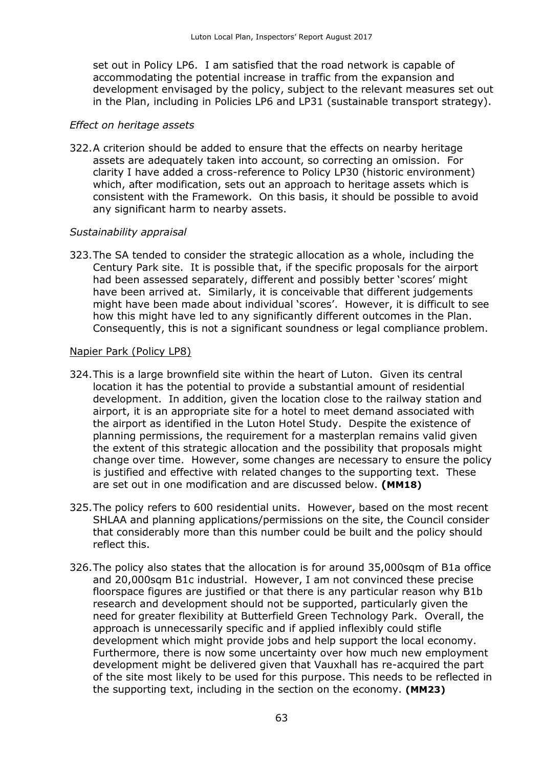set out in Policy LP6. I am satisfied that the road network is capable of accommodating the potential increase in traffic from the expansion and development envisaged by the policy, subject to the relevant measures set out in the Plan, including in Policies LP6 and LP31 (sustainable transport strategy).

#### *Effect on heritage assets*

322.A criterion should be added to ensure that the effects on nearby heritage assets are adequately taken into account, so correcting an omission. For clarity I have added a cross-reference to Policy LP30 (historic environment) which, after modification, sets out an approach to heritage assets which is consistent with the Framework. On this basis, it should be possible to avoid any significant harm to nearby assets.

#### *Sustainability appraisal*

323.The SA tended to consider the strategic allocation as a whole, including the Century Park site. It is possible that, if the specific proposals for the airport had been assessed separately, different and possibly better 'scores' might have been arrived at. Similarly, it is conceivable that different judgements might have been made about individual 'scores'. However, it is difficult to see how this might have led to any significantly different outcomes in the Plan. Consequently, this is not a significant soundness or legal compliance problem.

#### Napier Park (Policy LP8)

- 324.This is a large brownfield site within the heart of Luton. Given its central location it has the potential to provide a substantial amount of residential development. In addition, given the location close to the railway station and airport, it is an appropriate site for a hotel to meet demand associated with the airport as identified in the Luton Hotel Study. Despite the existence of planning permissions, the requirement for a masterplan remains valid given the extent of this strategic allocation and the possibility that proposals might change over time. However, some changes are necessary to ensure the policy is justified and effective with related changes to the supporting text. These are set out in one modification and are discussed below. **(MM18)**
- 325.The policy refers to 600 residential units. However, based on the most recent SHLAA and planning applications/permissions on the site, the Council consider that considerably more than this number could be built and the policy should reflect this.
- 326.The policy also states that the allocation is for around 35,000sqm of B1a office and 20,000sqm B1c industrial. However, I am not convinced these precise floorspace figures are justified or that there is any particular reason why B1b research and development should not be supported, particularly given the need for greater flexibility at Butterfield Green Technology Park. Overall, the approach is unnecessarily specific and if applied inflexibly could stifle development which might provide jobs and help support the local economy. Furthermore, there is now some uncertainty over how much new employment development might be delivered given that Vauxhall has re-acquired the part of the site most likely to be used for this purpose. This needs to be reflected in the supporting text, including in the section on the economy. **(MM23)**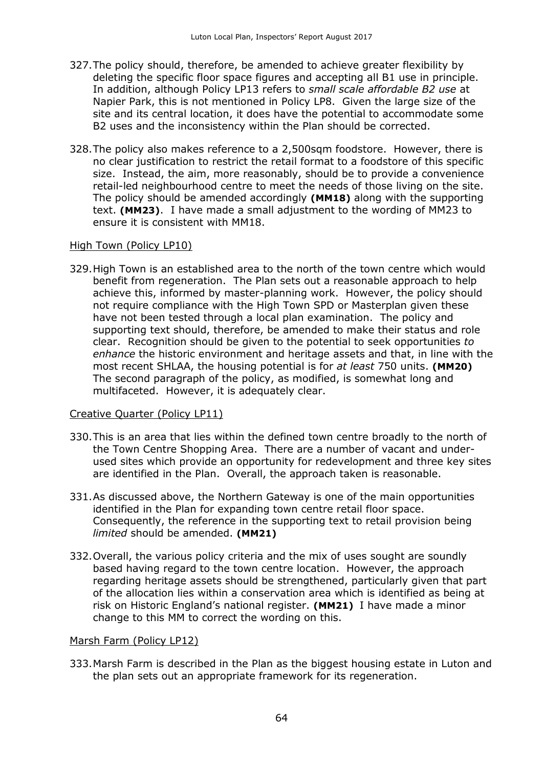- 327.The policy should, therefore, be amended to achieve greater flexibility by deleting the specific floor space figures and accepting all B1 use in principle. In addition, although Policy LP13 refers to *small scale affordable B2 use* at Napier Park, this is not mentioned in Policy LP8. Given the large size of the site and its central location, it does have the potential to accommodate some B2 uses and the inconsistency within the Plan should be corrected.
- 328.The policy also makes reference to a 2,500sqm foodstore. However, there is no clear justification to restrict the retail format to a foodstore of this specific size. Instead, the aim, more reasonably, should be to provide a convenience retail-led neighbourhood centre to meet the needs of those living on the site. The policy should be amended accordingly **(MM18)** along with the supporting text. **(MM23)**. I have made a small adjustment to the wording of MM23 to ensure it is consistent with MM18.

#### High Town (Policy LP10)

329.High Town is an established area to the north of the town centre which would benefit from regeneration. The Plan sets out a reasonable approach to help achieve this, informed by master-planning work. However, the policy should not require compliance with the High Town SPD or Masterplan given these have not been tested through a local plan examination. The policy and supporting text should, therefore, be amended to make their status and role clear. Recognition should be given to the potential to seek opportunities *to enhance* the historic environment and heritage assets and that, in line with the most recent SHLAA, the housing potential is for *at least* 750 units. **(MM20)**  The second paragraph of the policy, as modified, is somewhat long and multifaceted. However, it is adequately clear.

#### Creative Quarter (Policy LP11)

- 330.This is an area that lies within the defined town centre broadly to the north of the Town Centre Shopping Area. There are a number of vacant and underused sites which provide an opportunity for redevelopment and three key sites are identified in the Plan. Overall, the approach taken is reasonable.
- 331.As discussed above, the Northern Gateway is one of the main opportunities identified in the Plan for expanding town centre retail floor space. Consequently, the reference in the supporting text to retail provision being *limited* should be amended. **(MM21)**
- 332.Overall, the various policy criteria and the mix of uses sought are soundly based having regard to the town centre location. However, the approach regarding heritage assets should be strengthened, particularly given that part of the allocation lies within a conservation area which is identified as being at risk on Historic England's national register. **(MM21)** I have made a minor change to this MM to correct the wording on this.

#### Marsh Farm (Policy LP12)

333.Marsh Farm is described in the Plan as the biggest housing estate in Luton and the plan sets out an appropriate framework for its regeneration.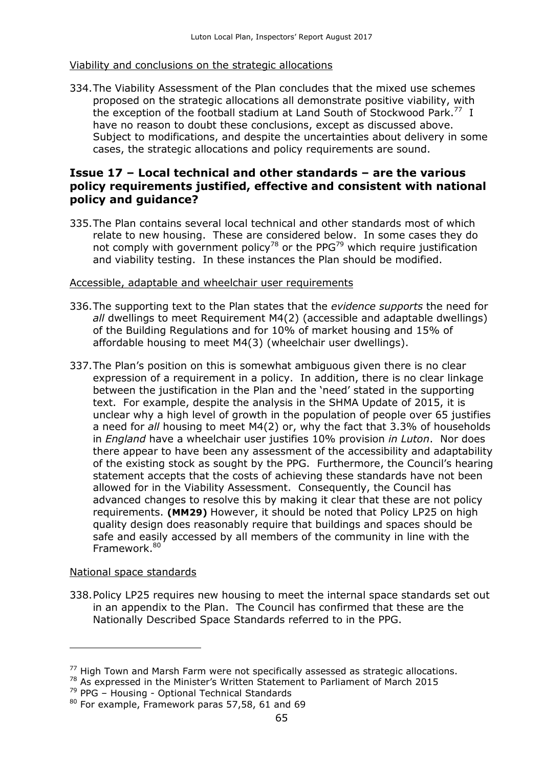#### Viability and conclusions on the strategic allocations

334.The Viability Assessment of the Plan concludes that the mixed use schemes proposed on the strategic allocations all demonstrate positive viability, with the exception of the football stadium at Land South of Stockwood Park.<sup>77</sup> I have no reason to doubt these conclusions, except as discussed above. Subject to modifications, and despite the uncertainties about delivery in some cases, the strategic allocations and policy requirements are sound.

## **Issue 17 – Local technical and other standards – are the various policy requirements justified, effective and consistent with national policy and guidance?**

335.The Plan contains several local technical and other standards most of which relate to new housing. These are considered below. In some cases they do not comply with government policy<sup>78</sup> or the PPG<sup>79</sup> which require justification and viability testing. In these instances the Plan should be modified.

#### Accessible, adaptable and wheelchair user requirements

- 336.The supporting text to the Plan states that the *evidence supports* the need for *all* dwellings to meet Requirement M4(2) (accessible and adaptable dwellings) of the Building Regulations and for 10% of market housing and 15% of affordable housing to meet M4(3) (wheelchair user dwellings).
- 337.The Plan's position on this is somewhat ambiguous given there is no clear expression of a requirement in a policy. In addition, there is no clear linkage between the justification in the Plan and the 'need' stated in the supporting text. For example, despite the analysis in the SHMA Update of 2015, it is unclear why a high level of growth in the population of people over 65 justifies a need for *all* housing to meet M4(2) or, why the fact that 3.3% of households in *England* have a wheelchair user justifies 10% provision *in Luton*. Nor does there appear to have been any assessment of the accessibility and adaptability of the existing stock as sought by the PPG. Furthermore, the Council's hearing statement accepts that the costs of achieving these standards have not been allowed for in the Viability Assessment. Consequently, the Council has advanced changes to resolve this by making it clear that these are not policy requirements. **(MM29)** However, it should be noted that Policy LP25 on high quality design does reasonably require that buildings and spaces should be safe and easily accessed by all members of the community in line with the Framework<sup>80</sup>

#### National space standards

-

338.Policy LP25 requires new housing to meet the internal space standards set out in an appendix to the Plan. The Council has confirmed that these are the Nationally Described Space Standards referred to in the PPG.

 $<sup>77</sup>$  High Town and Marsh Farm were not specifically assessed as strategic allocations.</sup>

<sup>&</sup>lt;sup>78</sup> As expressed in the Minister's Written Statement to Parliament of March 2015

 $79$  PPG – Housing - Optional Technical Standards

<sup>80</sup> For example, Framework paras 57,58, 61 and 69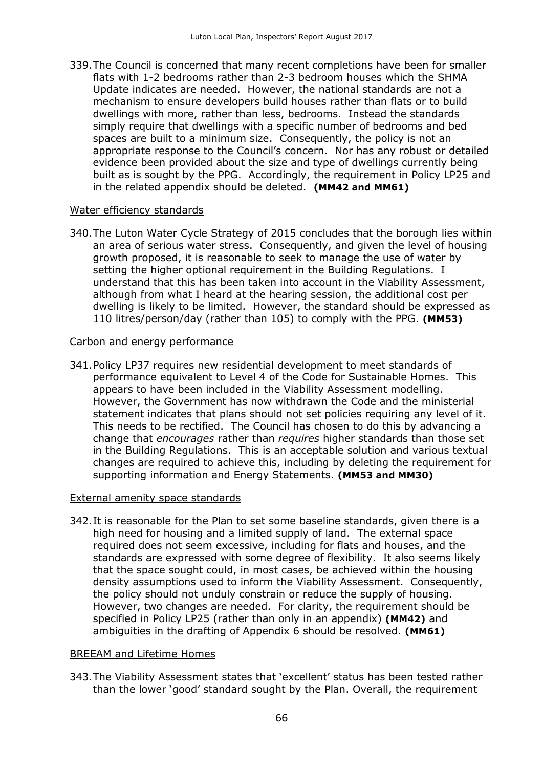339.The Council is concerned that many recent completions have been for smaller flats with 1-2 bedrooms rather than 2-3 bedroom houses which the SHMA Update indicates are needed. However, the national standards are not a mechanism to ensure developers build houses rather than flats or to build dwellings with more, rather than less, bedrooms. Instead the standards simply require that dwellings with a specific number of bedrooms and bed spaces are built to a minimum size. Consequently, the policy is not an appropriate response to the Council's concern. Nor has any robust or detailed evidence been provided about the size and type of dwellings currently being built as is sought by the PPG. Accordingly, the requirement in Policy LP25 and in the related appendix should be deleted. **(MM42 and MM61)**

#### Water efficiency standards

340.The Luton Water Cycle Strategy of 2015 concludes that the borough lies within an area of serious water stress. Consequently, and given the level of housing growth proposed, it is reasonable to seek to manage the use of water by setting the higher optional requirement in the Building Regulations. I understand that this has been taken into account in the Viability Assessment, although from what I heard at the hearing session, the additional cost per dwelling is likely to be limited. However, the standard should be expressed as 110 litres/person/day (rather than 105) to comply with the PPG. **(MM53)** 

#### Carbon and energy performance

341.Policy LP37 requires new residential development to meet standards of performance equivalent to Level 4 of the Code for Sustainable Homes. This appears to have been included in the Viability Assessment modelling. However, the Government has now withdrawn the Code and the ministerial statement indicates that plans should not set policies requiring any level of it. This needs to be rectified. The Council has chosen to do this by advancing a change that *encourages* rather than *requires* higher standards than those set in the Building Regulations. This is an acceptable solution and various textual changes are required to achieve this, including by deleting the requirement for supporting information and Energy Statements. **(MM53 and MM30)**

#### External amenity space standards

342.It is reasonable for the Plan to set some baseline standards, given there is a high need for housing and a limited supply of land. The external space required does not seem excessive, including for flats and houses, and the standards are expressed with some degree of flexibility. It also seems likely that the space sought could, in most cases, be achieved within the housing density assumptions used to inform the Viability Assessment. Consequently, the policy should not unduly constrain or reduce the supply of housing. However, two changes are needed. For clarity, the requirement should be specified in Policy LP25 (rather than only in an appendix) **(MM42)** and ambiguities in the drafting of Appendix 6 should be resolved. **(MM61)**

#### BREEAM and Lifetime Homes

343.The Viability Assessment states that 'excellent' status has been tested rather than the lower 'good' standard sought by the Plan. Overall, the requirement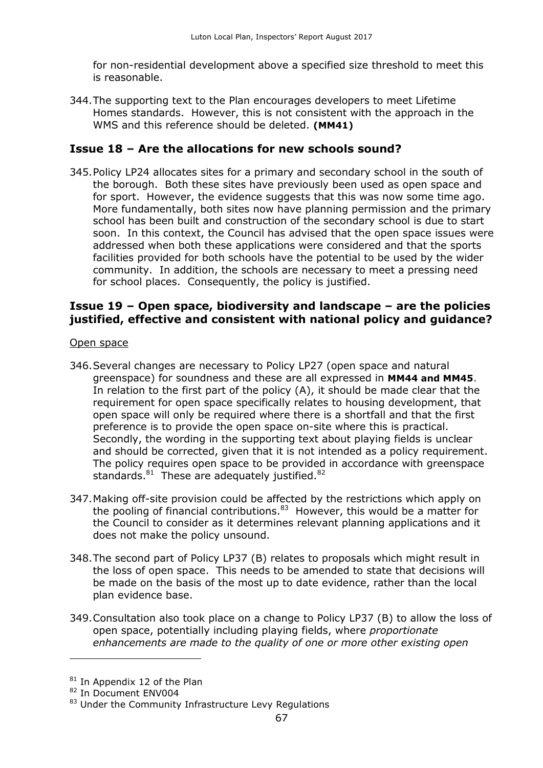for non-residential development above a specified size threshold to meet this is reasonable.

344.The supporting text to the Plan encourages developers to meet Lifetime Homes standards. However, this is not consistent with the approach in the WMS and this reference should be deleted. **(MM41)**

## **Issue 18 – Are the allocations for new schools sound?**

345.Policy LP24 allocates sites for a primary and secondary school in the south of the borough. Both these sites have previously been used as open space and for sport. However, the evidence suggests that this was now some time ago. More fundamentally, both sites now have planning permission and the primary school has been built and construction of the secondary school is due to start soon. In this context, the Council has advised that the open space issues were addressed when both these applications were considered and that the sports facilities provided for both schools have the potential to be used by the wider community. In addition, the schools are necessary to meet a pressing need for school places. Consequently, the policy is justified.

## **Issue 19 – Open space, biodiversity and landscape – are the policies justified, effective and consistent with national policy and guidance?**

#### Open space

- 346.Several changes are necessary to Policy LP27 (open space and natural greenspace) for soundness and these are all expressed in **MM44 and MM45**. In relation to the first part of the policy (A), it should be made clear that the requirement for open space specifically relates to housing development, that open space will only be required where there is a shortfall and that the first preference is to provide the open space on-site where this is practical. Secondly, the wording in the supporting text about playing fields is unclear and should be corrected, given that it is not intended as a policy requirement. The policy requires open space to be provided in accordance with greenspace standards.<sup>81</sup> These are adequately justified.<sup>82</sup>
- 347.Making off-site provision could be affected by the restrictions which apply on the pooling of financial contributions. $83$  However, this would be a matter for the Council to consider as it determines relevant planning applications and it does not make the policy unsound.
- 348.The second part of Policy LP37 (B) relates to proposals which might result in the loss of open space. This needs to be amended to state that decisions will be made on the basis of the most up to date evidence, rather than the local plan evidence base.
- 349.Consultation also took place on a change to Policy LP37 (B) to allow the loss of open space, potentially including playing fields, where *proportionate enhancements are made to the quality of one or more other existing open*

<sup>&</sup>lt;sup>81</sup> In Appendix 12 of the Plan

<sup>&</sup>lt;sup>82</sup> In Document ENV004

<sup>&</sup>lt;sup>83</sup> Under the Community Infrastructure Levy Regulations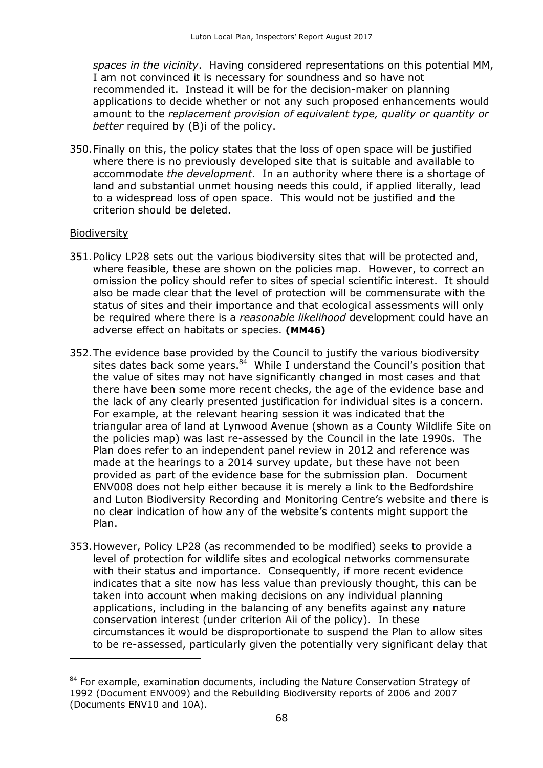*spaces in the vicinity*. Having considered representations on this potential MM, I am not convinced it is necessary for soundness and so have not recommended it. Instead it will be for the decision-maker on planning applications to decide whether or not any such proposed enhancements would amount to the *replacement provision of equivalent type, quality or quantity or better* required by (B)i of the policy.

350.Finally on this, the policy states that the loss of open space will be justified where there is no previously developed site that is suitable and available to accommodate *the development*. In an authority where there is a shortage of land and substantial unmet housing needs this could, if applied literally, lead to a widespread loss of open space. This would not be justified and the criterion should be deleted.

#### **Biodiversity**

- 351.Policy LP28 sets out the various biodiversity sites that will be protected and, where feasible, these are shown on the policies map. However, to correct an omission the policy should refer to sites of special scientific interest. It should also be made clear that the level of protection will be commensurate with the status of sites and their importance and that ecological assessments will only be required where there is a *reasonable likelihood* development could have an adverse effect on habitats or species. **(MM46)**
- 352.The evidence base provided by the Council to justify the various biodiversity sites dates back some years.<sup>84</sup> While I understand the Council's position that the value of sites may not have significantly changed in most cases and that there have been some more recent checks, the age of the evidence base and the lack of any clearly presented justification for individual sites is a concern. For example, at the relevant hearing session it was indicated that the triangular area of land at Lynwood Avenue (shown as a County Wildlife Site on the policies map) was last re-assessed by the Council in the late 1990s. The Plan does refer to an independent panel review in 2012 and reference was made at the hearings to a 2014 survey update, but these have not been provided as part of the evidence base for the submission plan. Document ENV008 does not help either because it is merely a link to the Bedfordshire and Luton Biodiversity Recording and Monitoring Centre's website and there is no clear indication of how any of the website's contents might support the Plan.
- 353.However, Policy LP28 (as recommended to be modified) seeks to provide a level of protection for wildlife sites and ecological networks commensurate with their status and importance. Consequently, if more recent evidence indicates that a site now has less value than previously thought, this can be taken into account when making decisions on any individual planning applications, including in the balancing of any benefits against any nature conservation interest (under criterion Aii of the policy). In these circumstances it would be disproportionate to suspend the Plan to allow sites to be re-assessed, particularly given the potentially very significant delay that

<sup>&</sup>lt;sup>84</sup> For example, examination documents, including the Nature Conservation Strategy of 1992 (Document ENV009) and the Rebuilding Biodiversity reports of 2006 and 2007 (Documents ENV10 and 10A).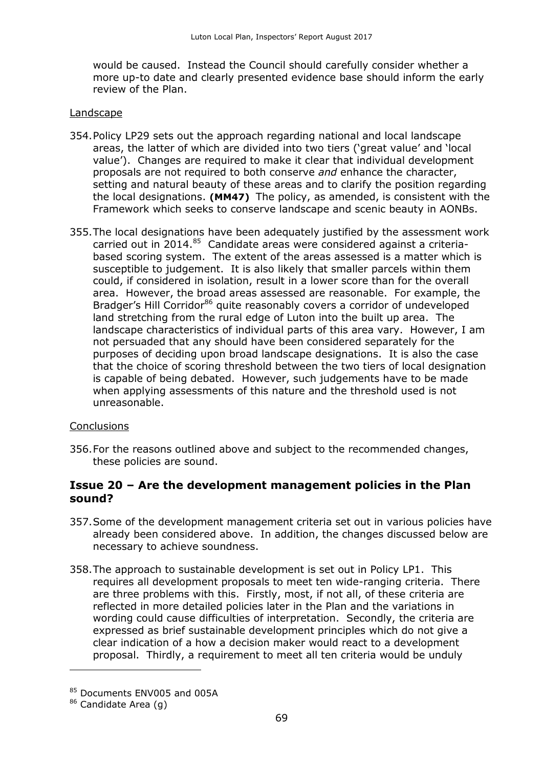would be caused. Instead the Council should carefully consider whether a more up-to date and clearly presented evidence base should inform the early review of the Plan.

#### Landscape

- 354.Policy LP29 sets out the approach regarding national and local landscape areas, the latter of which are divided into two tiers ('great value' and 'local value'). Changes are required to make it clear that individual development proposals are not required to both conserve *and* enhance the character, setting and natural beauty of these areas and to clarify the position regarding the local designations. **(MM47)** The policy, as amended, is consistent with the Framework which seeks to conserve landscape and scenic beauty in AONBs.
- 355.The local designations have been adequately justified by the assessment work carried out in 2014. $85$  Candidate areas were considered against a criteriabased scoring system. The extent of the areas assessed is a matter which is susceptible to judgement. It is also likely that smaller parcels within them could, if considered in isolation, result in a lower score than for the overall area. However, the broad areas assessed are reasonable. For example, the Bradger's Hill Corridor<sup>86</sup> quite reasonably covers a corridor of undeveloped land stretching from the rural edge of Luton into the built up area. The landscape characteristics of individual parts of this area vary. However, I am not persuaded that any should have been considered separately for the purposes of deciding upon broad landscape designations. It is also the case that the choice of scoring threshold between the two tiers of local designation is capable of being debated. However, such judgements have to be made when applying assessments of this nature and the threshold used is not unreasonable.

#### **Conclusions**

356.For the reasons outlined above and subject to the recommended changes, these policies are sound.

## **Issue 20 – Are the development management policies in the Plan sound?**

- 357.Some of the development management criteria set out in various policies have already been considered above. In addition, the changes discussed below are necessary to achieve soundness.
- 358.The approach to sustainable development is set out in Policy LP1. This requires all development proposals to meet ten wide-ranging criteria. There are three problems with this. Firstly, most, if not all, of these criteria are reflected in more detailed policies later in the Plan and the variations in wording could cause difficulties of interpretation. Secondly, the criteria are expressed as brief sustainable development principles which do not give a clear indication of a how a decision maker would react to a development proposal. Thirdly, a requirement to meet all ten criteria would be unduly

 $\overline{a}$ 

<sup>85</sup> Documents ENV005 and 005A

<sup>86</sup> Candidate Area (g)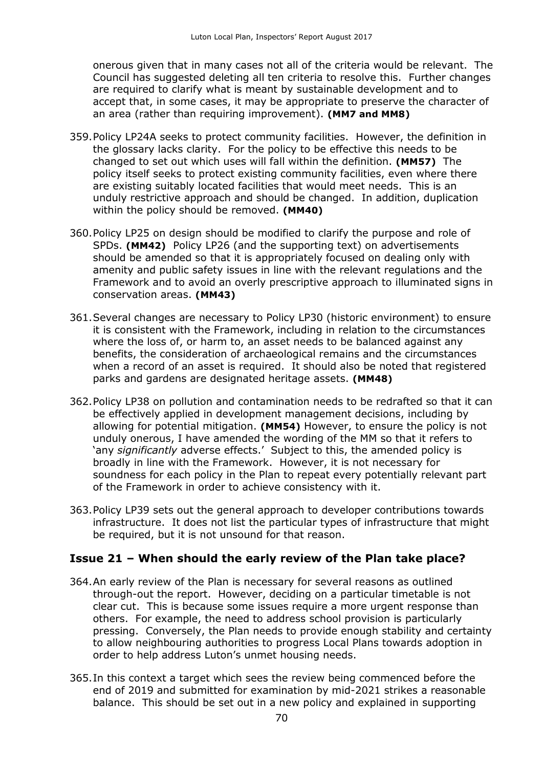onerous given that in many cases not all of the criteria would be relevant. The Council has suggested deleting all ten criteria to resolve this. Further changes are required to clarify what is meant by sustainable development and to accept that, in some cases, it may be appropriate to preserve the character of an area (rather than requiring improvement). **(MM7 and MM8)**

- 359.Policy LP24A seeks to protect community facilities. However, the definition in the glossary lacks clarity. For the policy to be effective this needs to be changed to set out which uses will fall within the definition. **(MM57)** The policy itself seeks to protect existing community facilities, even where there are existing suitably located facilities that would meet needs. This is an unduly restrictive approach and should be changed. In addition, duplication within the policy should be removed. **(MM40)**
- 360.Policy LP25 on design should be modified to clarify the purpose and role of SPDs. **(MM42)** Policy LP26 (and the supporting text) on advertisements should be amended so that it is appropriately focused on dealing only with amenity and public safety issues in line with the relevant regulations and the Framework and to avoid an overly prescriptive approach to illuminated signs in conservation areas. **(MM43)**
- 361.Several changes are necessary to Policy LP30 (historic environment) to ensure it is consistent with the Framework, including in relation to the circumstances where the loss of, or harm to, an asset needs to be balanced against any benefits, the consideration of archaeological remains and the circumstances when a record of an asset is required. It should also be noted that registered parks and gardens are designated heritage assets. **(MM48)**
- 362.Policy LP38 on pollution and contamination needs to be redrafted so that it can be effectively applied in development management decisions, including by allowing for potential mitigation. **(MM54)** However, to ensure the policy is not unduly onerous, I have amended the wording of the MM so that it refers to 'any *significantly* adverse effects.'Subject to this, the amended policy is broadly in line with the Framework. However, it is not necessary for soundness for each policy in the Plan to repeat every potentially relevant part of the Framework in order to achieve consistency with it.
- 363.Policy LP39 sets out the general approach to developer contributions towards infrastructure. It does not list the particular types of infrastructure that might be required, but it is not unsound for that reason.

#### **Issue 21 – When should the early review of the Plan take place?**

- 364.An early review of the Plan is necessary for several reasons as outlined through-out the report. However, deciding on a particular timetable is not clear cut. This is because some issues require a more urgent response than others. For example, the need to address school provision is particularly pressing. Conversely, the Plan needs to provide enough stability and certainty to allow neighbouring authorities to progress Local Plans towards adoption in order to help address Luton's unmet housing needs.
- 365.In this context a target which sees the review being commenced before the end of 2019 and submitted for examination by mid-2021 strikes a reasonable balance. This should be set out in a new policy and explained in supporting